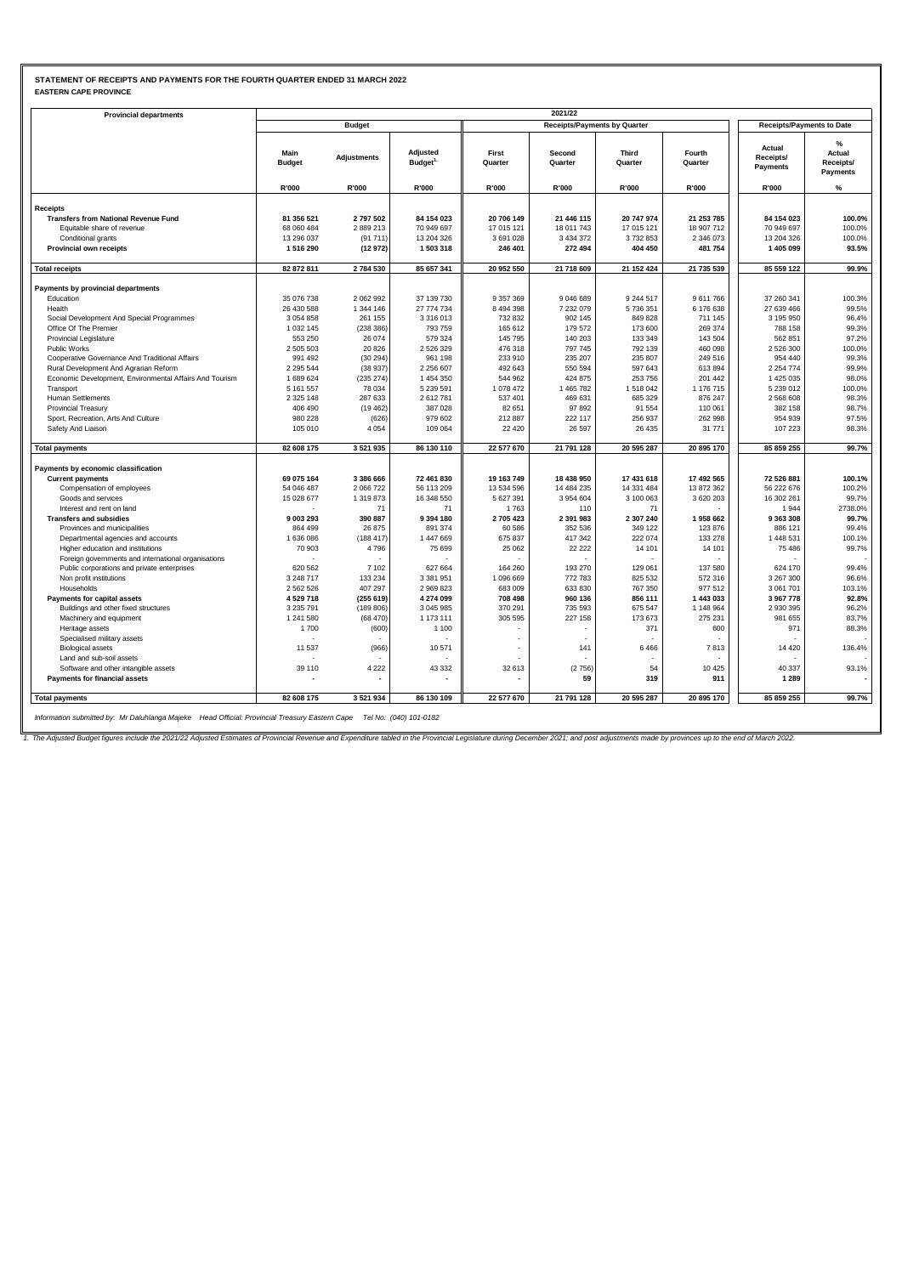#### **STATEMENT OF RECEIPTS AND PAYMENTS FOR THE FOURTH QUARTER ENDED 31 MARCH 2022 EASTERN CAPE PROVINCE**

| <b>Provincial departments</b>                                      |                              |                        |                                 |                          | 2021/22                             |                      |                        |                                  |                                      |
|--------------------------------------------------------------------|------------------------------|------------------------|---------------------------------|--------------------------|-------------------------------------|----------------------|------------------------|----------------------------------|--------------------------------------|
|                                                                    |                              | <b>Budget</b>          |                                 |                          | <b>Receipts/Payments by Quarter</b> |                      |                        | <b>Receipts/Payments to Date</b> |                                      |
|                                                                    | Main<br><b>Budget</b>        | <b>Adjustments</b>     | Adjusted<br>Budget <sup>1</sup> | First<br>Quarter         | Second<br>Quarter                   | Third<br>Quarter     | Fourth<br>Quarter      | Actual<br>Receipts/<br>Payments  | %<br>Actual<br>Receipts/<br>Payments |
|                                                                    | R'000                        | R'000                  | R'000                           | R'000                    | R'000                               | <b>R'000</b>         | R'000                  | R'000                            | %                                    |
| Receipts                                                           |                              |                        |                                 |                          |                                     |                      |                        |                                  |                                      |
| <b>Transfers from National Revenue Fund</b>                        | 81 356 521                   | 2797502                | 84 154 023                      | 20 706 149               | 21 446 115                          | 20 747 974           | 21 253 785             | 84 154 023                       | 100.0%                               |
| Equitable share of revenue                                         | 68 060 484                   | 2889213                | 70 949 697                      | 17 015 121               | 18 011 743                          | 17 015 121           | 18 907 712             | 70 949 697                       | 100.0%                               |
| Conditional grants                                                 | 13 296 037                   | (91711)                | 13 204 326                      | 3 691 028                | 3 4 3 4 3 7 2                       | 3732853              | 2 346 073              | 13 204 326                       | 100.0%                               |
| Provincial own receipts                                            | 1516290                      | (12972)                | 1 503 318                       | 246 401                  | 272 494                             | 404 450              | 481 754                | 1 405 099                        | 93.5%                                |
| <b>Total receipts</b>                                              | 82 872 811                   | 2784530                | 85 657 341                      | 20 952 550               | 21 718 609                          | 21 152 424           | 21 735 539             | 85 559 122                       | 99.9%                                |
|                                                                    |                              |                        |                                 |                          |                                     |                      |                        |                                  |                                      |
| Payments by provincial departments                                 |                              |                        |                                 |                          |                                     |                      |                        |                                  |                                      |
| Education                                                          | 35 076 738                   | 2 062 992              | 37 139 730                      | 9 357 369                | 9 046 689                           | 9 244 517            | 9 611 766              | 37 260 341                       | 100.3%                               |
| Health                                                             | 26 430 588<br>3 0 5 4 8 5 8  | 1 344 146<br>261 155   | 27 774 734<br>3 3 1 6 0 1 3     | 8 4 9 4 3 9 8<br>732 832 | 7 232 079<br>902 145                | 5 736 351<br>849 828 | 6 176 638<br>711 145   | 27 639 466<br>3 195 950          | 99.5%<br>96.4%                       |
| Social Development And Special Programmes<br>Office Of The Premier | 1 0 3 2 1 4 5                | (238 386)              | 793 759                         | 165 612                  | 179 572                             | 173 600              | 269 374                | 788 158                          | 99.3%                                |
| <b>Provincial Legislature</b>                                      | 553 250                      | 26 074                 | 579 324                         | 145 795                  | 140 203                             | 133 349              | 143 504                | 562 851                          | 97.2%                                |
| Public Works                                                       | 2 505 503                    | 20 8 26                | 2 526 329                       | 476 318                  | 797 745                             | 792 139              | 460 098                | 2 526 300                        | 100.0%                               |
| Cooperative Governance And Traditional Affairs                     | 991 492                      | (30 294)               | 961 198                         | 233 910                  | 235 207                             | 235 807              | 249 516                | 954 440                          | 99.3%                                |
| Rural Development And Agrarian Reform                              | 2 2 9 5 5 4 4                | (38937)                | 2 256 607                       | 492 643                  | 550 594                             | 597 643              | 613 894                | 2 2 5 4 7 7 4                    | 99.9%                                |
| Economic Development, Environmental Affairs And Tourism            | 1 689 624                    | (235 274)              | 1 454 350                       | 544 962                  | 424 875                             | 253 756              | 201 442                | 1 425 035                        | 98.0%                                |
| Transport                                                          | 5 161 557                    | 78 034                 | 5 239 591                       | 1 078 472                | 1 465 782                           | 1 518 042            | 1 176 715              | 5 239 012                        | 100.0%                               |
| Human Settlements                                                  | 2 3 2 5 1 4 8                | 287 633                | 2 612 781                       | 537 401                  | 469 631                             | 685 329              | 876 247                | 2 568 608                        | 98.3%                                |
| <b>Provincial Treasury</b>                                         | 406 490                      | (19462)                | 387 028                         | 82 651                   | 97892                               | 91 554               | 110 061                | 382 158                          | 98.7%                                |
| Sport, Recreation, Arts And Culture                                | 980 228                      | (626)                  | 979 602                         | 212 887                  | 222 117                             | 256 937              | 262 998                | 954 939                          | 97.5%                                |
| Safety And Liaison                                                 | 105 010                      | 4 0 5 4                | 109 064                         | 22 4 20                  | 26 597                              | 26 4 35              | 31 771                 | 107 223                          | 98.3%                                |
| <b>Total payments</b>                                              | 82 608 175                   | 3 5 21 9 35            | 86 130 110                      | 22 577 670               | 21 791 128                          | 20 595 287           | 20 895 170             | 85 859 255                       | 99.7%                                |
| Payments by economic classification                                |                              |                        |                                 |                          |                                     |                      |                        |                                  |                                      |
| <b>Current payments</b>                                            | 69 075 164                   | 3 386 666              | 72 461 830                      | 19 163 749               | 18 438 950                          | 17 431 618           | 17 492 565             | 72 526 881                       | 100.1%                               |
| Compensation of employees                                          | 54 046 487                   | 2 066 722              | 56 113 209                      | 13 534 596               | 14 484 235                          | 14 331 484           | 13 872 362             | 56 222 676                       | 100.2%                               |
| Goods and services                                                 | 15 028 677                   | 1 319 873              | 16 348 550                      | 5 627 391                | 3 954 604                           | 3 100 063            | 3 620 203              | 16 302 261                       | 99.7%                                |
| Interest and rent on land                                          |                              | 71                     | 71                              | 1763                     | 110                                 | 71                   |                        | 1944                             | 2738.0%                              |
| <b>Transfers and subsidies</b>                                     | 9 003 293                    | 390 887                | 9 394 180                       | 2 705 423                | 2 391 983                           | 2 307 240            | 1958 662               | 9 363 308                        | 99.7%                                |
| Provinces and municipalities                                       | 864 499                      | 26 875                 | 891 374                         | 60 586                   | 352 536                             | 349 122              | 123 876                | 886 121                          | 99.4%                                |
| Departmental agencies and accounts                                 | 1 636 086                    | (188417)               | 1 447 669                       | 675 837                  | 417 342                             | 222 074              | 133 278                | 1 448 531                        | 100.1%                               |
| Higher education and institutions                                  | 70 903                       | 4796                   | 75 699                          | 25 062                   | 22 2 2 2                            | 14 101               | 14 101                 | 75 486                           | 99.7%                                |
| Foreign governments and international organisations                |                              |                        |                                 |                          |                                     |                      |                        |                                  |                                      |
| Public corporations and private enterprises                        | 620 562                      | 7 102                  | 627 664                         | 164 260                  | 193 270                             | 129 061              | 137 580                | 624 170                          | 99.4%                                |
| Non profit institutions                                            | 3 248 717                    | 133 234                | 3 381 951                       | 1 096 669                | 772 783                             | 825 532              | 572 316                | 3 267 300                        | 96.6%                                |
| Households                                                         | 2 562 526                    | 407 297                | 2 969 823                       | 683 009                  | 633 830                             | 767 350              | 977 512                | 3 061 701                        | 103.1%                               |
| Payments for capital assets                                        | 4 5 29 7 18<br>3 2 3 5 7 9 1 | (255619)               | 4 274 099<br>3 045 985          | 708 498<br>370 291       | 960 136<br>735 593                  | 856 111<br>675 547   | 1 443 033<br>1 148 964 | 3 967 778<br>2 930 395           | 92.8%<br>96.2%                       |
| Buildings and other fixed structures                               | 1 241 580                    | (189 806)<br>(68, 470) | 1 173 111                       | 305 595                  | 227 158                             | 173 673              | 275 231                | 981 655                          | 83.7%                                |
| Machinery and equipment<br>Heritage assets                         | 1700                         | (600)                  | 1 1 0 0                         |                          |                                     | 371                  | 600                    | 971                              | 88.3%                                |
| Specialised military assets                                        |                              |                        |                                 |                          |                                     |                      |                        |                                  |                                      |
| <b>Biological assets</b>                                           | 11 537                       | (966)                  | 10 571                          |                          | 141                                 | 6466                 | 7813                   | 14 4 20                          | 136.4%                               |
| Land and sub-soil assets                                           |                              |                        |                                 |                          |                                     |                      |                        |                                  |                                      |
| Software and other intangible assets                               | 39 110                       | 4 2 2 2                | 43 332                          | 32 613                   | (2756)                              | 54                   | 10 4 25                | 40 337                           | 93.1%                                |
| Payments for financial assets                                      |                              |                        |                                 | $\overline{\phantom{a}}$ | 59                                  | 319                  | 911                    | 1 2 8 9                          |                                      |
| <b>Total payments</b>                                              | 82 608 175                   | 3 5 21 9 34            | 86 130 109                      | 22 577 670               | 21 791 128                          | 20 595 287           | 20 895 170             | 85 859 255                       | 99.7%                                |
|                                                                    |                              |                        |                                 |                          |                                     |                      |                        |                                  |                                      |

*Information submitted by: Mr Daluhlanga Majeke Head Official: Provincial Treasury Eastern Cape Tel No: (040) 101-0182*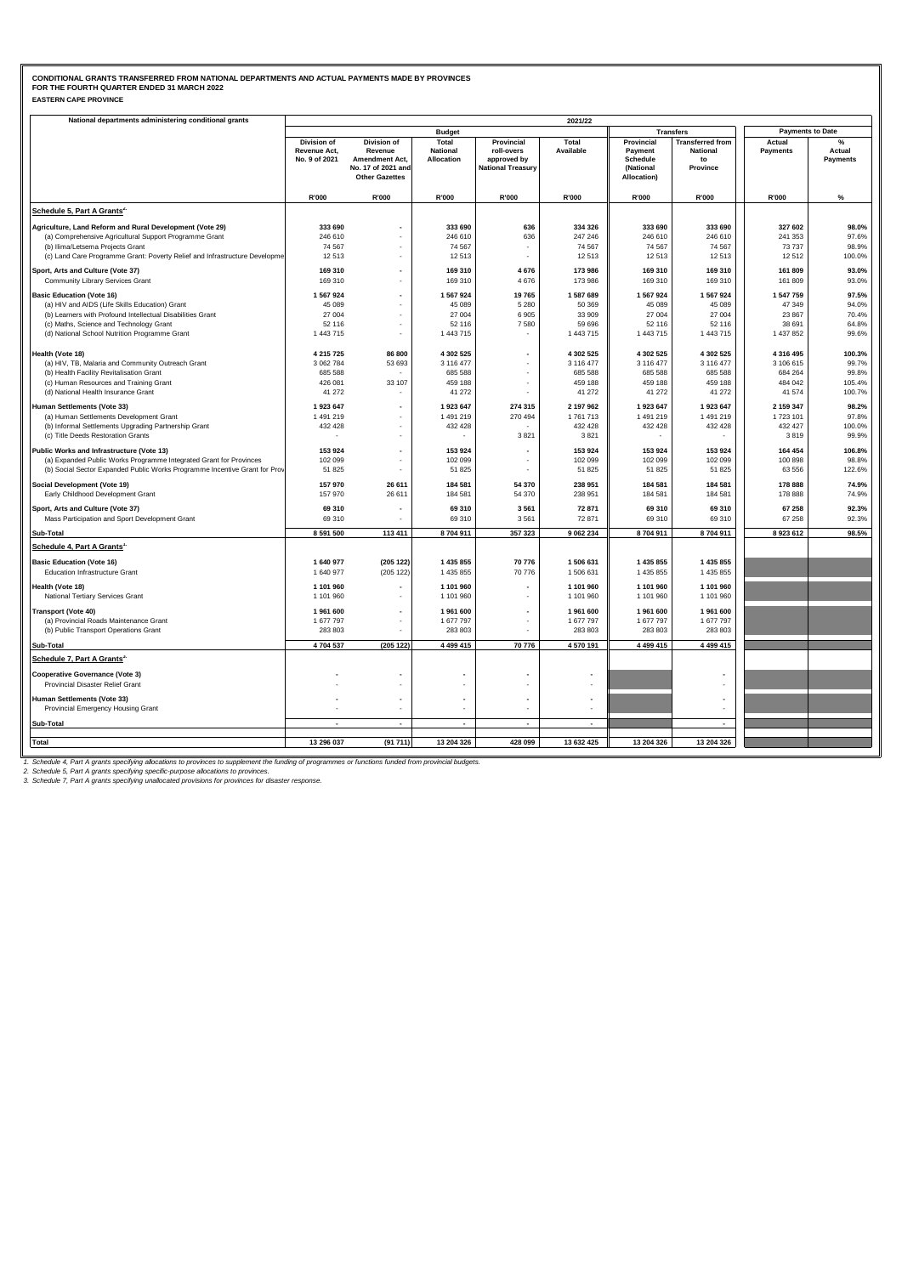### **EASTERN CAPE PROVINCE CONDITIONAL GRANTS TRANSFERRED FROM NATIONAL DEPARTMENTS AND ACTUAL PAYMENTS MADE BY PROVINCES FOR THE FOURTH QUARTER ENDED 31 MARCH 2022**

| National departments administering conditional grants                      |                      |                                             |                          |                          | 2021/22                  |                          |                         |                         |                 |
|----------------------------------------------------------------------------|----------------------|---------------------------------------------|--------------------------|--------------------------|--------------------------|--------------------------|-------------------------|-------------------------|-----------------|
|                                                                            |                      |                                             | <b>Budget</b>            |                          |                          |                          | <b>Transfers</b>        | <b>Payments to Date</b> |                 |
|                                                                            | Division of          | Division of                                 | Total                    | Provincial               | Total                    | Provincial               | <b>Transferred from</b> | Actual                  |                 |
|                                                                            | Revenue Act,         | Revenue                                     | <b>National</b>          | roll-overs               | Available                | Payment                  | <b>National</b>         | Payments                | Actual          |
|                                                                            | No. 9 of 2021        | Amendment Act,                              | Allocation               | approved by              |                          | Schedule                 | to                      |                         | <b>Payments</b> |
|                                                                            |                      | No. 17 of 2021 and<br><b>Other Gazettes</b> |                          | <b>National Treasury</b> |                          | (National<br>Allocation) | Province                |                         |                 |
|                                                                            |                      |                                             |                          |                          |                          |                          |                         |                         |                 |
|                                                                            | R'000                | R'000                                       | R'000                    | R'000                    | R'000                    | R'000                    | <b>R'000</b>            | R'000                   | $\%$            |
| Schedule 5, Part A Grants <sup>2.</sup>                                    |                      |                                             |                          |                          |                          |                          |                         |                         |                 |
| Agriculture, Land Reform and Rural Development (Vote 29)                   | 333 690              |                                             | 333 690                  | 636                      | 334 326                  | 333 690                  | 333 690                 | 327 602                 | 98.0%           |
| (a) Comprehensive Agricultural Support Programme Grant                     | 246 610              |                                             | 246 610                  | 636                      | 247 246                  | 246 610                  | 246 610                 | 241 353                 | 97.6%           |
| (b) Ilima/Letsema Projects Grant                                           | 74 567               | $\overline{\phantom{a}}$                    | 74 567                   |                          | 74 567                   | 74 567                   | 74 567                  | 73737                   | 98.9%           |
| (c) Land Care Programme Grant: Poverty Relief and Infrastructure Developme | 12513                |                                             | 12513                    |                          | 12 513                   | 12 513                   | 12 513                  | 12512                   | 100.0%          |
| Sport, Arts and Culture (Vote 37)                                          | 169 310              |                                             | 169 310                  | 4 6 7 6                  | 173 986                  | 169 310                  | 169 310                 | 161 809                 | 93.0%           |
| Community Library Services Grant                                           | 169 310              |                                             | 169 310                  | 4676                     | 173 986                  | 169 310                  | 169 310                 | 161 809                 | 93.0%           |
| <b>Basic Education (Vote 16)</b>                                           | 1 567 924            |                                             | 1 567 924                | 19765                    | 1 587 689                | 1 567 924                | 1 567 924               | 1 547 759               | 97.5%           |
| (a) HIV and AIDS (Life Skills Education) Grant                             | 45 089               | ٠                                           | 45 089                   | 5 2 8 0                  | 50 369                   | 45 089                   | 45 089                  | 47 349                  | 94.0%           |
| (b) Learners with Profound Intellectual Disabilities Grant                 | 27 004               |                                             | 27 004                   | 6905                     | 33 909                   | 27 004                   | 27 004                  | 23 867                  | 70.4%           |
| (c) Maths, Science and Technology Grant                                    | 52 116               | ٠                                           | 52 116                   | 7580                     | 59 696                   | 52 116                   | 52 116                  | 38 691                  | 64.8%           |
| (d) National School Nutrition Programme Grant                              | 1 443 715            | ÷,                                          | 1 443 715                |                          | 1 443 715                | 1 443 715                | 1 443 715               | 1 437 852               | 99.6%           |
|                                                                            |                      |                                             |                          |                          |                          |                          |                         |                         |                 |
| Health (Vote 18)                                                           | 4 215 725            | 86 800                                      | 4 302 525                | ÷                        | 4 302 525                | 4 302 525                | 4 302 525               | 4 316 495               | 100.3%          |
| (a) HIV, TB, Malaria and Community Outreach Grant                          | 3 062 784            | 53 693                                      | 3 116 477                |                          | 3 116 477                | 3 116 477                | 3 116 477               | 3 106 615               | 99.7%           |
| (b) Health Facility Revitalisation Grant                                   | 685 588              |                                             | 685 588                  |                          | 685 588                  | 685 588                  | 685 588                 | 684 264                 | 99.8%           |
| (c) Human Resources and Training Grant                                     | 426 081              | 33 107                                      | 459 188                  | ÷,                       | 459 188                  | 459 188                  | 459 188                 | 484 042                 | 105.4%          |
| (d) National Health Insurance Grant                                        | 41 27 2              |                                             | 41 272                   | ä,                       | 41 272                   | 41 272                   | 41 272                  | 41 574                  | 100.7%          |
| Human Settlements (Vote 33)                                                | 1 923 647            |                                             | 1923647                  | 274 315                  | 2 197 962                | 1 923 647                | 1 923 647               | 2 159 347               | 98.2%           |
| (a) Human Settlements Development Grant                                    | 1 491 219            | ÷,                                          | 1 491 219                | 270 494                  | 1761713                  | 1 491 219                | 1 491 219               | 1723 101                | 97.8%           |
| (b) Informal Settlements Upgrading Partnership Grant                       | 432 428              |                                             | 432 428                  |                          | 432 428                  | 432 428                  | 432 428                 | 432 427                 | 100.0%          |
| (c) Title Deeds Restoration Grants                                         |                      |                                             |                          | 3821                     | 3821                     |                          |                         | 3819                    | 99.9%           |
| Public Works and Infrastructure (Vote 13)                                  | 153 924              | $\overline{\phantom{a}}$                    | 153 924                  |                          | 153 924                  | 153 924                  | 153 924                 | 164 454                 | 106.8%          |
| (a) Expanded Public Works Programme Integrated Grant for Provinces         | 102 099              |                                             | 102 099                  |                          | 102 099                  | 102 099                  | 102 099                 | 100 898                 | 98.8%           |
| (b) Social Sector Expanded Public Works Programme Incentive Grant for Prov | 51 825               |                                             | 51 825                   | ٠                        | 51 825                   | 51 825                   | 51 825                  | 63 556                  | 122.6%          |
|                                                                            |                      |                                             |                          |                          |                          |                          |                         |                         |                 |
| Social Development (Vote 19)                                               | 157 970              | 26 611                                      | 184 581                  | 54 370                   | 238 951                  | 184 581                  | 184 581                 | 178 888                 | 74.9%           |
| Early Childhood Development Grant                                          | 157 970              | 26 611                                      | 184 581                  | 54 370                   | 238 951                  | 184 581                  | 184 581                 | 178 888                 | 74.9%           |
| Sport, Arts and Culture (Vote 37)                                          | 69 310               | $\overline{\phantom{a}}$                    | 69 310                   | 3 5 6 1                  | 72 871                   | 69 310                   | 69 310                  | 67 258                  | 92.3%           |
| Mass Participation and Sport Development Grant                             | 69 310               |                                             | 69 310                   | 3 5 6 1                  | 72 871                   | 69 310                   | 69 310                  | 67 258                  | 92.3%           |
| Sub-Total                                                                  | 8 591 500            | 113 411                                     | 8704911                  | 357 323                  | 9 062 234                | 8704911                  | 8704911                 | 8923612                 | 98.5%           |
| Schedule 4, Part A Grants'                                                 |                      |                                             |                          |                          |                          |                          |                         |                         |                 |
| <b>Basic Education (Vote 16)</b>                                           | 1 640 977            | (205 122)                                   | 1 435 855                | 70 776                   | 1 506 631                | 1 435 855                | 1 435 855               |                         |                 |
| Education Infrastructure Grant                                             | 1 640 977            | (205 122)                                   | 1 435 855                | 70 776                   | 1 506 631                | 1 435 855                | 1 435 855               |                         |                 |
| Health (Vote 18)                                                           | 1 101 960            |                                             | 1 101 960                |                          | 1 101 960                | 1 101 960                | 1 101 960               |                         |                 |
| National Tertiary Services Grant                                           | 1 101 960            |                                             | 1 101 960                |                          | 1 101 960                | 1 101 960                | 1 101 960               |                         |                 |
|                                                                            |                      | ٠                                           |                          | ٠                        |                          |                          |                         |                         |                 |
| <b>Transport (Vote 40)</b><br>(a) Provincial Roads Maintenance Grant       | 1961600<br>1 677 797 |                                             | 1961600<br>1 677 797     |                          | 1 961 600<br>1 677 797   | 1961600<br>1 677 797     | 1961600<br>1 677 797    |                         |                 |
| (b) Public Transport Operations Grant                                      | 283 803              |                                             | 283 803                  |                          | 283 803                  | 283 803                  | 283 803                 |                         |                 |
|                                                                            |                      |                                             |                          |                          |                          |                          |                         |                         |                 |
| Sub-Total                                                                  | 4 704 537            | (205 122)                                   | 4 4 9 4 1 5              | 70 776                   | 4 570 191                | 4 499 415                | 4 499 415               |                         |                 |
| Schedule 7, Part A Grants <sup>3.</sup>                                    |                      |                                             |                          |                          |                          |                          |                         |                         |                 |
| <b>Cooperative Governance (Vote 3)</b>                                     |                      |                                             |                          |                          |                          |                          |                         |                         |                 |
| Provincial Disaster Relief Grant                                           |                      |                                             |                          |                          |                          |                          |                         |                         |                 |
| Human Settlements (Vote 33)                                                |                      | $\blacksquare$                              |                          |                          |                          |                          |                         |                         |                 |
| Provincial Emergency Housing Grant                                         |                      | ٠                                           |                          | ÷.                       |                          |                          |                         |                         |                 |
| Sub-Total                                                                  |                      | $\overline{a}$                              | $\overline{\phantom{a}}$ | $\overline{\phantom{a}}$ | $\overline{\phantom{a}}$ |                          | $\overline{a}$          |                         |                 |
|                                                                            |                      |                                             |                          |                          |                          |                          |                         |                         |                 |
| <b>Total</b>                                                               | 13 296 037           | (91711)                                     | 13 204 326               | 428 099                  | 13 632 425               | 13 204 326               | 13 204 326              |                         |                 |
|                                                                            |                      |                                             |                          |                          |                          |                          |                         |                         |                 |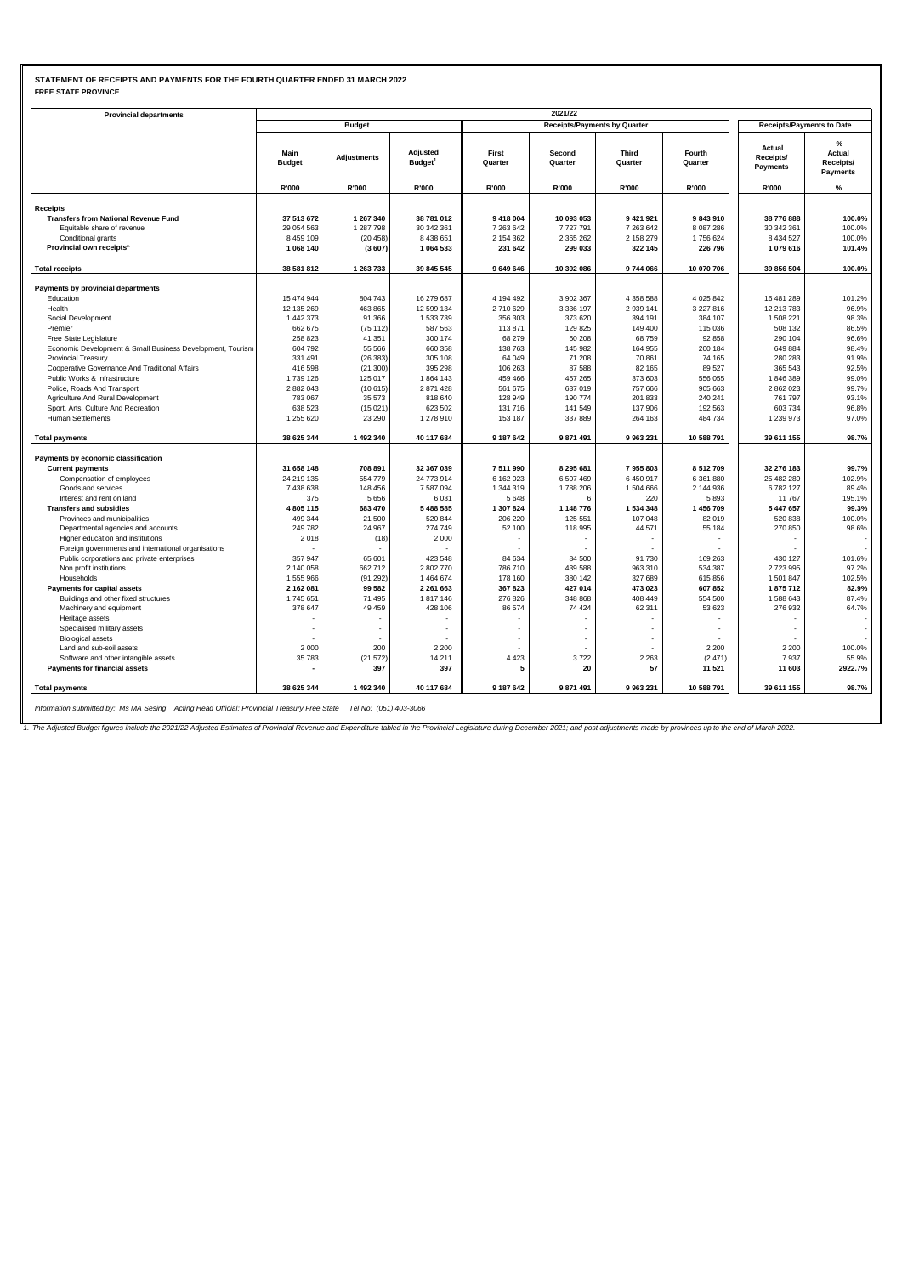## **STATEMENT OF RECEIPTS AND PAYMENTS FOR THE FOURTH QUARTER ENDED 31 MARCH 2022 FREE STATE PROVINCE**

| <b>Provincial departments</b>                              |                          |                    |                                 |                      | 2021/22                             |                              |                        |                                  |                                      |
|------------------------------------------------------------|--------------------------|--------------------|---------------------------------|----------------------|-------------------------------------|------------------------------|------------------------|----------------------------------|--------------------------------------|
|                                                            |                          | <b>Budget</b>      |                                 |                      | <b>Receipts/Payments by Quarter</b> |                              |                        | <b>Receipts/Payments to Date</b> |                                      |
|                                                            | Main<br><b>Budget</b>    | Adjustments        | Adjusted<br>Budget <sup>1</sup> | First<br>Quarter     | Second<br>Quarter                   | Third<br>Quarter             | Fourth<br>Quarter      | Actual<br>Receipts/<br>Payments  | %<br>Actual<br>Receipts/<br>Payments |
|                                                            | R'000                    | R'000              | R'000                           | R'000                | R'000                               | R'000                        | R'000                  | R'000                            | $\%$                                 |
| <b>Receipts</b>                                            |                          |                    |                                 |                      |                                     |                              |                        |                                  |                                      |
| <b>Transfers from National Revenue Fund</b>                | 37 513 672               | 1 267 340          | 38 781 012                      | 9 418 004            | 10 093 053                          | 9 421 921                    | 9843910                | 38 776 888                       | 100.0%                               |
| Equitable share of revenue                                 | 29 054 563               | 1 287 798          | 30 342 361                      | 7 263 642            | 7727791                             | 7 263 642                    | 8 087 286              | 30 342 361                       | 100.0%                               |
| Conditional grants                                         | 8 459 109                | (20 458)           | 8 4 3 8 6 5 1                   | 2 154 362            | 2 365 262                           | 2 158 279                    | 1756 624               | 8 4 3 4 5 2 7                    | 100.0%                               |
| Provincial own receipts <sup>2</sup>                       | 1 068 140                | (3607)             | 1 064 533                       | 231 642              | 299 033                             | 322 145                      | 226 796                | 1079616                          | 101.4%                               |
|                                                            |                          |                    |                                 |                      |                                     |                              |                        |                                  |                                      |
| <b>Total receipts</b>                                      | 38 581 812               | 1 263 733          | 39 845 545                      | 9 649 646            | 10 392 086                          | 9744066                      | 10 070 706             | 39 856 504                       | 100.0%                               |
|                                                            |                          |                    |                                 |                      |                                     |                              |                        |                                  |                                      |
| Payments by provincial departments                         |                          |                    |                                 |                      |                                     |                              |                        |                                  |                                      |
| Education<br>Health                                        | 15 474 944<br>12 135 269 | 804 743<br>463 865 | 16 279 687<br>12 599 134        | 4 194 492<br>2710629 | 3 902 367<br>3 3 3 6 1 9 7          | 4 3 5 8 5 8 8<br>2 9 3 1 4 1 | 4 025 842<br>3 227 816 | 16 481 289<br>12 213 783         | 101.2%<br>96.9%                      |
|                                                            |                          |                    |                                 |                      |                                     |                              |                        |                                  |                                      |
| Social Development                                         | 1 442 373<br>662 675     | 91 366             | 1 533 739<br>587 563            | 356 303<br>113871    | 373 620<br>129 825                  | 394 191<br>149 400           | 384 107<br>115 036     | 1 508 221<br>508 132             | 98.3%                                |
| Premier                                                    |                          | (75112)            |                                 |                      |                                     |                              |                        |                                  | 86.5%                                |
| Free State Legislature                                     | 258 823                  | 41 351             | 300 174                         | 68 279               | 60 208                              | 68759                        | 92 858                 | 290 104                          | 96.6%                                |
| Economic Development & Small Business Development, Tourism | 604 792                  | 55 566             | 660 358                         | 138 763              | 145 982                             | 164 955                      | 200 184                | 649 884                          | 98.4%                                |
| <b>Provincial Treasury</b>                                 | 331 491                  | (26383)            | 305 108                         | 64 049               | 71 208                              | 70 861                       | 74 165                 | 280 283                          | 91.9%                                |
| Cooperative Governance And Traditional Affairs             | 416 598                  | (21300)            | 395 298                         | 106 263              | 87 588                              | 82 165                       | 89 527                 | 365 543                          | 92.5%                                |
| Public Works & Infrastructure                              | 1739 126                 | 125 017            | 1864 143                        | 459 466              | 457 265                             | 373 603                      | 556 055                | 1846389                          | 99.0%                                |
| Police, Roads And Transport                                | 2 882 043                | (10615)            | 2 871 428                       | 561 675              | 637 019                             | 757 666                      | 905 663                | 2 862 023                        | 99.7%                                |
| Agriculture And Rural Development                          | 783 067                  | 35 573             | 818 640                         | 128 949              | 190 774                             | 201 833                      | 240 241                | 761 797                          | 93.1%                                |
| Sport, Arts, Culture And Recreation                        | 638 523                  | (15021)            | 623 502                         | 131 716              | 141 549                             | 137 906                      | 192 563                | 603 734                          | 96.8%                                |
| <b>Human Settlements</b>                                   | 1 255 620                | 23 290             | 1 278 910                       | 153 187              | 337 889                             | 264 163                      | 484 734                | 1 239 973                        | 97.0%                                |
| <b>Total payments</b>                                      | 38 625 344               | 1 492 340          | 40 117 684                      | 9 187 642            | 9 871 491                           | 9 963 231                    | 10 588 791             | 39 611 155                       | 98.7%                                |
| Payments by economic classification                        |                          |                    |                                 |                      |                                     |                              |                        |                                  |                                      |
|                                                            |                          |                    |                                 |                      |                                     |                              |                        |                                  |                                      |
| <b>Current payments</b>                                    | 31 658 148               | 708 891            | 32 367 039                      | 7511990              | 8 295 681                           | 7955803                      | 8512709                | 32 276 183                       | 99.7%                                |
| Compensation of employees                                  | 24 219 135               | 554779             | 24 773 914                      | 6 162 023            | 6 507 469                           | 6 450 917                    | 6 361 880              | 25 482 289                       | 102.9%                               |
| Goods and services                                         | 7 438 638                | 148 456            | 7 587 094                       | 1 344 319            | 1788 206                            | 1 504 666                    | 2 144 936              | 6782127                          | 89.4%                                |
| Interest and rent on land                                  | 375                      | 5656               | 6031                            | 5 6 4 8              | 6                                   | 220                          | 5893                   | 11767                            | 195.1%                               |
| <b>Transfers and subsidies</b>                             | 4 805 115                | 683 470            | 5 488 585                       | 1 307 824            | 1 148 776                           | 1 534 348                    | 1456709                | 5 447 657                        | 99.3%                                |
| Provinces and municipalities                               | 499 344                  | 21 500             | 520 844                         | 206 220              | 125 551                             | 107 048                      | 82 019                 | 520 838                          | 100.0%                               |
| Departmental agencies and accounts                         | 249 782                  | 24 967             | 274 749                         | 52 100               | 118 995                             | 44 571                       | 55 184                 | 270 850                          | 98.6%                                |
| Higher education and institutions                          | 2018                     | (18)               | 2 0 0 0                         |                      | $\overline{\phantom{a}}$            |                              |                        |                                  |                                      |
| Foreign governments and international organisations        |                          |                    |                                 |                      |                                     |                              |                        |                                  |                                      |
| Public corporations and private enterprises                | 357 947                  | 65 601             | 423 548                         | 84 634               | 84 500                              | 91 730                       | 169 263                | 430 127                          | 101.6%                               |
| Non profit institutions                                    | 2 140 058                | 662712             | 2 802 770                       | 786 710              | 439 588                             | 963 310                      | 534 387                | 2723995                          | 97.2%                                |
| Households                                                 | 1 555 966                | (91 292)           | 1 464 674                       | 178 160              | 380 142                             | 327 689                      | 615 856                | 1 501 847                        | 102.5%                               |
| Payments for capital assets                                | 2 162 081                | 99 582             | 2 261 663                       | 367823               | 427 014                             | 473 023                      | 607852                 | 1875712                          | 82.9%                                |
| Buildings and other fixed structures                       | 1745 651                 | 71 495             | 1817146                         | 276 826              | 348 868                             | 408 449                      | 554 500                | 1588643                          | 87.4%                                |
| Machinery and equipment                                    | 378 647                  | 49 45 9            | 428 106                         | 86 574               | 74 424                              | 62 311                       | 53 623                 | 276 932                          | 64.7%                                |
| Heritage assets                                            |                          |                    |                                 |                      |                                     |                              |                        |                                  |                                      |
| Specialised military assets                                | ٠                        |                    |                                 |                      |                                     |                              | ÷                      |                                  |                                      |
| <b>Biological assets</b>                                   |                          |                    |                                 |                      |                                     |                              |                        |                                  |                                      |
| Land and sub-soil assets                                   | 2 0 0 0                  | 200                | 2 2 0 0                         |                      |                                     |                              | 2 2 0 0                | 2 2 0 0                          | 100.0%                               |
| Software and other intangible assets                       | 35 783                   | (21572)            | 14 211                          | 4 4 2 3              | 3722                                | 2 2 6 3                      | (2471)                 | 7937                             | 55.9%                                |
| Payments for financial assets                              |                          | 397                | 397                             | 5                    | 20                                  | 57                           | 11 521                 | 11 603                           | 2922.7%                              |
| <b>Total payments</b>                                      | 38 625 344               | 1 492 340          | 40 117 684                      | 9 187 642            | 9 871 491                           | 9 963 231                    | 10 588 791             | 39 611 155                       | 98.7%                                |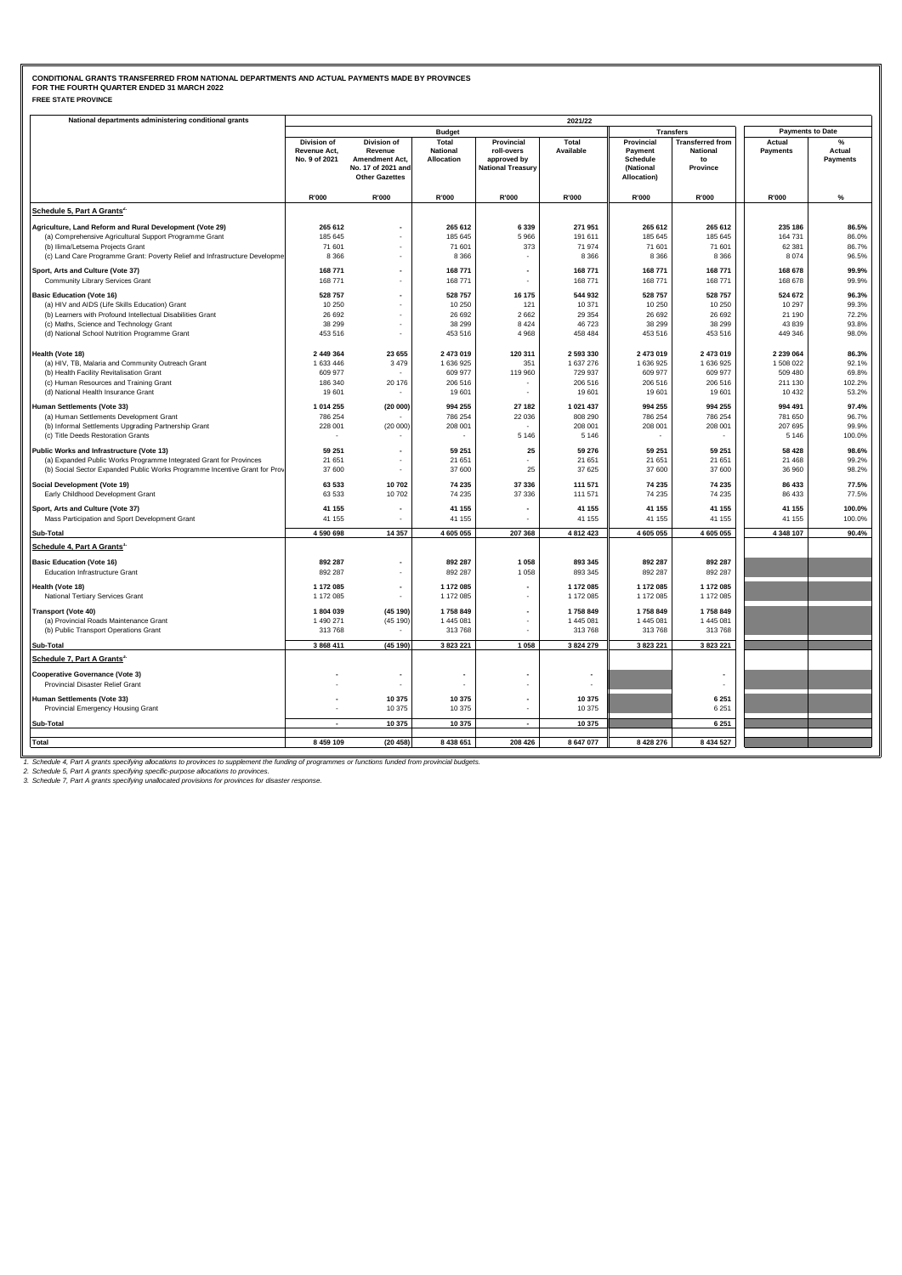### **FREE STATE PROVINCE CONDITIONAL GRANTS TRANSFERRED FROM NATIONAL DEPARTMENTS AND ACTUAL PAYMENTS MADE BY PROVINCES FOR THE FOURTH QUARTER ENDED 31 MARCH 2022**

| National departments administering conditional grants                      |                                              |                                                                                                |                                        |                                                                     | 2021/22               |                                                                      |                                                              |                           |                                |
|----------------------------------------------------------------------------|----------------------------------------------|------------------------------------------------------------------------------------------------|----------------------------------------|---------------------------------------------------------------------|-----------------------|----------------------------------------------------------------------|--------------------------------------------------------------|---------------------------|--------------------------------|
|                                                                            |                                              |                                                                                                | <b>Budget</b>                          |                                                                     |                       |                                                                      | <b>Transfers</b>                                             | <b>Payments to Date</b>   |                                |
|                                                                            | Division of<br>Revenue Act,<br>No. 9 of 2021 | <b>Division of</b><br>Revenue<br>Amendment Act,<br>No. 17 of 2021 and<br><b>Other Gazettes</b> | Total<br><b>National</b><br>Allocation | Provincial<br>roll-overs<br>approved by<br><b>National Treasury</b> | Total<br>Available    | Provincial<br>Payment<br><b>Schedule</b><br>(National<br>Allocation) | <b>Transferred from</b><br><b>National</b><br>to<br>Province | Actual<br><b>Payments</b> | %<br>Actual<br><b>Payments</b> |
|                                                                            | R'000                                        | R'000                                                                                          | R'000                                  | R'000                                                               | R'000                 | R'000                                                                | R'000                                                        | R'000                     | $\%$                           |
| Schedule 5, Part A Grants <sup>2.</sup>                                    |                                              |                                                                                                |                                        |                                                                     |                       |                                                                      |                                                              |                           |                                |
| Agriculture, Land Reform and Rural Development (Vote 29)                   | 265 612                                      |                                                                                                | 265 612                                | 6 3 3 9                                                             | 271 951               | 265 612                                                              | 265 612                                                      | 235 186                   | 86.5%                          |
| (a) Comprehensive Agricultural Support Programme Grant                     | 185 645                                      |                                                                                                | 185 645                                | 5 9 6 6                                                             | 191 611               | 185 645                                                              | 185 645                                                      | 164 731                   | 86.0%                          |
| (b) Ilima/Letsema Projects Grant                                           | 71 601                                       |                                                                                                | 71 601                                 | 373                                                                 | 71 974                | 71 601                                                               | 71 601                                                       | 62 381                    | 86.7%                          |
| (c) Land Care Programme Grant: Poverty Relief and Infrastructure Developme | 8 3 6 6                                      |                                                                                                | 8 3 6 6                                |                                                                     | 8 3 6 6               | 8 3 6 6                                                              | 8 3 6 6                                                      | 8074                      | 96.5%                          |
| Sport, Arts and Culture (Vote 37)                                          | 168771                                       |                                                                                                | 168 771                                |                                                                     | 168 771               | 168 771                                                              | 168 771                                                      | 168 678                   | 99.9%                          |
| Community Library Services Grant                                           | 168 771                                      | ٠                                                                                              | 168 771                                |                                                                     | 168 771               | 168 771                                                              | 168 771                                                      | 168 678                   | 99.9%                          |
| <b>Basic Education (Vote 16)</b>                                           | 528 757                                      |                                                                                                | 528 757                                | 16 175                                                              | 544 932               | 528 757                                                              | 528 757                                                      | 524 672                   | 96.3%                          |
| (a) HIV and AIDS (Life Skills Education) Grant                             | 10 250                                       |                                                                                                | 10 250                                 | 121                                                                 | 10 371                | 10 250                                                               | 10 250                                                       | 10 297                    | 99.3%                          |
| (b) Learners with Profound Intellectual Disabilities Grant                 | 26 692                                       |                                                                                                | 26 692                                 | 2 6 6 2                                                             | 29 3 54               | 26 692                                                               | 26 692                                                       | 21 190                    | 72.2%                          |
| (c) Maths, Science and Technology Grant                                    | 38 299                                       |                                                                                                | 38 299                                 | 8 4 2 4                                                             | 46 723                | 38 299                                                               | 38 299                                                       | 43 839                    | 93.8%                          |
| (d) National School Nutrition Programme Grant                              | 453 516                                      |                                                                                                | 453 516                                | 4 9 6 8                                                             | 458 484               | 453 516                                                              | 453 516                                                      | 449 346                   | 98.0%                          |
| Health (Vote 18)                                                           | 2 449 364                                    | 23 655                                                                                         | 2 473 019                              | 120 311                                                             | 2 593 330             | 2 473 019                                                            | 2 473 019                                                    | 2 239 064                 | 86.3%                          |
| (a) HIV, TB, Malaria and Community Outreach Grant                          | 1 633 446                                    | 3 4 7 9                                                                                        | 1636925                                | 351                                                                 | 1 637 276             | 1 636 925                                                            | 1 636 925                                                    | 1 508 022                 | 92.1%                          |
| (b) Health Facility Revitalisation Grant                                   | 609 977                                      |                                                                                                | 609 977                                | 119 960                                                             | 729 937               | 609 977                                                              | 609 977                                                      | 509 480                   | 69.8%                          |
| (c) Human Resources and Training Grant                                     | 186 340                                      | 20 176                                                                                         | 206 516                                | ٠                                                                   | 206 516               | 206 516                                                              | 206 516                                                      | 211 130                   | 102.2%                         |
| (d) National Health Insurance Grant                                        | 19601                                        |                                                                                                | 19601                                  | ÷,                                                                  | 19 601                | 19 601                                                               | 19 601                                                       | 10 4 32                   | 53.2%                          |
| Human Settlements (Vote 33)                                                | 1 014 255                                    | (20000)                                                                                        | 994 255                                | 27 182                                                              | 1 021 437             | 994 255                                                              | 994 255                                                      | 994 491                   | 97.4%                          |
| (a) Human Settlements Development Grant                                    | 786 254                                      |                                                                                                | 786 254                                | 22 036                                                              | 808 290               | 786 254                                                              | 786 254                                                      | 781 650                   | 96.7%                          |
| (b) Informal Settlements Upgrading Partnership Grant                       | 228 001                                      | (20000)                                                                                        | 208 001                                |                                                                     | 208 001               | 208 001                                                              | 208 001                                                      | 207 695                   | 99.9%                          |
| (c) Title Deeds Restoration Grants                                         |                                              |                                                                                                |                                        | 5 1 4 6                                                             | 5 1 4 6               |                                                                      |                                                              | 5 1 4 6                   | 100.0%                         |
| Public Works and Infrastructure (Vote 13)                                  | 59 251                                       | ٠                                                                                              | 59 251                                 | 25                                                                  | 59 276                | 59 251                                                               | 59 251                                                       | 58 428                    | 98.6%                          |
| (a) Expanded Public Works Programme Integrated Grant for Provinces         | 21 651                                       |                                                                                                | 21 651                                 |                                                                     | 21 651                | 21 651                                                               | 21 651                                                       | 21 4 68                   | 99.2%                          |
| (b) Social Sector Expanded Public Works Programme Incentive Grant for Prov | 37 600                                       |                                                                                                | 37 600                                 | 25                                                                  | 37 625                | 37 600                                                               | 37 600                                                       | 36 960                    | 98.2%                          |
| Social Development (Vote 19)                                               | 63 533                                       | 10702                                                                                          | 74 235                                 | 37 336                                                              | 111 571               | 74 235                                                               | 74 235                                                       | 86 433                    | 77.5%                          |
| Early Childhood Development Grant                                          | 63 533                                       | 10702                                                                                          | 74 235                                 | 37 336                                                              | 111 571               | 74 235                                                               | 74 235                                                       | 86 433                    | 77.5%                          |
| Sport, Arts and Culture (Vote 37)                                          | 41 155                                       | $\overline{a}$                                                                                 | 41 155                                 |                                                                     | 41 155                | 41 155                                                               | 41 155                                                       | 41 155                    | 100.0%                         |
| Mass Participation and Sport Development Grant                             | 41 155                                       |                                                                                                | 41 155                                 |                                                                     | 41 155                | 41 155                                                               | 41 155                                                       | 41 155                    | 100.0%                         |
| Sub-Total                                                                  | 4 590 698                                    | 14 3 5 7                                                                                       | 4 605 055                              | 207 368                                                             | 4 812 423             | 4 605 055                                                            | 4 605 055                                                    | 4 348 107                 | 90.4%                          |
| Schedule 4, Part A Grants'                                                 |                                              |                                                                                                |                                        |                                                                     |                       |                                                                      |                                                              |                           |                                |
| <b>Basic Education (Vote 16)</b>                                           | 892 287                                      |                                                                                                | 892 287                                | 1 0 5 8                                                             | 893 345               | 892 287                                                              | 892 287                                                      |                           |                                |
| Education Infrastructure Grant                                             | 892 287                                      |                                                                                                | 892 287                                | 1 0 5 8                                                             | 893 345               | 892 287                                                              | 892 287                                                      |                           |                                |
| Health (Vote 18)                                                           | 1 172 085                                    | $\overline{a}$                                                                                 | 1 172 085                              |                                                                     | 1 172 085             | 1 172 085                                                            | 1 172 085                                                    |                           |                                |
| National Tertiary Services Grant                                           | 1 172 085                                    | ٠                                                                                              | 1 172 085                              |                                                                     | 1 172 085             | 1 172 085                                                            | 1 172 085                                                    |                           |                                |
|                                                                            |                                              |                                                                                                |                                        |                                                                     |                       |                                                                      |                                                              |                           |                                |
| <b>Transport (Vote 40)</b><br>(a) Provincial Roads Maintenance Grant       | 1804039<br>1 490 271                         | (45190)<br>(45 190)                                                                            | 1758849<br>1 445 081                   | ٠                                                                   | 1758 849<br>1 445 081 | 1758849<br>1 445 081                                                 | 1758849<br>1 445 081                                         |                           |                                |
| (b) Public Transport Operations Grant                                      | 313768                                       |                                                                                                | 313768                                 |                                                                     | 313 768               | 313 768                                                              | 313 768                                                      |                           |                                |
|                                                                            | 3 868 411                                    |                                                                                                | 3 823 221                              | 1 0 5 8                                                             | 3 824 279             | 3 823 221                                                            | 3 823 221                                                    |                           |                                |
| Sub-Total<br>Schedule 7, Part A Grants <sup>3.</sup>                       |                                              | (45190)                                                                                        |                                        |                                                                     |                       |                                                                      |                                                              |                           |                                |
|                                                                            |                                              |                                                                                                |                                        |                                                                     |                       |                                                                      |                                                              |                           |                                |
| <b>Cooperative Governance (Vote 3)</b>                                     |                                              |                                                                                                |                                        |                                                                     |                       |                                                                      |                                                              |                           |                                |
| Provincial Disaster Relief Grant                                           |                                              | ٠                                                                                              |                                        |                                                                     |                       |                                                                      |                                                              |                           |                                |
| Human Settlements (Vote 33)                                                |                                              | 10 375                                                                                         | 10 375                                 | $\overline{\phantom{a}}$                                            | 10 375                |                                                                      | 6 2 5 1                                                      |                           |                                |
| Provincial Emergency Housing Grant                                         |                                              | 10 375                                                                                         | 10 375                                 |                                                                     | 10 375                |                                                                      | 6 2 5 1                                                      |                           |                                |
| Sub-Total                                                                  |                                              | 10 375                                                                                         | 10 375                                 | $\blacksquare$                                                      | 10 375                |                                                                      | 6 2 5 1                                                      |                           |                                |
|                                                                            |                                              |                                                                                                |                                        |                                                                     |                       |                                                                      |                                                              |                           |                                |
| <b>Total</b>                                                               | 8 459 109                                    | (20458)                                                                                        | 8 4 3 8 6 5 1                          | 208 426                                                             | 8 647 077             | 8 4 28 276                                                           | 8 434 527                                                    |                           |                                |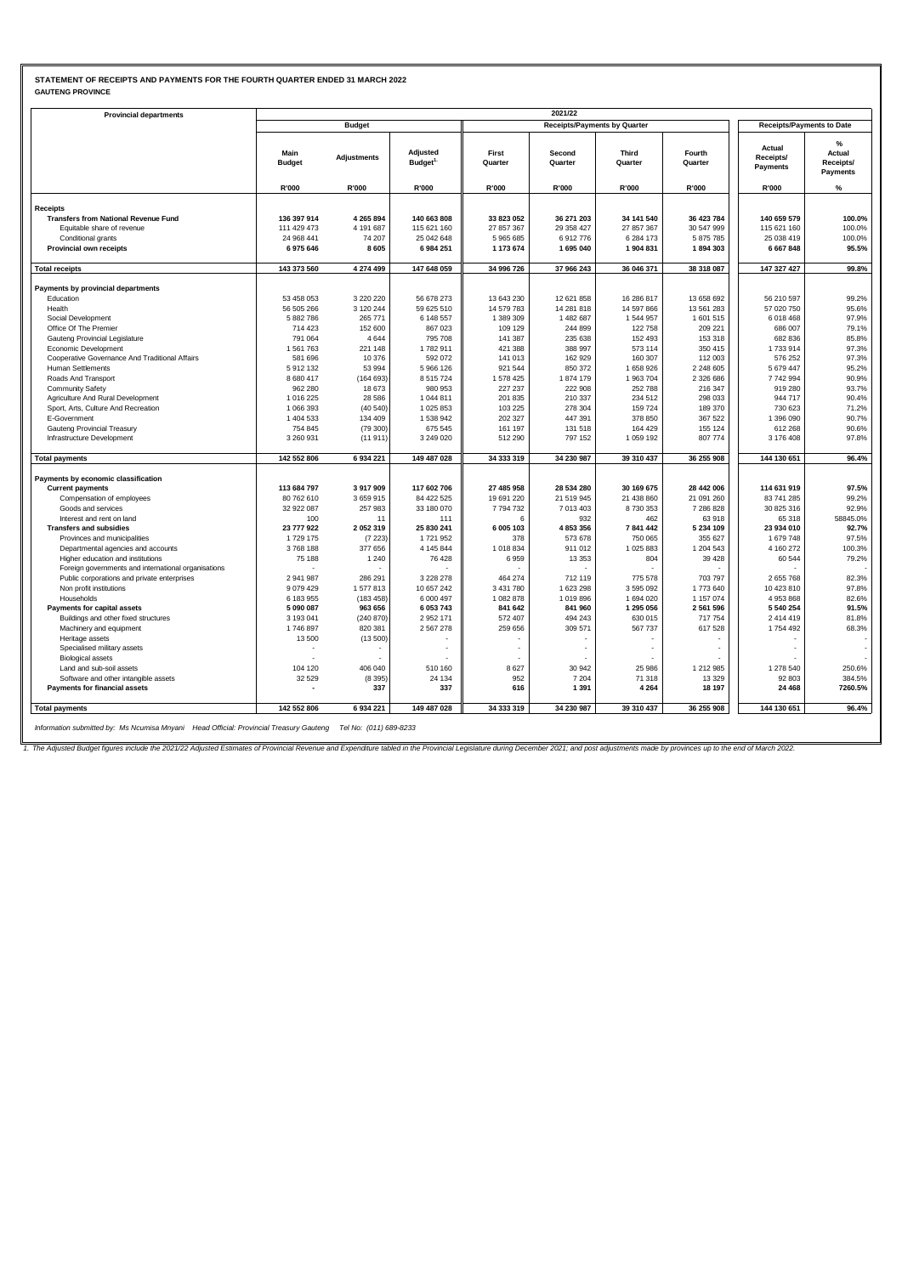## **STATEMENT OF RECEIPTS AND PAYMENTS FOR THE FOURTH QUARTER ENDED 31 MARCH 2022 GAUTENG PROVINCE**

| <b>Provincial departments</b>                           |                          |                    |                                  |                  | 2021/22                             |                  |                   |                                  |                                                         |
|---------------------------------------------------------|--------------------------|--------------------|----------------------------------|------------------|-------------------------------------|------------------|-------------------|----------------------------------|---------------------------------------------------------|
|                                                         |                          | <b>Budget</b>      |                                  |                  | <b>Receipts/Payments by Quarter</b> |                  |                   | <b>Receipts/Payments to Date</b> |                                                         |
|                                                         | Main<br><b>Budget</b>    | <b>Adiustments</b> | Adjusted<br>Budget <sup>1.</sup> | First<br>Quarter | Second<br>Quarter                   | Third<br>Quarter | Fourth<br>Quarter | Actual<br>Receipts/<br>Payments  | $\frac{9}{6}$<br>Actual<br>Receipts/<br><b>Payments</b> |
|                                                         | R'000                    | R'000              | R'000                            | R'000            | R'000                               | R'000            | R'000             | R'000                            | %                                                       |
| <b>Receipts</b>                                         |                          |                    |                                  |                  |                                     |                  |                   |                                  |                                                         |
| <b>Transfers from National Revenue Fund</b>             | 136 397 914              | 4 265 894          | 140 663 808                      | 33 823 052       | 36 271 203                          | 34 141 540       | 36 423 784        | 140 659 579                      | 100.0%                                                  |
| Equitable share of revenue                              | 111 429 473              | 4 191 687          | 115 621 160                      | 27 857 367       | 29 358 427                          | 27 857 367       | 30 547 999        | 115 621 160                      | 100.0%                                                  |
| Conditional grants                                      | 24 968 441               | 74 207             | 25 042 648                       | 5965685          | 6912776                             | 6 284 173        | 5 875 785         | 25 038 419                       | 100.0%                                                  |
| Provincial own receipts                                 | 6975646                  | 8605               | 6 984 251                        | 1 173 674        | 1695040                             | 1 904 831        | 1894303           | 6 667 848                        | 95.5%                                                   |
| <b>Total receipts</b>                                   | 143 373 560              | 4 274 499          | 147 648 059                      | 34 996 726       | 37 966 243                          | 36 046 371       | 38 318 087        | 147 327 427                      | 99.8%                                                   |
|                                                         |                          |                    |                                  |                  |                                     |                  |                   |                                  |                                                         |
| Payments by provincial departments                      |                          |                    |                                  |                  |                                     |                  |                   |                                  |                                                         |
| Education                                               | 53 458 053               | 3 2 2 0 2 2 0      | 56 678 273                       | 13 643 230       | 12 621 858                          | 16 286 817       | 13 658 692        | 56 210 597                       | 99.2%                                                   |
| Health                                                  | 56 505 266               | 3 1 2 0 2 4 4      | 59 625 510                       | 14 579 783       | 14 281 818                          | 14 597 866       | 13 561 283        | 57 020 750                       | 95.6%                                                   |
| Social Development                                      | 5 882 786                | 265 771            | 6 148 557                        | 1 389 309        | 1 482 687                           | 1 544 957        | 1 601 515         | 6 018 468                        | 97.9%                                                   |
| Office Of The Premier                                   | 714 423                  | 152 600            | 867 023                          | 109 129          | 244 899                             | 122 758          | 209 221           | 686 007                          | 79.1%                                                   |
| Gauteng Provincial Legislature                          | 791 064                  | 4644               | 795 708                          | 141 387          | 235 638                             | 152 493          | 153 318           | 682 836                          | 85.8%                                                   |
| Economic Development                                    | 1561763                  | 221 148            | 1782911                          | 421 388          | 388 997                             | 573 114          | 350 415           | 1733914                          | 97.3%                                                   |
| Cooperative Governance And Traditional Affairs          | 581 696                  | 10 376             | 592 072                          | 141 013          | 162 929                             | 160 307          | 112 003           | 576 252                          | 97.3%                                                   |
| Human Settlements                                       | 5 912 132                | 53 994             | 5 966 126                        | 921 544          | 850 372                             | 1 658 926        | 2 248 605         | 5 679 447                        | 95.2%                                                   |
| Roads And Transport                                     | 8 680 417                | (164693)           | 8 5 1 5 7 2 4                    | 1 578 425        | 1874 179                            | 1 963 704        | 2 326 686         | 7742994                          | 90.9%                                                   |
| <b>Community Safety</b>                                 | 962 280                  | 18673              | 980 953                          | 227 237          | 222 908                             | 252 788          | 216 347           | 919 280                          | 93.7%                                                   |
| Agriculture And Rural Development                       | 1 016 225                | 28 5 86            | 1 044 811                        | 201 835          | 210 337                             | 234 512          | 298 033           | 944 717                          | 90.4%                                                   |
| Sport, Arts, Culture And Recreation                     | 1 066 393                | (40540)            | 1 025 853                        | 103 225          | 278 304                             | 159 724          | 189 370           | 730 623                          | 71.2%                                                   |
| E-Government                                            | 1 404 533                | 134 409            | 1 538 942                        | 202 327          | 447 391                             | 378 850          | 367 522           | 1 396 090                        | 90.7%                                                   |
| Gauteng Provincial Treasury                             | 754 845                  | (79300)            | 675 545                          | 161 197          | 131 518                             | 164 429          | 155 124           | 612 268                          | 90.6%                                                   |
| Infrastructure Development                              | 3 260 931                | (11911)            | 3 249 020                        | 512 290          | 797 152                             | 1 059 192        | 807 774           | 3 176 408                        | 97.8%                                                   |
| <b>Total payments</b>                                   | 142 552 806              | 6934221            | 149 487 028                      | 34 333 319       | 34 230 987                          | 39 310 437       | 36 255 908        | 144 130 651                      | 96.4%                                                   |
| Payments by economic classification                     |                          |                    |                                  |                  |                                     |                  |                   |                                  |                                                         |
| <b>Current payments</b>                                 | 113 684 797              | 3917909            | 117 602 706                      | 27 485 958       | 28 534 280                          | 30 169 675       | 28 442 006        | 114 631 919                      | 97.5%                                                   |
| Compensation of employees                               | 80 762 610               | 3659915            | 84 422 525                       | 19 691 220       | 21 519 945                          | 21 438 860       | 21 091 260        | 83 741 285                       | 99.2%                                                   |
| Goods and services                                      | 32 922 087               | 257 983            | 33 180 070                       | 7 794 732        | 7 013 403                           | 8 730 353        | 7 286 828         | 30 825 316                       | 92.9%                                                   |
| Interest and rent on land                               | 100                      | 11                 | 111                              | 6                | 932                                 | 462              | 63 918            | 65 318                           | 58845.0%                                                |
| <b>Transfers and subsidies</b>                          | 23 777 922               | 2052319            | 25 830 241                       | 6 005 103        | 4 853 356                           | 7841442          | 5 234 109         | 23 934 010                       | 92.7%                                                   |
| Provinces and municipalities                            | 1729 175                 | (7223)             | 1721952                          | 378              | 573 678                             | 750 065          | 355 627           | 1 679 748                        | 97.5%                                                   |
| Departmental agencies and accounts                      | 3768188                  | 377 656            | 4 145 844                        | 1 018 834        | 911 012                             | 1 025 883        | 1 204 543         | 4 160 272                        | 100.3%                                                  |
| Higher education and institutions                       | 75 188                   | 1 2 4 0            | 76 428                           | 6959             | 13 3 5 3                            | 804              | 39 4 28           | 60 544                           | 79.2%                                                   |
| Foreign governments and international organisations     |                          |                    |                                  |                  |                                     |                  |                   |                                  |                                                         |
| Public corporations and private enterprises             | 2 941 987                | 286 291            | 3 2 2 2 2 7 8                    | 464 274          | 712 119                             | 775 578          | 703 797           | 2 655 768                        | 82.3%                                                   |
| Non profit institutions                                 | 9 0 7 9 4 2 9            | 1577813            | 10 657 242                       | 3 431 780        | 1 623 298                           | 3 595 092        | 1773 640          | 10 423 810                       | 97.8%                                                   |
| Households                                              | 6 183 955                | (183 458)          | 6 000 497                        | 1 082 878        | 1 019 896                           | 1 694 020        | 1 157 074         | 4 953 868                        | 82.6%                                                   |
| Payments for capital assets                             | 5 090 087                | 963 656            | 6 053 743                        | 841 642          | 841 960                             | 1 295 056        | 2 561 596         | 5 540 254                        | 91.5%                                                   |
| Buildings and other fixed structures                    | 3 193 041                | (240 870)          | 2 952 171                        | 572 407          | 494 243                             | 630 015          | 717 754           | 2 414 419                        | 81.8%                                                   |
| Machinery and equipment                                 | 1746897                  | 820 381            | 2 567 278                        | 259 656          | 309 571                             | 567 737          | 617 528           | 1754 492                         | 68.3%                                                   |
| Heritage assets                                         | 13 500                   | (13500)            |                                  |                  |                                     |                  |                   |                                  |                                                         |
| Specialised military assets<br><b>Biological assets</b> |                          |                    |                                  |                  | ÷                                   |                  |                   |                                  |                                                         |
| Land and sub-soil assets                                | 104 120                  | 406 040            | 510 160                          | 8627             | 30 942                              | 25 986           | 1 212 985         | 1 278 540                        | 250.6%                                                  |
| Software and other intangible assets                    | 32 5 29                  | (8395)             | 24 134                           | 952              | 7 2 0 4                             | 71 318           | 13 3 29           | 92 803                           | 384.5%                                                  |
| Payments for financial assets                           | $\overline{\phantom{a}}$ | 337                | 337                              | 616              | 1 3 9 1                             | 4 2 6 4          | 18 197            | 24 4 68                          | 7260.5%                                                 |
| <b>Total payments</b>                                   | 142 552 806              | 6934221            | 149 487 028                      | 34 333 319       | 34 230 987                          | 39 310 437       | 36 255 908        | 144 130 651                      | 96.4%                                                   |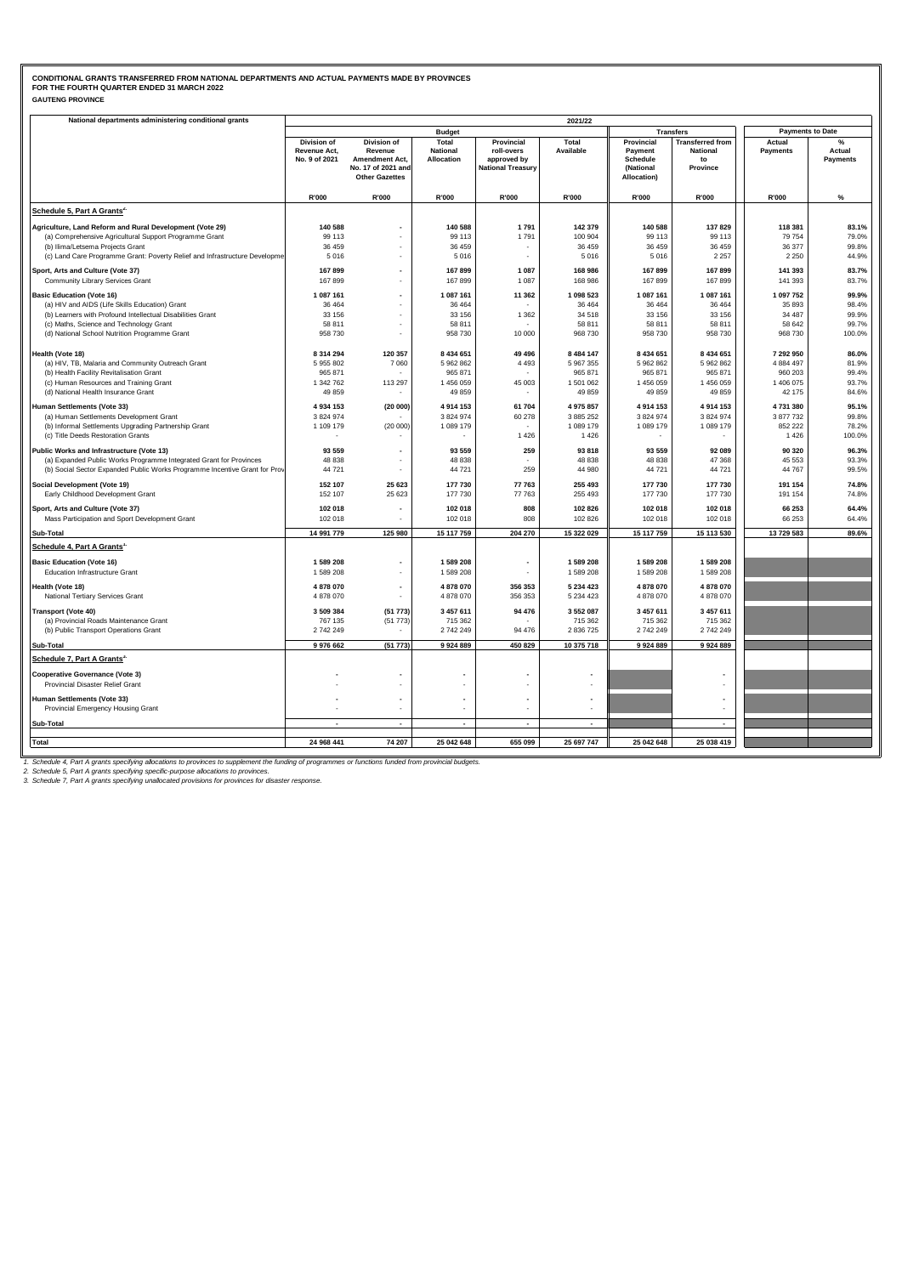### **GAUTENG PROVINCE CONDITIONAL GRANTS TRANSFERRED FROM NATIONAL DEPARTMENTS AND ACTUAL PAYMENTS MADE BY PROVINCES FOR THE FOURTH QUARTER ENDED 31 MARCH 2022**

| National departments administering conditional grants                               |                                              |                                                                                                |                                        |                                                                     | 2021/22                |                                                                      |                                                              |                           |                                |
|-------------------------------------------------------------------------------------|----------------------------------------------|------------------------------------------------------------------------------------------------|----------------------------------------|---------------------------------------------------------------------|------------------------|----------------------------------------------------------------------|--------------------------------------------------------------|---------------------------|--------------------------------|
|                                                                                     |                                              |                                                                                                | <b>Budget</b>                          |                                                                     |                        | <b>Transfers</b>                                                     |                                                              | <b>Payments to Date</b>   |                                |
|                                                                                     | Division of<br>Revenue Act,<br>No. 9 of 2021 | Division of<br>Revenue<br><b>Amendment Act,</b><br>No. 17 of 2021 and<br><b>Other Gazettes</b> | Total<br><b>National</b><br>Allocation | Provincial<br>roll-overs<br>approved by<br><b>National Treasury</b> | Total<br>Available     | Provincial<br>Payment<br><b>Schedule</b><br>(National<br>Allocation) | <b>Transferred from</b><br><b>National</b><br>to<br>Province | Actual<br><b>Payments</b> | %<br>Actual<br><b>Payments</b> |
|                                                                                     | R'000                                        | R'000                                                                                          | R'000                                  | R'000                                                               | R'000                  | R'000                                                                | R'000                                                        | R'000                     | $\%$                           |
| Schedule 5, Part A Grants <sup>2.</sup>                                             |                                              |                                                                                                |                                        |                                                                     |                        |                                                                      |                                                              |                           |                                |
| Agriculture, Land Reform and Rural Development (Vote 29)                            | 140 588                                      |                                                                                                | 140 588                                | 1791                                                                | 142 379                | 140 588                                                              | 137 829                                                      | 118 381                   | 83.1%                          |
| (a) Comprehensive Agricultural Support Programme Grant                              | 99 113                                       |                                                                                                | 99 113                                 | 1791                                                                | 100 904                | 99 113                                                               | 99 113                                                       | 79 754                    | 79.0%                          |
| (b) Ilima/Letsema Projects Grant                                                    | 36 459                                       |                                                                                                | 36 459                                 |                                                                     | 36 459                 | 36 459                                                               | 36 459                                                       | 36 377                    | 99.8%                          |
| (c) Land Care Programme Grant: Poverty Relief and Infrastructure Developme          | 5016                                         |                                                                                                | 5016                                   | ٠                                                                   | 5 0 16                 | 5016                                                                 | 2 2 5 7                                                      | 2 2 5 0                   | 44.9%                          |
| Sport, Arts and Culture (Vote 37)                                                   | 167899                                       |                                                                                                | 167899                                 | 1 0 8 7                                                             | 168 986                | 167 899                                                              | 167 899                                                      | 141 393                   | 83.7%                          |
| Community Library Services Grant                                                    | 167899                                       | ٠                                                                                              | 167899                                 | 1 0 8 7                                                             | 168 986                | 167 899                                                              | 167 899                                                      | 141 393                   | 83.7%                          |
| <b>Basic Education (Vote 16)</b>                                                    | 1 087 161                                    | $\overline{\phantom{a}}$                                                                       | 1 087 161                              | 11 362                                                              | 1 098 523              | 1 087 161                                                            | 1 087 161                                                    | 1 097 752                 | 99.9%                          |
| (a) HIV and AIDS (Life Skills Education) Grant                                      | 36 4 64                                      |                                                                                                | 36 4 64                                |                                                                     | 36 4 64                | 36 4 64                                                              | 36 4 64                                                      | 35 893                    | 98.4%                          |
| (b) Learners with Profound Intellectual Disabilities Grant                          | 33 156                                       |                                                                                                | 33 156                                 | 1 3 6 2                                                             | 34 518                 | 33 156                                                               | 33 156                                                       | 34 487                    | 99.9%                          |
| (c) Maths, Science and Technology Grant                                             | 58 811                                       |                                                                                                | 58 811                                 |                                                                     | 58 811                 | 58 811                                                               | 58 811                                                       | 58 642                    | 99.7%                          |
| (d) National School Nutrition Programme Grant                                       | 958 730                                      |                                                                                                | 958 730                                | 10 000                                                              | 968 730                | 958 730                                                              | 958 730                                                      | 968 730                   | 100.0%                         |
|                                                                                     |                                              |                                                                                                | 8 434 651                              | 49 4 96                                                             |                        |                                                                      |                                                              |                           |                                |
| Health (Vote 18)<br>(a) HIV, TB, Malaria and Community Outreach Grant               | 8 3 1 4 2 9 4<br>5 955 802                   | 120 357<br>7060                                                                                | 5 962 862                              | 4 4 9 3                                                             | 8 484 147<br>5 967 355 | 8 434 651<br>5 962 862                                               | 8 434 651<br>5 962 862                                       | 7 292 950<br>4 884 497    | 86.0%<br>81.9%                 |
| (b) Health Facility Revitalisation Grant                                            | 965 871                                      |                                                                                                | 965 871                                |                                                                     | 965 871                | 965 871                                                              | 965 871                                                      | 960 203                   | 99.4%                          |
| (c) Human Resources and Training Grant                                              | 1 342 762                                    | 113 297                                                                                        | 1456059                                | 45 003                                                              | 1 501 062              | 1 456 059                                                            | 1 456 059                                                    | 1 406 075                 | 93.7%                          |
| (d) National Health Insurance Grant                                                 | 49 859                                       |                                                                                                | 49 859                                 |                                                                     | 49 859                 | 49 859                                                               | 49 859                                                       | 42 175                    | 84.6%                          |
| Human Settlements (Vote 33)                                                         | 4 934 153                                    | (20000)                                                                                        | 4914153                                | 61 704                                                              | 4 975 857              | 4 914 153                                                            | 4 914 153                                                    | 4731380                   | 95.1%                          |
| (a) Human Settlements Development Grant                                             | 3 824 974                                    |                                                                                                | 3 8 2 4 9 7 4                          | 60 278                                                              | 3 885 252              | 3 824 974                                                            | 3 824 974                                                    | 3 877 732                 | 99.8%                          |
| (b) Informal Settlements Upgrading Partnership Grant                                | 1 109 179                                    | (20000)                                                                                        | 1 089 179                              |                                                                     | 1 089 179              | 1 089 179                                                            | 1 089 179                                                    | 852 222                   | 78.2%                          |
| (c) Title Deeds Restoration Grants                                                  |                                              |                                                                                                |                                        | 1 4 2 6                                                             | 1 4 2 6                |                                                                      |                                                              | 1426                      | 100.0%                         |
| Public Works and Infrastructure (Vote 13)                                           | 93 559                                       | $\overline{\phantom{a}}$                                                                       | 93 559                                 | 259                                                                 | 93 818                 | 93 559                                                               | 92 089                                                       | 90 320                    | 96.3%                          |
| (a) Expanded Public Works Programme Integrated Grant for Provinces                  | 48 838                                       |                                                                                                | 48 838                                 |                                                                     | 48 838                 | 48 838                                                               | 47 368                                                       | 45 553                    | 93.3%                          |
| (b) Social Sector Expanded Public Works Programme Incentive Grant for Prov          | 44 721                                       | $\overline{a}$                                                                                 | 44 721                                 | 259                                                                 | 44 980                 | 44 721                                                               | 44 721                                                       | 44 767                    | 99.5%                          |
|                                                                                     | 152 107                                      | 25 6 23                                                                                        | 177 730                                | 77 763                                                              | 255 493                | 177 730                                                              | 177 730                                                      | 191 154                   | 74.8%                          |
| Social Development (Vote 19)<br>Early Childhood Development Grant                   | 152 107                                      | 25 6 23                                                                                        | 177 730                                | 77 763                                                              | 255 493                | 177 730                                                              | 177 730                                                      | 191 154                   | 74.8%                          |
|                                                                                     |                                              |                                                                                                |                                        |                                                                     |                        |                                                                      |                                                              |                           |                                |
| Sport, Arts and Culture (Vote 37)<br>Mass Participation and Sport Development Grant | 102 018<br>102 018                           | $\overline{\phantom{a}}$                                                                       | 102 018<br>102 018                     | 808<br>808                                                          | 102 826<br>102 826     | 102 018<br>102 018                                                   | 102 018<br>102 018                                           | 66 253<br>66 253          | 64.4%<br>64.4%                 |
| Sub-Total                                                                           | 14 991 779                                   | 125 980                                                                                        | 15 117 759                             | 204 270                                                             | 15 322 029             | 15 117 759                                                           | 15 113 530                                                   | 13 729 583                | 89.6%                          |
|                                                                                     |                                              |                                                                                                |                                        |                                                                     |                        |                                                                      |                                                              |                           |                                |
| Schedule 4, Part A Grants'                                                          |                                              |                                                                                                |                                        |                                                                     |                        |                                                                      |                                                              |                           |                                |
| <b>Basic Education (Vote 16)</b>                                                    | 1 589 208                                    |                                                                                                | 1589208                                |                                                                     | 1 589 208              | 1 589 208                                                            | 1589 208                                                     |                           |                                |
| <b>Education Infrastructure Grant</b>                                               | 1 589 208                                    | ÷,                                                                                             | 1589208                                | ÷,                                                                  | 1 589 208              | 1 589 208                                                            | 1 589 208                                                    |                           |                                |
| Health (Vote 18)                                                                    | 4 878 070                                    | $\overline{a}$                                                                                 | 4 878 070                              | 356 353                                                             | 5 234 423              | 4 878 070                                                            | 4 878 070                                                    |                           |                                |
| National Tertiary Services Grant                                                    | 4878070                                      |                                                                                                | 4 878 070                              | 356 353                                                             | 5 234 423              | 4 878 070                                                            | 4 878 070                                                    |                           |                                |
| <b>Transport (Vote 40)</b>                                                          | 3 509 384                                    | (51773)                                                                                        | 3 457 611                              | 94 476                                                              | 3 552 087              | 3 457 611                                                            | 3 457 611                                                    |                           |                                |
| (a) Provincial Roads Maintenance Grant                                              | 767 135                                      | (51773)                                                                                        | 715 362                                |                                                                     | 715 362                | 715 362                                                              | 715 362                                                      |                           |                                |
| (b) Public Transport Operations Grant                                               | 2 742 249                                    |                                                                                                | 2742249                                | 94 476                                                              | 2 836 725              | 2 742 249                                                            | 2 742 249                                                    |                           |                                |
| Sub-Total                                                                           | 9 976 662                                    | (51 773)                                                                                       | 9924889                                | 450 829                                                             | 10 375 718             | 9 9 2 4 8 8 9                                                        | 9 9 2 4 8 8 9                                                |                           |                                |
| Schedule 7, Part A Grants <sup>3.</sup>                                             |                                              |                                                                                                |                                        |                                                                     |                        |                                                                      |                                                              |                           |                                |
|                                                                                     |                                              |                                                                                                |                                        |                                                                     |                        |                                                                      |                                                              |                           |                                |
| <b>Cooperative Governance (Vote 3)</b><br>Provincial Disaster Relief Grant          |                                              |                                                                                                |                                        |                                                                     |                        |                                                                      |                                                              |                           |                                |
|                                                                                     |                                              |                                                                                                |                                        |                                                                     |                        |                                                                      |                                                              |                           |                                |
| Human Settlements (Vote 33)                                                         |                                              | $\overline{\phantom{a}}$<br>٠                                                                  |                                        | ÷.                                                                  |                        |                                                                      |                                                              |                           |                                |
| Provincial Emergency Housing Grant                                                  |                                              |                                                                                                |                                        |                                                                     |                        |                                                                      |                                                              |                           |                                |
| Sub-Total                                                                           |                                              | $\sim$                                                                                         | $\overline{\phantom{a}}$               | $\overline{\phantom{a}}$                                            |                        |                                                                      | ٠                                                            |                           |                                |
| <b>Total</b>                                                                        | 24 968 441                                   | 74 207                                                                                         | 25 042 648                             | 655 099                                                             | 25 697 747             | 25 042 648                                                           | 25 038 419                                                   |                           |                                |
|                                                                                     |                                              |                                                                                                |                                        |                                                                     |                        |                                                                      |                                                              |                           |                                |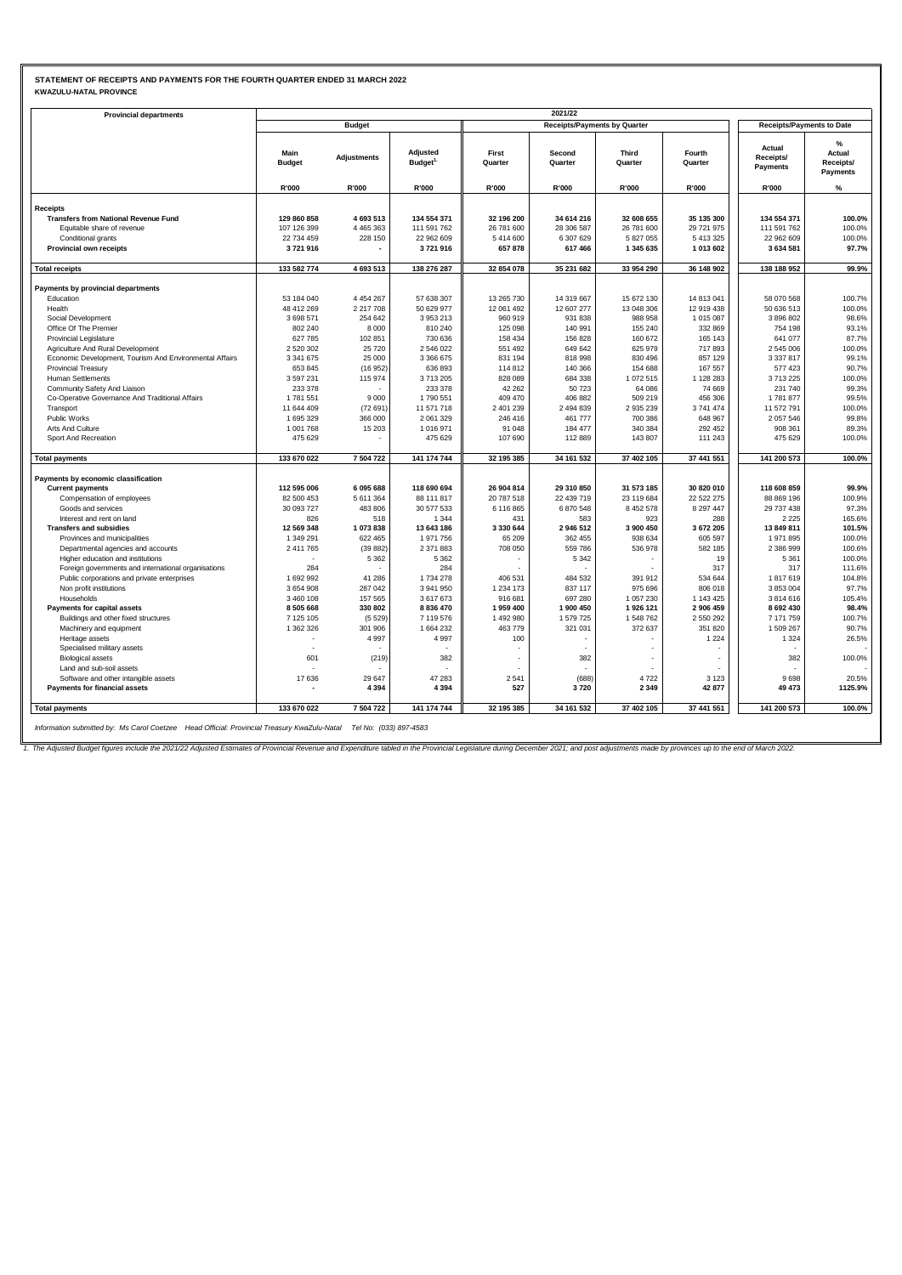# **STATEMENT OF RECEIPTS AND PAYMENTS FOR THE FOURTH QUARTER ENDED 31 MARCH 2022 KWAZULU-NATAL PROVINCE**

| <b>Provincial departments</b>                                       |                        |                    |                                  |                      | 2021/22                             |                        |                        |                                  |                                             |
|---------------------------------------------------------------------|------------------------|--------------------|----------------------------------|----------------------|-------------------------------------|------------------------|------------------------|----------------------------------|---------------------------------------------|
|                                                                     |                        | <b>Budget</b>      |                                  |                      | <b>Receipts/Payments by Quarter</b> |                        |                        | <b>Receipts/Payments to Date</b> |                                             |
|                                                                     | Main<br><b>Budget</b>  | <b>Adjustments</b> | Adjusted<br>Budget <sup>1.</sup> | First<br>Quarter     | Second<br>Quarter                   | Third<br>Quarter       | Fourth<br>Quarter      | Actual<br>Receipts/<br>Payments  | %<br>Actual<br>Receipts/<br><b>Payments</b> |
|                                                                     | R'000                  | R'000              | R'000                            | R'000                | R'000                               | R'000                  | R'000                  | R'000                            | %                                           |
| <b>Receipts</b>                                                     |                        |                    |                                  |                      |                                     |                        |                        |                                  |                                             |
| <b>Transfers from National Revenue Fund</b>                         | 129 860 858            | 4 693 513          | 134 554 371                      | 32 196 200           | 34 614 216                          | 32 608 655             | 35 135 300             | 134 554 371                      | 100.0%                                      |
| Equitable share of revenue                                          | 107 126 399            | 4 4 6 5 3 6 3      | 111 591 762                      | 26 781 600           | 28 306 587                          | 26 781 600             | 29 721 975             | 111 591 762                      | 100.0%                                      |
| Conditional grants                                                  | 22 734 459             | 228 150            | 22 962 609                       | 5 414 600            | 6 307 629                           | 5 827 055              | 5 413 325              | 22 962 609                       | 100.0%                                      |
| Provincial own receipts                                             | 3721916                |                    | 3721916                          | 657878               | 617 466                             | 1 345 635              | 1 013 602              | 3 634 581                        | 97.7%                                       |
| <b>Total receipts</b>                                               | 133 582 774            | 4 693 513          | 138 276 287                      | 32 854 078           | 35 231 682                          | 33 954 290             | 36 148 902             | 138 188 952                      | 99.9%                                       |
| Payments by provincial departments                                  |                        |                    |                                  |                      |                                     |                        |                        |                                  |                                             |
| Education                                                           | 53 184 040             | 4 4 5 4 2 6 7      | 57 638 307                       | 13 265 730           | 14 319 667                          | 15 672 130             | 14 813 041             | 58 070 568                       | 100.7%                                      |
| Health                                                              | 48 412 269             | 2 2 1 7 7 0 8      | 50 629 977                       | 12 061 492           | 12 607 277                          | 13 048 306             | 12 919 438             | 50 636 513                       | 100.0%                                      |
| Social Development                                                  | 3 698 571              | 254 642            | 3 953 213                        | 960 919              | 931 838                             | 988 958                | 1 015 087              | 3 896 802                        | 98.6%                                       |
| Office Of The Premier                                               | 802 240                | 8 0 0 0            | 810 240                          | 125 098              | 140 991                             | 155 240                | 332 869                | 754 198                          | 93.1%                                       |
| <b>Provincial Legislature</b>                                       | 627 785                | 102 851            | 730 636                          | 158 434              | 156 828                             | 160 672                | 165 143                | 641 077                          | 87.7%                                       |
| Agriculture And Rural Development                                   | 2 520 302              | 25720              | 2 546 022                        | 551 492              | 649 642                             | 625 979                | 717893                 | 2 545 006                        | 100.0%                                      |
| Economic Development, Tourism And Environmental Affairs             | 3 341 675              | 25 000             | 3 366 675                        | 831 194              | 818 998                             | 830 496                | 857 129                | 3 3 3 7 8 1 7                    | 99.1%                                       |
| <b>Provincial Treasury</b>                                          | 653 845                | (16952)            | 636 893                          | 114 812              | 140 366                             | 154 688                | 167 557                | 577 423                          | 90.7%                                       |
| Human Settlements                                                   | 3 597 231              | 115 974            | 3713205                          | 828 089              | 684 338                             | 1 072 515              | 1 128 283              | 3713225                          | 100.0%                                      |
| Community Safety And Liaison                                        | 233 378                |                    | 233 378                          | 42 262               | 50 723                              | 64 086                 | 74 669                 | 231 740                          | 99.3%                                       |
| Co-Operative Governance And Traditional Affairs                     | 1781551                | 9000               | 1790 551                         | 409 470              | 406 882                             | 509 219                | 456 306                | 1781877                          | 99.5%                                       |
| Transport                                                           | 11 644 409             | (72691)            | 11 571 718                       | 2 401 239            | 2 494 839                           | 2 935 239              | 3741474                | 11 572 791                       | 100.0%                                      |
| Public Works                                                        | 1 695 329              | 366 000            | 2 061 329                        | 246 416              | 461 777                             | 700 386                | 648 967                | 2 057 546                        | 99.8%                                       |
| Arts And Culture                                                    | 1 001 768              | 15 20 3            | 1 016 971                        | 91 048               | 184 477                             | 340 384                | 292 452                | 908 361                          | 89.3%                                       |
| Sport And Recreation                                                | 475 629                |                    | 475 629                          | 107 690              | 112889                              | 143 807                | 111 243                | 475 629                          | 100.0%                                      |
| <b>Total payments</b>                                               | 133 670 022            | 7504722            | 141 174 744                      | 32 195 385           | 34 161 532                          | 37 402 105             | 37 441 551             | 141 200 573                      | 100.0%                                      |
| Payments by economic classification                                 |                        |                    |                                  |                      |                                     |                        |                        |                                  |                                             |
| <b>Current payments</b>                                             | 112 595 006            | 6095688            | 118 690 694                      | 26 904 814           | 29 310 850                          | 31 573 185             | 30 820 010             | 118 608 859                      | 99.9%                                       |
| Compensation of employees                                           | 82 500 453             | 5 611 364          | 88 111 817                       | 20 787 518           | 22 439 719                          | 23 119 684             | 22 522 275             | 88 869 196                       | 100.9%                                      |
| Goods and services                                                  | 30 093 727             | 483 806            | 30 577 533                       | 6 116 865            | 6 870 548                           | 8 452 578              | 8 297 447              | 29 737 438                       | 97.3%                                       |
| Interest and rent on land                                           | 826                    | 518                | 1 3 4 4                          | 431                  | 583                                 | 923                    | 288                    | 2 2 2 5                          | 165.6%                                      |
| <b>Transfers and subsidies</b>                                      | 12 569 348             | 1073838            | 13 643 186                       | 3 330 644            | 2 946 512                           | 3 900 450              | 3 672 205              | 13 849 811                       | 101.5%                                      |
| Provinces and municipalities                                        | 1 349 291              | 622 465            | 1971756                          | 65 209               | 362 455                             | 938 634                | 605 597                | 1971895                          | 100.0%                                      |
| Departmental agencies and accounts                                  | 2 411 765              | (39882)            | 2 371 883                        | 708 050              | 559 786                             | 536 978                | 582 185                | 2 386 999                        | 100.6%                                      |
| Higher education and institutions                                   |                        | 5 3 6 2            | 5 3 6 2                          |                      | 5 3 4 2                             |                        | 19                     | 5 3 6 1                          | 100.0%                                      |
| Foreign governments and international organisations                 | 284                    |                    | 284                              |                      |                                     |                        | 317                    | 317                              | 111.6%                                      |
| Public corporations and private enterprises                         | 1 692 992              | 41 28 6            | 1734 278                         | 406 531              | 484 532                             | 391 912                | 534 644                | 1817619                          | 104.8%                                      |
| Non profit institutions                                             | 3 654 908              | 287 042            | 3 941 950                        | 1 234 173            | 837 117                             | 975 696                | 806 018                | 3 853 004                        | 97.7%                                       |
| Households                                                          | 3 460 108<br>8 505 668 | 157 565<br>330 802 | 3617673<br>8 836 470             | 916 681<br>1 959 400 | 697 280<br>1 900 450                | 1 057 230<br>1 926 121 | 1 143 425<br>2 906 459 | 3814616<br>8 692 430             | 105.4%<br>98.4%                             |
| Payments for capital assets<br>Buildings and other fixed structures | 7 125 105              | (5529)             | 7 119 576                        | 1 492 980            | 1 579 725                           | 1 548 762              | 2 550 292              | 7 171 759                        | 100.7%                                      |
| Machinery and equipment                                             | 1 362 326              | 301 906            | 1 664 232                        | 463 779              | 321 031                             | 372 637                | 351 820                | 1 509 267                        | 90.7%                                       |
| Heritage assets                                                     |                        | 4 9 9 7            | 4 9 9 7                          | 100                  |                                     |                        | 1 2 2 4                | 1 3 2 4                          | 26.5%                                       |
| Specialised military assets                                         |                        |                    |                                  |                      |                                     |                        |                        |                                  |                                             |
| <b>Biological assets</b>                                            | 601                    | (219)              | 382                              |                      | 382                                 |                        |                        | 382                              | 100.0%                                      |
| Land and sub-soil assets                                            |                        |                    |                                  |                      |                                     |                        |                        |                                  |                                             |
| Software and other intangible assets                                | 17 636                 | 29 647             | 47 283                           | 2541                 | (688)                               | 4722                   | 3 1 2 3                | 9698                             | 20.5%                                       |
| Payments for financial assets                                       |                        | 4 3 9 4            | 4 3 9 4                          | 527                  | 3720                                | 2 3 4 9                | 42 877                 | 49 473                           | 1125.9%                                     |
| <b>Total payments</b>                                               | 133 670 022            | 7504722            | 141 174 744                      | 32 195 385           | 34 161 532                          | 37 402 105             | 37 441 551             | 141 200 573                      | 100.0%                                      |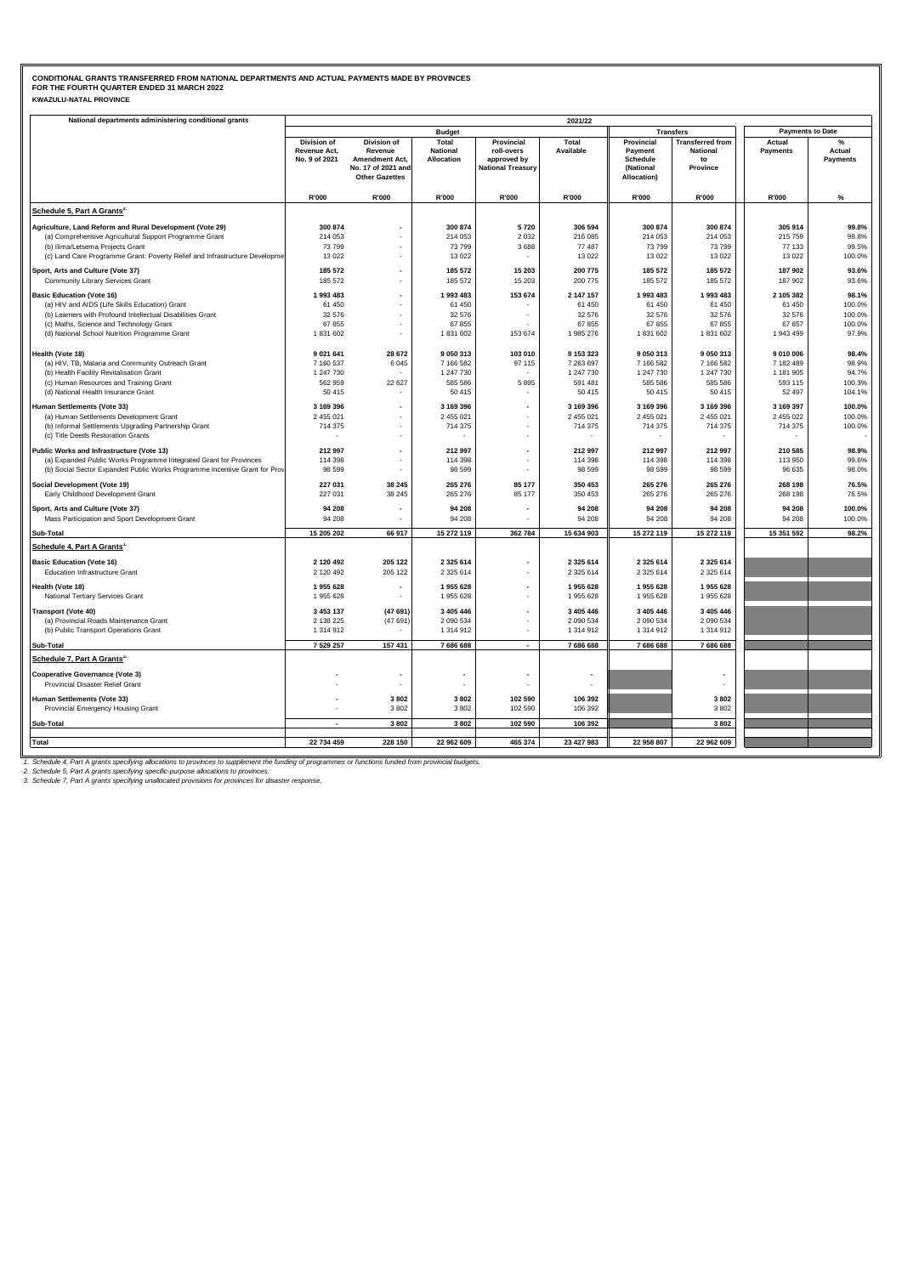### **KWAZULU-NATAL PROVINCE CONDITIONAL GRANTS TRANSFERRED FROM NATIONAL DEPARTMENTS AND ACTUAL PAYMENTS MADE BY PROVINCES FOR THE FOURTH QUARTER ENDED 31 MARCH 2022**

| National departments administering conditional grants                      |                                                     |                                                                |                                        |                                                                     | 2021/22                |                                                |                                                              |                         |                           |
|----------------------------------------------------------------------------|-----------------------------------------------------|----------------------------------------------------------------|----------------------------------------|---------------------------------------------------------------------|------------------------|------------------------------------------------|--------------------------------------------------------------|-------------------------|---------------------------|
|                                                                            |                                                     |                                                                | <b>Budget</b>                          |                                                                     |                        |                                                | <b>Transfers</b>                                             | <b>Payments to Date</b> |                           |
|                                                                            | <b>Division of</b><br>Revenue Act,<br>No. 9 of 2021 | Division of<br>Revenue<br>Amendment Act,<br>No. 17 of 2021 and | Total<br><b>National</b><br>Allocation | Provincial<br>roll-overs<br>approved by<br><b>National Treasury</b> | Total<br>Available     | Provincial<br>Payment<br>Schedule<br>(National | <b>Transferred from</b><br><b>National</b><br>to<br>Province | Actual<br>Payments      | Actual<br><b>Payments</b> |
|                                                                            |                                                     | <b>Other Gazettes</b>                                          |                                        |                                                                     |                        | Allocation)                                    |                                                              |                         |                           |
|                                                                            | R'000                                               | R'000                                                          | R'000                                  | R'000                                                               | R'000                  | R'000                                          | R'000                                                        | R'000                   | $\%$                      |
| Schedule 5, Part A Grants <sup>2.</sup>                                    |                                                     |                                                                |                                        |                                                                     |                        |                                                |                                                              |                         |                           |
| Agriculture, Land Reform and Rural Development (Vote 29)                   | 300 874                                             |                                                                | 300 874                                | 5720                                                                | 306 594                | 300 874                                        | 300 874                                                      | 305 914                 | 99.8%                     |
| (a) Comprehensive Agricultural Support Programme Grant                     | 214 053                                             |                                                                | 214 053                                | 2 0 3 2                                                             | 216 085                | 214 053                                        | 214 053                                                      | 215 759                 | 99.8%                     |
| (b) Ilima/Letsema Projects Grant                                           | 73799                                               | $\overline{\phantom{a}}$                                       | 73799                                  | 3688                                                                | 77 487                 | 73 799                                         | 73 799                                                       | 77 133                  | 99.5%                     |
| (c) Land Care Programme Grant: Poverty Relief and Infrastructure Developme | 13 0 22                                             |                                                                | 13 0 22                                |                                                                     | 13 0 22                | 13 0 22                                        | 13 0 22                                                      | 13 0 22                 | 100.0%                    |
| Sport, Arts and Culture (Vote 37)                                          | 185 572                                             |                                                                | 185 572                                | 15 203                                                              | 200 775                | 185 572                                        | 185 572                                                      | 187 902                 | 93.6%                     |
| Community Library Services Grant                                           | 185 572                                             |                                                                | 185 572                                | 15 203                                                              | 200 775                | 185 572                                        | 185 572                                                      | 187 902                 | 93.6%                     |
| <b>Basic Education (Vote 16)</b>                                           | 1 993 483                                           |                                                                | 1993 483                               | 153 674                                                             | 2 147 157              | 1 993 483                                      | 1 993 483                                                    | 2 105 382               | 98.1%                     |
| (a) HIV and AIDS (Life Skills Education) Grant                             | 61 450                                              | ٠                                                              | 61 450                                 |                                                                     | 61 450                 | 61 450                                         | 61 450                                                       | 61 450                  | 100.0%                    |
| (b) Learners with Profound Intellectual Disabilities Grant                 | 32 576                                              |                                                                | 32 576                                 |                                                                     | 32 576                 | 32 576                                         | 32 576                                                       | 32 576                  | 100.0%                    |
| (c) Maths, Science and Technology Grant                                    | 67855                                               | ٠                                                              | 67855                                  |                                                                     | 67 855                 | 67 855                                         | 67 855                                                       | 67857                   | 100.0%                    |
| (d) National School Nutrition Programme Grant                              | 1831602                                             | ÷,                                                             | 1831602                                | 153 674                                                             | 1 985 276              | 1 831 602                                      | 1 831 602                                                    | 1 943 499               | 97.9%                     |
|                                                                            |                                                     |                                                                |                                        |                                                                     |                        |                                                |                                                              |                         |                           |
| Health (Vote 18)                                                           | 9 0 21 641                                          | 28 672                                                         | 9 050 313                              | 103 010                                                             | 9 153 323              | 9 050 313                                      | 9 050 313                                                    | 9 010 006               | 98.4%                     |
| (a) HIV, TB, Malaria and Community Outreach Grant                          | 7 160 537                                           | 6 0 4 5                                                        | 7 166 582                              | 97 115                                                              | 7 263 697              | 7 166 582                                      | 7 166 582                                                    | 7 182 489               | 98.9%                     |
| (b) Health Facility Revitalisation Grant                                   | 1 247 730                                           |                                                                | 1 247 730                              |                                                                     | 1 247 730              | 1 247 730                                      | 1 247 730                                                    | 1 181 905               | 94.7%                     |
| (c) Human Resources and Training Grant                                     | 562 959                                             | 22 627                                                         | 585 586                                | 5895                                                                | 591 481                | 585 586                                        | 585 586                                                      | 593 115                 | 100.3%                    |
| (d) National Health Insurance Grant                                        | 50 415                                              |                                                                | 50 415                                 | $\sim$                                                              | 50 415                 | 50 415                                         | 50 415                                                       | 52 497                  | 104.1%                    |
| Human Settlements (Vote 33)                                                | 3 169 396                                           | $\overline{\phantom{a}}$                                       | 3 169 396                              |                                                                     | 3 169 396              | 3 169 396                                      | 3 169 396                                                    | 3 169 397               | 100.0%                    |
| (a) Human Settlements Development Grant                                    | 2 455 021                                           | ÷,                                                             | 2 455 021                              | ÷,                                                                  | 2 455 021              | 2 455 021                                      | 2 455 021                                                    | 2 455 022               | 100.0%                    |
| (b) Informal Settlements Upgrading Partnership Grant                       | 714 375                                             |                                                                | 714 375                                | ä,                                                                  | 714 375                | 714 375                                        | 714 375                                                      | 714 375                 | 100.0%                    |
| (c) Title Deeds Restoration Grants                                         |                                                     |                                                                |                                        | ٠                                                                   |                        |                                                |                                                              |                         |                           |
| Public Works and Infrastructure (Vote 13)                                  | 212 997                                             | $\overline{\phantom{a}}$                                       | 212 997                                | $\overline{\phantom{a}}$                                            | 212 997                | 212 997                                        | 212 997                                                      | 210 585                 | 98.9%                     |
| (a) Expanded Public Works Programme Integrated Grant for Provinces         | 114 398                                             |                                                                | 114 398                                |                                                                     | 114 398                | 114 398                                        | 114 398                                                      | 113 950                 | 99.6%                     |
| (b) Social Sector Expanded Public Works Programme Incentive Grant for Prov | 98 599                                              |                                                                | 98 5 99                                | ٠                                                                   | 98 599                 | 98 599                                         | 98 599                                                       | 96 635                  | 98.0%                     |
|                                                                            | 227 031                                             | 38 245                                                         | 265 276                                | 85 177                                                              | 350 453                | 265 276                                        | 265 276                                                      | 268 198                 | 76.5%                     |
| Social Development (Vote 19)<br>Early Childhood Development Grant          | 227 031                                             | 38 245                                                         | 265 276                                | 85 177                                                              | 350 453                | 265 276                                        | 265 276                                                      | 268 198                 | 76.5%                     |
|                                                                            |                                                     |                                                                |                                        |                                                                     |                        |                                                |                                                              |                         |                           |
| Sport, Arts and Culture (Vote 37)                                          | 94 208                                              | $\overline{\phantom{a}}$                                       | 94 208                                 | $\overline{\phantom{a}}$                                            | 94 208                 | 94 208                                         | 94 208                                                       | 94 208                  | 100.0%                    |
| Mass Participation and Sport Development Grant                             | 94 208                                              |                                                                | 94 208                                 |                                                                     | 94 208                 | 94 208                                         | 94 208                                                       | 94 208                  | 100.0%                    |
| Sub-Total                                                                  | 15 205 202                                          | 66 917                                                         | 15 272 119                             | 362 784                                                             | 15 634 903             | 15 272 119                                     | 15 272 119                                                   | 15 351 592              | 98.2%                     |
| Schedule 4, Part A Grants'                                                 |                                                     |                                                                |                                        |                                                                     |                        |                                                |                                                              |                         |                           |
| <b>Basic Education (Vote 16)</b>                                           | 2 120 492                                           | 205 122                                                        | 2 3 2 5 6 1 4                          |                                                                     | 2 3 2 5 6 1 4          | 2 3 2 5 6 1 4                                  | 2 3 2 5 6 1 4                                                |                         |                           |
| Education Infrastructure Grant                                             | 2 120 492                                           | 205 122                                                        | 2 3 2 5 6 1 4                          | ٠                                                                   | 2 3 2 5 6 1 4          | 2 3 2 5 6 1 4                                  | 2 3 2 5 6 1 4                                                |                         |                           |
| Health (Vote 18)                                                           | 1 955 628                                           |                                                                | 1955 628                               | $\overline{\phantom{a}}$                                            | 1 955 628              | 1 955 628                                      | 1 955 628                                                    |                         |                           |
| National Tertiary Services Grant                                           | 1 955 628                                           |                                                                | 1955 628                               |                                                                     | 1 955 628              | 1 955 628                                      | 1 955 628                                                    |                         |                           |
|                                                                            |                                                     |                                                                |                                        |                                                                     |                        |                                                |                                                              |                         |                           |
| <b>Transport (Vote 40)</b><br>(a) Provincial Roads Maintenance Grant       | 3 453 137<br>2 138 225                              | (47691)<br>(47691)                                             | 3 4 0 5 4 4 6<br>2 090 534             | ٠                                                                   | 3 405 446<br>2 090 534 | 3 405 446<br>2 090 534                         | 3 405 446<br>2 090 534                                       |                         |                           |
| (b) Public Transport Operations Grant                                      | 1 314 912                                           |                                                                | 1 314 912                              | $\blacksquare$                                                      | 1 314 912              | 1 314 912                                      | 1 314 912                                                    |                         |                           |
|                                                                            |                                                     |                                                                |                                        |                                                                     |                        |                                                |                                                              |                         |                           |
| Sub-Total                                                                  | 7 529 257                                           | 157 431                                                        | 7686688                                | $\blacksquare$                                                      | 7 686 688              | 7 686 688                                      | 7 686 688                                                    |                         |                           |
| Schedule 7, Part A Grants <sup>3.</sup>                                    |                                                     |                                                                |                                        |                                                                     |                        |                                                |                                                              |                         |                           |
| <b>Cooperative Governance (Vote 3)</b>                                     |                                                     |                                                                |                                        |                                                                     |                        |                                                |                                                              |                         |                           |
| Provincial Disaster Relief Grant                                           |                                                     | ٠                                                              |                                        |                                                                     |                        |                                                |                                                              |                         |                           |
| Human Settlements (Vote 33)                                                |                                                     | 3802                                                           | 3802                                   | 102 590                                                             | 106 392                |                                                | 3802                                                         |                         |                           |
| Provincial Emergency Housing Grant                                         |                                                     | 3802                                                           | 3802                                   | 102 590                                                             | 106 392                |                                                | 3 8 0 2                                                      |                         |                           |
|                                                                            |                                                     |                                                                |                                        |                                                                     |                        |                                                |                                                              |                         |                           |
| Sub-Total                                                                  |                                                     | 3802                                                           | 3802                                   | 102 590                                                             | 106 392                |                                                | 3 8 0 2                                                      |                         |                           |
| <b>Total</b>                                                               | 22 734 459                                          | 228 150                                                        | 22 962 609                             | 465 374                                                             | 23 427 983             | 22 958 807                                     | 22 962 609                                                   |                         |                           |
|                                                                            |                                                     |                                                                |                                        |                                                                     |                        |                                                |                                                              |                         |                           |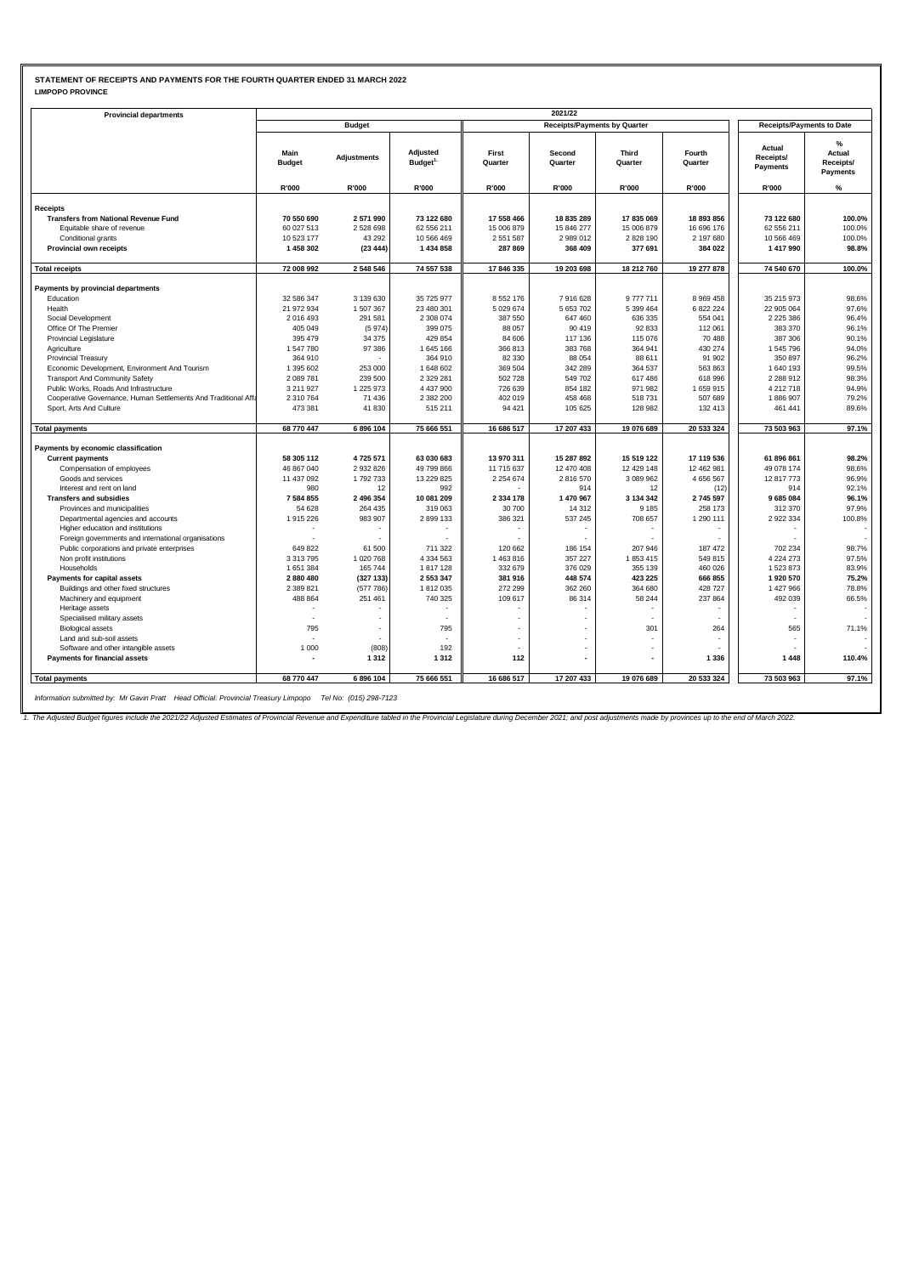## **STATEMENT OF RECEIPTS AND PAYMENTS FOR THE FOURTH QUARTER ENDED 31 MARCH 2022 LIMPOPO PROVINCE**

| <b>Provincial departments</b>                                             |                       |                    |                                 |                      | 2021/22                             |                         |                   |                                  |                                             |
|---------------------------------------------------------------------------|-----------------------|--------------------|---------------------------------|----------------------|-------------------------------------|-------------------------|-------------------|----------------------------------|---------------------------------------------|
|                                                                           |                       | <b>Budget</b>      |                                 |                      | <b>Receipts/Payments by Quarter</b> |                         |                   | <b>Receipts/Payments to Date</b> |                                             |
|                                                                           | Main<br><b>Budget</b> | <b>Adjustments</b> | Adjusted<br>Budget <sup>1</sup> | First<br>Quarter     | Second<br>Quarter                   | <b>Third</b><br>Quarter | Fourth<br>Quarter | Actual<br>Receipts/<br>Payments  | %<br>Actual<br>Receipts/<br><b>Payments</b> |
|                                                                           | R'000                 | R'000              | R'000                           | R'000                | R'000                               | R'000                   | R'000             | R'000                            | %                                           |
|                                                                           |                       |                    |                                 |                      |                                     |                         |                   |                                  |                                             |
| <b>Receipts</b>                                                           | 70 550 690            | 2571990            |                                 | 17 558 466           | 18 835 289                          | 17835069                | 18 893 856        | 73 122 680                       | 100.0%                                      |
| <b>Transfers from National Revenue Fund</b><br>Equitable share of revenue | 60 027 513            | 2528698            | 73 122 680<br>62 556 211        | 15 006 879           | 15 846 277                          | 15 006 879              | 16 696 176        | 62 556 211                       | 100.0%                                      |
|                                                                           | 10 523 177            |                    |                                 |                      |                                     | 2 828 190               | 2 197 680         |                                  | 100.0%                                      |
| Conditional grants<br>Provincial own receipts                             | 1 458 302             | 43 29 2<br>(23444) | 10 566 469<br>1 434 858         | 2 551 587<br>287 869 | 2 989 012<br>368 409                | 377 691                 | 384 022           | 10 566 469<br>1 417 990          | 98.8%                                       |
|                                                                           |                       |                    |                                 |                      |                                     |                         |                   |                                  |                                             |
| <b>Total receipts</b>                                                     | 72 008 992            | 2548546            | 74 557 538                      | 17 846 335           | 19 203 698                          | 18 212 760              | 19 277 878        | 74 540 670                       | 100.0%                                      |
| Payments by provincial departments                                        |                       |                    |                                 |                      |                                     |                         |                   |                                  |                                             |
| Education                                                                 | 32 586 347            | 3 139 630          | 35 725 977                      | 8 5 5 2 1 7 6        | 7916628                             | 9777711                 | 8 9 69 4 58       | 35 215 973                       | 98.6%                                       |
| Health                                                                    | 21 972 934            | 1507367            | 23 480 301                      | 5 0 29 6 74          | 5 653 702                           | 5 399 464               | 6 822 224         | 22 905 064                       | 97.6%                                       |
| Social Development                                                        | 2 016 493             | 291 581            | 2 308 074                       | 387 550              | 647 460                             | 636 335                 | 554 041           | 2 2 2 5 3 8 6                    | 96.4%                                       |
| Office Of The Premier                                                     | 405 049               | (5974)             | 399 075                         | 88 057               | 90 419                              | 92 833                  | 112 061           | 383 370                          | 96.1%                                       |
| Provincial Legislature                                                    | 395 479               | 34 375             | 429 854                         | 84 606               | 117 136                             | 115 076                 | 70 488            | 387 306                          | 90.1%                                       |
| Agriculture                                                               | 1 547 780             | 97 386             | 1 645 166                       | 366 813              | 383 768                             | 364 941                 | 430 274           | 1 545 796                        | 94.0%                                       |
| <b>Provincial Treasury</b>                                                | 364 910               |                    | 364 910                         | 82 330               | 88 054                              | 88 611                  | 91 902            | 350 897                          | 96.2%                                       |
| Economic Development, Environment And Tourism                             | 1 395 602             | 253 000            | 1 648 602                       | 369 504              | 342 289                             | 364 537                 | 563 863           | 1 640 193                        | 99.5%                                       |
| <b>Transport And Community Safety</b>                                     | 2 089 781             | 239 500            | 2 3 2 2 8 1                     | 502 728              | 549 702                             | 617 486                 | 618 996           | 2 288 912                        | 98.3%                                       |
| Public Works, Roads And Infrastructure                                    | 3 211 9 27            | 1 2 2 5 9 7 3      | 4 437 900                       | 726 639              | 854 182                             | 971 982                 | 1659915           | 4 212 718                        | 94.9%                                       |
| Cooperative Governance, Human Settlements And Traditional Affa            | 2 310 764             | 71 436             | 2 382 200                       | 402 019              | 458 468                             | 518731                  | 507 689           | 1886907                          | 79.2%                                       |
| Sport, Arts And Culture                                                   | 473 381               | 41830              | 515 211                         | 94 421               | 105 625                             | 128 982                 | 132 413           | 461 441                          | 89.6%                                       |
| <b>Total payments</b>                                                     | 68 770 447            | 6896104            | 75 666 551                      | 16 686 517           | 17 207 433                          | 19 076 689              | 20 533 324        | 73 503 963                       | 97.1%                                       |
|                                                                           |                       |                    |                                 |                      |                                     |                         |                   |                                  |                                             |
| Payments by economic classification                                       |                       |                    |                                 |                      |                                     |                         |                   |                                  |                                             |
| <b>Current payments</b>                                                   | 58 305 112            | 4725571            | 63 030 683                      | 13 970 311           | 15 287 892                          | 15 519 122              | 17 119 536        | 61 896 861                       | 98.2%                                       |
| Compensation of employees                                                 | 46 867 040            | 2932826            | 49 799 866                      | 11 715 637           | 12 470 408                          | 12 429 148              | 12 462 981        | 49 078 174                       | 98.6%                                       |
| Goods and services                                                        | 11 437 092            | 1792733            | 13 229 825                      | 2 2 5 4 6 7 4        | 2816570                             | 3 089 962               | 4 656 567         | 12 817 773                       | 96.9%                                       |
| Interest and rent on land                                                 | 980                   | 12                 | 992                             |                      | 914                                 | 12                      | (12)              | 914                              | 92.1%                                       |
| <b>Transfers and subsidies</b>                                            | 7 584 855             | 2 496 354          | 10 081 209                      | 2 3 3 4 1 7 8        | 1 470 967                           | 3 134 342               | 2 745 597         | 9685084                          | 96.1%                                       |
| Provinces and municipalities                                              | 54 628                | 264 435            | 319 063                         | 30 700               | 14 3 12                             | 9 1 8 5                 | 258 173           | 312 370                          | 97.9%                                       |
| Departmental agencies and accounts                                        | 1915 226              | 983 907            | 2899133                         | 386 321              | 537 245                             | 708 657                 | 1 290 111         | 2 922 334                        | 100.8%                                      |
| Higher education and institutions                                         |                       |                    |                                 |                      |                                     |                         |                   |                                  |                                             |
| Foreign governments and international organisations                       |                       |                    |                                 |                      |                                     |                         |                   |                                  |                                             |
| Public corporations and private enterprises                               | 649 822               | 61 500             | 711 322                         | 120 662              | 186 154                             | 207 946                 | 187 472           | 702 234                          | 98.7%                                       |
| Non profit institutions                                                   | 3 3 1 3 7 9 5         | 1020768            | 4 334 563                       | 1 463 816            | 357 227                             | 1853415                 | 549 815           | 4 2 2 4 2 7 3                    | 97.5%                                       |
| Households                                                                | 1 651 384             | 165 744            | 1817128                         | 332 679              | 376 029                             | 355 139                 | 460 026           | 1 523 873                        | 83.9%                                       |
| Payments for capital assets                                               | 2 880 480             | (327133)           | 2 553 347                       | 381 916              | 448 574                             | 423 225                 | 666 855           | 1 920 570                        | 75.2%                                       |
| Buildings and other fixed structures                                      | 2 389 821             | (577786)           | 1812035                         | 272 299              | 362 260                             | 364 680                 | 428 727           | 1 427 966                        | 78.8%                                       |
| Machinery and equipment                                                   | 488 864               | 251 461            | 740 325                         | 109 617              | 86 314                              | 58 244                  | 237 864           | 492 039                          | 66.5%                                       |
| Heritage assets                                                           |                       |                    |                                 |                      |                                     |                         |                   |                                  |                                             |
| Specialised military assets                                               |                       |                    |                                 |                      |                                     |                         |                   |                                  |                                             |
| <b>Biological assets</b>                                                  | 795                   |                    | 795                             |                      |                                     | 301                     | 264               | 565                              | 71.1%                                       |
| Land and sub-soil assets                                                  |                       |                    |                                 |                      |                                     |                         |                   |                                  |                                             |
| Software and other intangible assets<br>Payments for financial assets     | 1 0 0 0               | (808)<br>1312      | 192<br>1 3 1 2                  | 112                  |                                     |                         | 1 3 3 6           | 1448                             | 110.4%                                      |
|                                                                           |                       |                    |                                 |                      |                                     |                         |                   |                                  |                                             |
| <b>Total payments</b>                                                     | 68 770 447            | 6 896 104          | 75 666 551                      | 16 686 517           | 17 207 433                          | 19 076 689              | 20 533 324        | 73 503 963                       | 97.1%                                       |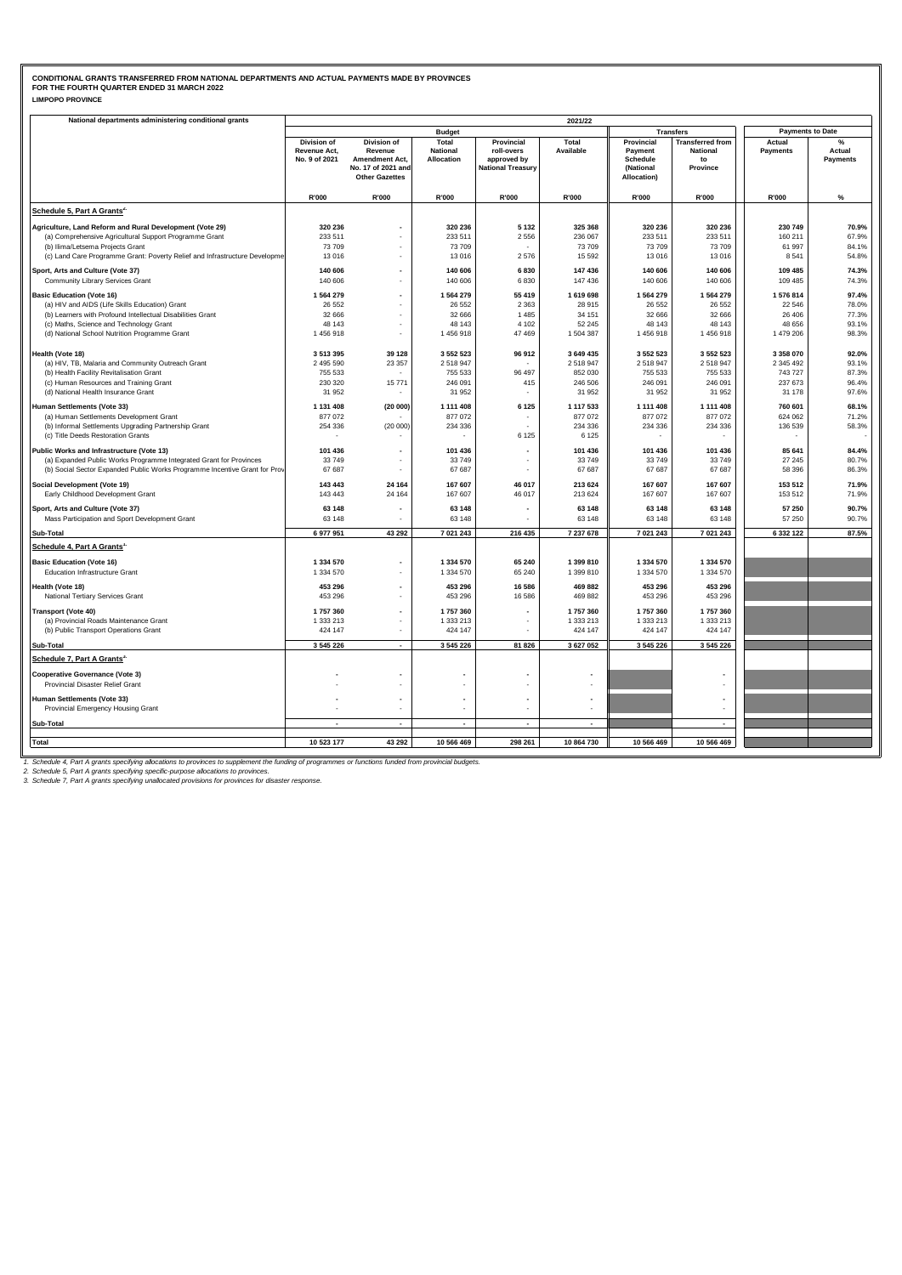### **LIMPOPO PROVINCE CONDITIONAL GRANTS TRANSFERRED FROM NATIONAL DEPARTMENTS AND ACTUAL PAYMENTS MADE BY PROVINCES FOR THE FOURTH QUARTER ENDED 31 MARCH 2022**

| National departments administering conditional grants                      |                                                            |                                                                                                       |                                        |                                                                     | 2021/22                |                                                               |                                                              |                         |                                            |
|----------------------------------------------------------------------------|------------------------------------------------------------|-------------------------------------------------------------------------------------------------------|----------------------------------------|---------------------------------------------------------------------|------------------------|---------------------------------------------------------------|--------------------------------------------------------------|-------------------------|--------------------------------------------|
|                                                                            |                                                            |                                                                                                       | <b>Budget</b>                          |                                                                     |                        |                                                               | <b>Transfers</b>                                             | <b>Payments to Date</b> |                                            |
|                                                                            | <b>Division of</b><br><b>Revenue Act,</b><br>No. 9 of 2021 | <b>Division of</b><br>Revenue<br><b>Amendment Act.</b><br>No. 17 of 2021 and<br><b>Other Gazettes</b> | Total<br><b>National</b><br>Allocation | Provincial<br>roll-overs<br>approved by<br><b>National Treasury</b> | Total<br>Available     | Provincial<br>Payment<br>Schedule<br>(National<br>Allocation) | <b>Transferred from</b><br><b>National</b><br>to<br>Province | Actual<br>Payments      | $O_{\Lambda}$<br>Actual<br><b>Payments</b> |
|                                                                            | R'000                                                      | R'000                                                                                                 | R'000                                  | R'000                                                               | R'000                  | R'000                                                         | R'000                                                        | R'000                   | $\%$                                       |
| Schedule 5, Part A Grants <sup>2.</sup>                                    |                                                            |                                                                                                       |                                        |                                                                     |                        |                                                               |                                                              |                         |                                            |
| Agriculture, Land Reform and Rural Development (Vote 29)                   | 320 236                                                    |                                                                                                       | 320 236                                | 5 1 3 2                                                             | 325 368                | 320 236                                                       | 320 236                                                      | 230 749                 | 70.9%                                      |
| (a) Comprehensive Agricultural Support Programme Grant                     | 233 511                                                    |                                                                                                       | 233 511                                | 2 5 5 6                                                             | 236 067                | 233 511                                                       | 233 511                                                      | 160 211                 | 67.9%                                      |
| (b) Ilima/Letsema Projects Grant                                           | 73709                                                      |                                                                                                       | 73 709                                 |                                                                     | 73 709                 | 73 709                                                        | 73 709                                                       | 61 997                  | 84.1%                                      |
| (c) Land Care Programme Grant: Poverty Relief and Infrastructure Developme | 13016                                                      |                                                                                                       | 13016                                  | 2 5 7 6                                                             | 15 5 9 2               | 13 016                                                        | 13 016                                                       | 8541                    | 54.8%                                      |
| Sport, Arts and Culture (Vote 37)                                          | 140 606                                                    | $\overline{\phantom{a}}$                                                                              | 140 606                                | 6830                                                                | 147 436                | 140 606                                                       | 140 606                                                      | 109 485                 | 74.3%                                      |
| Community Library Services Grant                                           | 140 606                                                    |                                                                                                       | 140 606                                | 6830                                                                | 147 436                | 140 606                                                       | 140 606                                                      | 109 485                 | 74.3%                                      |
| <b>Basic Education (Vote 16)</b>                                           | 1 564 279                                                  | $\overline{a}$                                                                                        | 1564279                                | 55 419                                                              | 1 619 698              | 1 564 279                                                     | 1 564 279                                                    | 1576814                 | 97.4%                                      |
| (a) HIV and AIDS (Life Skills Education) Grant                             | 26 5 52                                                    |                                                                                                       | 26 5 5 2                               | 2 3 6 3                                                             | 28 915                 | 26 552                                                        | 26 552                                                       | 22 546                  | 78.0%                                      |
| (b) Learners with Profound Intellectual Disabilities Grant                 | 32 666                                                     | ٠                                                                                                     | 32 666                                 | 1485                                                                | 34 151                 | 32 666                                                        | 32 666                                                       | 26 40 6                 | 77.3%                                      |
| (c) Maths, Science and Technology Grant                                    | 48 143                                                     |                                                                                                       | 48 143                                 | 4 1 0 2                                                             | 52 245                 | 48 143                                                        | 48 143                                                       | 48 656                  | 93.1%                                      |
| (d) National School Nutrition Programme Grant                              | 1 456 918                                                  | ٠                                                                                                     | 1456918                                | 47 469                                                              | 1 504 387              | 1456918                                                       | 1456918                                                      | 1 479 206               | 98.3%                                      |
| Health (Vote 18)                                                           | 3 513 395                                                  | 39 128                                                                                                | 3 552 523                              | 96 912                                                              | 3 649 435              | 3 552 523                                                     | 3 552 523                                                    | 3 3 5 8 0 7 0           | 92.0%                                      |
| (a) HIV, TB, Malaria and Community Outreach Grant                          | 2 495 590                                                  | 23 357                                                                                                | 2518947                                |                                                                     | 2 518 947              | 2 518 947                                                     | 2518947                                                      | 2 345 492               | 93.1%                                      |
| (b) Health Facility Revitalisation Grant                                   | 755 533                                                    |                                                                                                       | 755 533                                | 96 497                                                              | 852 030                | 755 533                                                       | 755 533                                                      | 743727                  | 87.3%                                      |
| (c) Human Resources and Training Grant                                     | 230 320                                                    | 15771                                                                                                 | 246 091                                | 415                                                                 | 246 506                | 246 091                                                       | 246 091                                                      | 237 673                 | 96.4%                                      |
| (d) National Health Insurance Grant                                        | 31 952                                                     |                                                                                                       | 31 952                                 |                                                                     | 31 952                 | 31 952                                                        | 31 952                                                       | 31 178                  | 97.6%                                      |
| Human Settlements (Vote 33)                                                | 1 131 408                                                  | (20000)                                                                                               | 1 111 408                              | 6 1 2 5                                                             | 1 117 533              | 1 111 408                                                     | 1 111 408                                                    | 760 601                 | 68.1%                                      |
| (a) Human Settlements Development Grant                                    | 877 072                                                    |                                                                                                       | 877 072                                |                                                                     | 877 072                | 877 072                                                       | 877 072                                                      | 624 062                 | 71.2%                                      |
| (b) Informal Settlements Upgrading Partnership Grant                       | 254 336                                                    | (20000)                                                                                               | 234 336                                |                                                                     | 234 336                | 234 336                                                       | 234 336                                                      | 136 539                 | 58.3%                                      |
| (c) Title Deeds Restoration Grants                                         |                                                            |                                                                                                       |                                        | 6 1 2 5                                                             | 6 1 2 5                |                                                               |                                                              |                         |                                            |
| Public Works and Infrastructure (Vote 13)                                  | 101 436                                                    |                                                                                                       | 101 436                                |                                                                     | 101 436                | 101 436                                                       | 101 436                                                      | 85 641                  | 84.4%                                      |
| (a) Expanded Public Works Programme Integrated Grant for Provinces         | 33749                                                      |                                                                                                       | 33749                                  |                                                                     | 33 749                 | 33 749                                                        | 33 749                                                       | 27 245                  | 80.7%                                      |
| (b) Social Sector Expanded Public Works Programme Incentive Grant for Prov | 67 687                                                     |                                                                                                       | 67 687                                 |                                                                     | 67 687                 | 67 687                                                        | 67 687                                                       | 58 396                  | 86.3%                                      |
| Social Development (Vote 19)                                               | 143 443                                                    | 24 164                                                                                                | 167 607                                | 46 017                                                              | 213 624                | 167 607                                                       | 167 607                                                      | 153 512                 | 71.9%                                      |
| Early Childhood Development Grant                                          | 143 443                                                    | 24 164                                                                                                | 167 607                                | 46 017                                                              | 213 624                | 167 607                                                       | 167 607                                                      | 153 512                 | 71.9%                                      |
| Sport, Arts and Culture (Vote 37)                                          | 63 148                                                     |                                                                                                       | 63 148                                 |                                                                     | 63 148                 | 63 148                                                        | 63 148                                                       | 57 250                  | 90.7%                                      |
| Mass Participation and Sport Development Grant                             | 63 148                                                     |                                                                                                       | 63 148                                 |                                                                     | 63 148                 | 63 148                                                        | 63 148                                                       | 57 250                  | 90.7%                                      |
| Sub-Total                                                                  | 6 977 951                                                  | 43 29 2                                                                                               | 7 021 243                              | 216 435                                                             | 7 237 678              | 7 021 243                                                     | 7 021 243                                                    | 6 332 122               | 87.5%                                      |
| Schedule 4, Part A Grants'                                                 |                                                            |                                                                                                       |                                        |                                                                     |                        |                                                               |                                                              |                         |                                            |
|                                                                            |                                                            |                                                                                                       |                                        |                                                                     |                        |                                                               |                                                              |                         |                                            |
| <b>Basic Education (Vote 16)</b><br><b>Education Infrastructure Grant</b>  | 1 334 570<br>1 334 570                                     | ٠                                                                                                     | 1 334 570<br>1 334 570                 | 65 240<br>65 240                                                    | 1 399 810<br>1 399 810 | 1 334 570<br>1 334 570                                        | 1 334 570<br>1 334 570                                       |                         |                                            |
|                                                                            |                                                            |                                                                                                       |                                        |                                                                     |                        |                                                               |                                                              |                         |                                            |
| Health (Vote 18)                                                           | 453 296                                                    |                                                                                                       | 453 296                                | 16 586                                                              | 469 882                | 453 296                                                       | 453 296                                                      |                         |                                            |
| National Tertiary Services Grant                                           | 453 296                                                    | ٠                                                                                                     | 453 296                                | 16 586                                                              | 469 882                | 453 296                                                       | 453 296                                                      |                         |                                            |
| <b>Transport (Vote 40)</b>                                                 | 1757360                                                    |                                                                                                       | 1757360                                |                                                                     | 1757360                | 1757360                                                       | 1757360                                                      |                         |                                            |
| (a) Provincial Roads Maintenance Grant                                     | 1 333 213                                                  | ÷.                                                                                                    | 1 333 213                              |                                                                     | 1 333 213              | 1 333 213                                                     | 1 333 213                                                    |                         |                                            |
| (b) Public Transport Operations Grant                                      | 424 147                                                    |                                                                                                       | 424 147                                |                                                                     | 424 147                | 424 147                                                       | 424 147                                                      |                         |                                            |
| Sub-Total                                                                  | 3 545 226                                                  | $\blacksquare$                                                                                        | 3 545 226                              | 81 826                                                              | 3 627 052              | 3 545 226                                                     | 3 545 226                                                    |                         |                                            |
| Schedule 7, Part A Grants <sup>3.</sup>                                    |                                                            |                                                                                                       |                                        |                                                                     |                        |                                                               |                                                              |                         |                                            |
| <b>Cooperative Governance (Vote 3)</b>                                     |                                                            |                                                                                                       |                                        |                                                                     |                        |                                                               |                                                              |                         |                                            |
| Provincial Disaster Relief Grant                                           |                                                            |                                                                                                       |                                        |                                                                     |                        |                                                               |                                                              |                         |                                            |
| Human Settlements (Vote 33)                                                |                                                            | $\overline{a}$                                                                                        | $\overline{\phantom{a}}$               |                                                                     |                        |                                                               |                                                              |                         |                                            |
| Provincial Emergency Housing Grant                                         |                                                            |                                                                                                       |                                        |                                                                     |                        |                                                               |                                                              |                         |                                            |
| Sub-Total                                                                  |                                                            | $\blacksquare$                                                                                        | $\overline{\phantom{a}}$               | $\overline{\phantom{a}}$                                            | $\blacksquare$         |                                                               | $\overline{\phantom{a}}$                                     |                         |                                            |
|                                                                            |                                                            |                                                                                                       |                                        |                                                                     |                        |                                                               |                                                              |                         |                                            |
| <b>Total</b>                                                               | 10 523 177                                                 | 43 29 2                                                                                               | 10 566 469                             | 298 261                                                             | 10 864 730             | 10 566 469                                                    | 10 566 469                                                   |                         |                                            |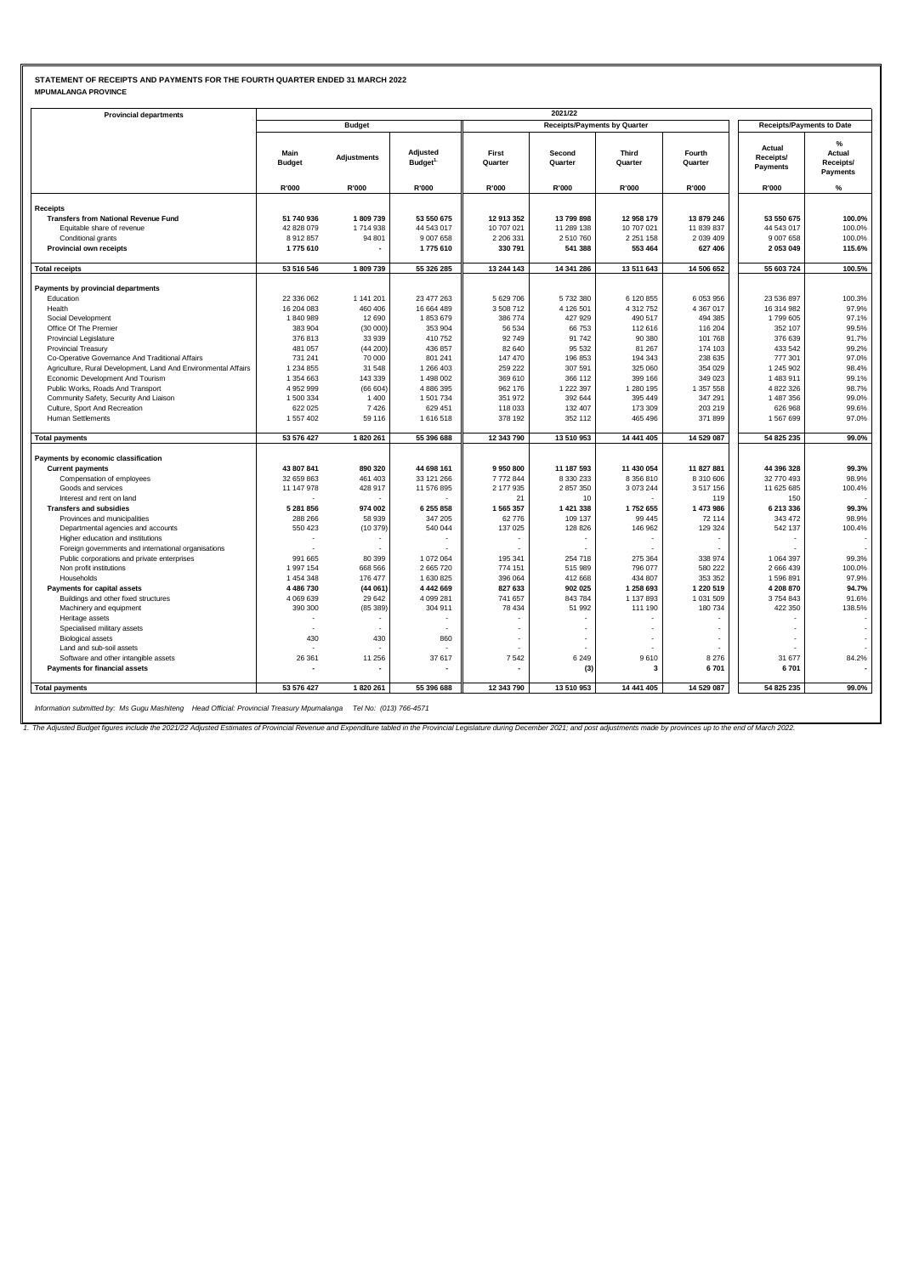#### **STATEMENT OF RECEIPTS AND PAYMENTS FOR THE FOURTH QUARTER ENDED 31 MARCH 2022 MPUMALANGA PROVINCE**

| <b>Provincial departments</b>                                  |                       |                    |                                 |                  | 2021/22                             |                         |                   |                                        |                                                  |
|----------------------------------------------------------------|-----------------------|--------------------|---------------------------------|------------------|-------------------------------------|-------------------------|-------------------|----------------------------------------|--------------------------------------------------|
|                                                                |                       | <b>Budget</b>      |                                 |                  | <b>Receipts/Payments by Quarter</b> |                         |                   | <b>Receipts/Payments to Date</b>       |                                                  |
|                                                                | Main<br><b>Budget</b> | <b>Adjustments</b> | Adjusted<br>Budget <sup>1</sup> | First<br>Quarter | Second<br>Quarter                   | <b>Third</b><br>Quarter | Fourth<br>Quarter | Actual<br>Receipts/<br><b>Payments</b> | $\frac{9}{6}$<br>Actual<br>Receipts/<br>Payments |
|                                                                | R'000                 | R'000              | R'000                           | R'000            | R'000                               | R'000                   | R'000             | R'000                                  | $\%$                                             |
| <b>Receipts</b>                                                |                       |                    |                                 |                  |                                     |                         |                   |                                        |                                                  |
| <b>Transfers from National Revenue Fund</b>                    | 51 740 936            | 1809739            | 53 550 675                      | 12 913 352       | 13 799 898                          | 12 958 179              | 13 879 246        | 53 550 675                             | 100.0%                                           |
| Equitable share of revenue                                     | 42 828 079            | 1714938            | 44 543 017                      | 10 707 021       | 11 289 138                          | 10 707 021              | 11 839 837        | 44 543 017                             | 100.0%                                           |
| Conditional grants                                             | 8912857               | 94 801             | 9 007 658                       | 2 206 331        | 2 510 760                           | 2 2 5 1 1 5 8           | 2 0 3 9 4 0 9     | 9 007 658                              | 100.0%                                           |
| Provincial own receipts                                        | 1775 610              |                    | 1775 610                        | 330 791          | 541 388                             | 553 464                 | 627 406           | 2 053 049                              | 115.6%                                           |
|                                                                |                       |                    |                                 |                  |                                     |                         |                   |                                        |                                                  |
| <b>Total receipts</b>                                          | 53 516 546            | 1809739            | 55 326 285                      | 13 244 143       | 14 341 286                          | 13 511 643              | 14 506 652        | 55 603 724                             | 100.5%                                           |
| Payments by provincial departments                             |                       |                    |                                 |                  |                                     |                         |                   |                                        |                                                  |
| Education                                                      | 22 336 062            | 1 141 201          | 23 477 263                      | 5 629 706        | 5 732 380                           | 6 120 855               | 6 053 956         | 23 536 897                             | 100.3%                                           |
| Health                                                         | 16 204 083            | 460 406            | 16 664 489                      | 3 508 712        | 4 126 501                           | 4 312 752               | 4 367 017         | 16 314 982                             | 97.9%                                            |
| Social Development                                             | 1840989               | 12 690             | 1853679                         | 386 774          | 427 929                             | 490 517                 | 494 385           | 1799 605                               | 97.1%                                            |
| Office Of The Premier                                          | 383 904               | (30000)            | 353 904                         | 56 534           | 66 753                              | 112 616                 | 116 204           | 352 107                                | 99.5%                                            |
| <b>Provincial Legislature</b>                                  | 376 813               | 33 939             | 410 752                         | 92 749           | 91 742                              | 90 380                  | 101 768           | 376 639                                | 91.7%                                            |
| Provincial Treasury                                            | 481 057               | (44200)            | 436 857                         | 82 640           | 95 532                              | 81 267                  | 174 103           | 433 542                                | 99.2%                                            |
| Co-Operative Governance And Traditional Affairs                | 731 241               | 70 000             | 801 241                         | 147 470          | 196 853                             | 194 343                 | 238 635           | 777 301                                | 97.0%                                            |
| Agriculture, Rural Development, Land And Environmental Affairs | 1 234 855             | 31 548             | 1 266 403                       | 259 222          | 307 591                             | 325 060                 | 354 029           | 1 245 902                              | 98.4%                                            |
| Economic Development And Tourism                               | 1 354 663             | 143 339            | 1 498 002                       | 369 610          | 366 112                             | 399 166                 | 349 023           | 1 483 911                              | 99.1%                                            |
| Public Works, Roads And Transport                              | 4 952 999             | (66604)            | 4 886 395                       | 962 176          | 1 222 397                           | 1 280 195               | 1 357 558         | 4 822 326                              | 98.7%                                            |
| Community Safety, Security And Liaison                         | 1 500 334             | 1400               | 1 501 734                       | 351 972          | 392 644                             | 395 449                 | 347 291           | 1 487 356                              | 99.0%                                            |
| Culture, Sport And Recreation                                  | 622 025               | 7426               | 629 451                         | 118 033          | 132 407                             | 173 309                 | 203 219           | 626 968                                | 99.6%                                            |
| Human Settlements                                              | 1 557 402             | 59 116             | 1616518                         | 378 192          | 352 112                             | 465 496                 | 371 899           | 1 567 699                              | 97.0%                                            |
|                                                                |                       |                    |                                 |                  |                                     |                         |                   |                                        |                                                  |
| <b>Total payments</b>                                          | 53 576 427            | 1820 261           | 55 396 688                      | 12 343 790       | 13 510 953                          | 14 441 405              | 14 529 087        | 54 825 235                             | 99.0%                                            |
| Payments by economic classification                            |                       |                    |                                 |                  |                                     |                         |                   |                                        |                                                  |
| <b>Current payments</b>                                        | 43 807 841            | 890 320            | 44 698 161                      | 9950800          | 11 187 593                          | 11 430 054              | 11 827 881        | 44 396 328                             | 99.3%                                            |
| Compensation of employees                                      | 32 659 863            | 461 403            | 33 121 266                      | 7772844          | 8 330 233                           | 8 356 810               | 8 310 606         | 32 770 493                             | 98.9%                                            |
| Goods and services                                             | 11 147 978            | 428 917            | 11 576 895                      | 2 177 935        | 2 857 350                           | 3 0 73 2 44             | 3517156           | 11 625 685                             | 100.4%                                           |
| Interest and rent on land                                      |                       |                    |                                 | 21               | 10                                  |                         | 119               | 150                                    |                                                  |
| <b>Transfers and subsidies</b>                                 | 5 281 856             | 974 002            | 6 255 858                       | 1 565 357        | 1 421 338                           | 1752 655                | 1 473 986         | 6 213 336                              | 99.3%                                            |
| Provinces and municipalities                                   | 288 266               | 58 939             | 347 205                         | 62 776           | 109 137                             | 99 445                  | 72 114            | 343 472                                | 98.9%                                            |
| Departmental agencies and accounts                             | 550 423               | (10379)            | 540 044                         | 137 025          | 128 826                             | 146 962                 | 129 324           | 542 137                                | 100.4%                                           |
| Higher education and institutions                              |                       |                    |                                 | $\sim$           |                                     |                         |                   |                                        |                                                  |
| Foreign governments and international organisations            |                       |                    |                                 |                  |                                     |                         |                   |                                        |                                                  |
| Public corporations and private enterprises                    | 991 665               | 80 399             | 1 072 064                       | 195 341          | 254 718                             | 275 364                 | 338 974           | 1 0 64 3 97                            | 99.3%                                            |
| Non profit institutions                                        | 1 997 154             | 668 566            | 2 665 720                       | 774 151          | 515 989                             | 796 077                 | 580 222           | 2 666 439                              | 100.0%                                           |
| Households                                                     | 1 454 348             | 176 477            | 1 630 825                       | 396 064          | 412 668                             | 434 807                 | 353 352           | 1 596 891                              | 97.9%                                            |
| Payments for capital assets                                    | 4 486 730             | (44061)            | 4 442 669                       | 827 633          | 902 025                             | 1 258 693               | 1 220 519         | 4 208 870                              | 94.7%                                            |
| Buildings and other fixed structures                           | 4 069 639             | 29 642             | 4 099 281                       | 741 657          | 843 784                             | 1 137 893               | 1 031 509         | 3754843                                | 91.6%                                            |
| Machinery and equipment                                        | 390 300               | (85389)            | 304 911                         | 78 434           | 51 992                              | 111 190                 | 180 734           | 422 350                                | 138.5%                                           |
| Heritage assets                                                |                       |                    |                                 |                  |                                     |                         |                   |                                        |                                                  |
| Specialised military assets                                    |                       |                    |                                 |                  |                                     |                         |                   |                                        |                                                  |
| <b>Biological assets</b>                                       | 430                   | 430                | 860                             |                  |                                     |                         |                   |                                        |                                                  |
| Land and sub-soil assets                                       |                       |                    |                                 |                  |                                     |                         |                   |                                        |                                                  |
| Software and other intangible assets                           | 26 361                | 11 256             | 37 617                          | 7542             | 6 2 4 9                             | 9610                    | 8 2 7 6           | 31 677                                 | 84.2%                                            |
| Payments for financial assets                                  |                       |                    |                                 |                  | (3)                                 | 3                       | 6701              | 6701                                   |                                                  |
| <b>Total payments</b>                                          | 53 576 427            | 1820 261           | 55 396 688                      | 12 343 790       | 13 510 953                          | 14 441 405              | 14 529 087        | 54 825 235                             | 99.0%                                            |
|                                                                |                       |                    |                                 |                  |                                     |                         |                   |                                        |                                                  |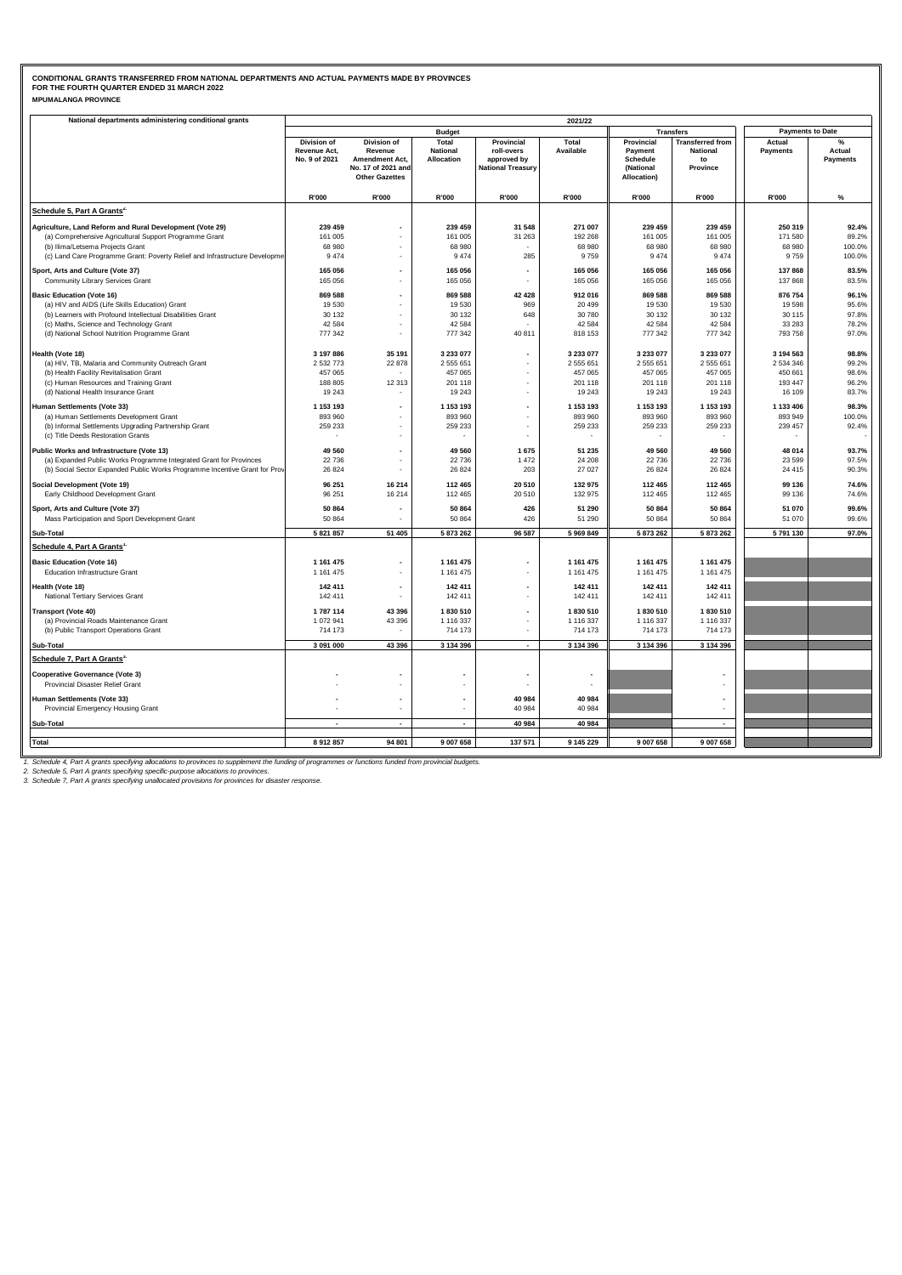### **MPUMALANGA PROVINCE CONDITIONAL GRANTS TRANSFERRED FROM NATIONAL DEPARTMENTS AND ACTUAL PAYMENTS MADE BY PROVINCES FOR THE FOURTH QUARTER ENDED 31 MARCH 2022**

| National departments administering conditional grants                      |                                              |                                                                                                |                                        |                                                                     | 2021/22                |                                                               |                                                              |                           |                                |
|----------------------------------------------------------------------------|----------------------------------------------|------------------------------------------------------------------------------------------------|----------------------------------------|---------------------------------------------------------------------|------------------------|---------------------------------------------------------------|--------------------------------------------------------------|---------------------------|--------------------------------|
|                                                                            |                                              |                                                                                                | <b>Budget</b>                          |                                                                     |                        | <b>Transfers</b>                                              |                                                              | <b>Payments to Date</b>   |                                |
|                                                                            | Division of<br>Revenue Act,<br>No. 9 of 2021 | Division of<br>Revenue<br><b>Amendment Act,</b><br>No. 17 of 2021 and<br><b>Other Gazettes</b> | Total<br><b>National</b><br>Allocation | Provincial<br>roll-overs<br>approved by<br><b>National Treasury</b> | Total<br>Available     | Provincial<br>Payment<br>Schedule<br>(National<br>Allocation) | <b>Transferred from</b><br><b>National</b><br>to<br>Province | Actual<br><b>Payments</b> | %<br>Actual<br><b>Payments</b> |
|                                                                            | R'000                                        | R'000                                                                                          | R'000                                  | R'000                                                               | R'000                  | R'000                                                         | R'000                                                        | R'000                     | $\%$                           |
| Schedule 5, Part A Grants <sup>2.</sup>                                    |                                              |                                                                                                |                                        |                                                                     |                        |                                                               |                                                              |                           |                                |
| Agriculture, Land Reform and Rural Development (Vote 29)                   | 239 459                                      |                                                                                                | 239 459                                | 31 548                                                              | 271 007                | 239 459                                                       | 239 459                                                      | 250 319                   | 92.4%                          |
| (a) Comprehensive Agricultural Support Programme Grant                     | 161 005                                      |                                                                                                | 161 005                                | 31 263                                                              | 192 268                | 161 005                                                       | 161 005                                                      | 171 580                   | 89.2%                          |
| (b) Ilima/Letsema Projects Grant                                           | 68 980                                       |                                                                                                | 68 980                                 |                                                                     | 68 980                 | 68 980                                                        | 68 980                                                       | 68 980                    | 100.0%                         |
| (c) Land Care Programme Grant: Poverty Relief and Infrastructure Developme | 9474                                         |                                                                                                | 9474                                   | 285                                                                 | 9759                   | 9474                                                          | 9 4 7 4                                                      | 9759                      | 100.0%                         |
| Sport, Arts and Culture (Vote 37)                                          | 165 056                                      |                                                                                                | 165 056                                |                                                                     | 165 056                | 165 056                                                       | 165 056                                                      | 137868                    | 83.5%                          |
| Community Library Services Grant                                           | 165 056                                      | ×.                                                                                             | 165 056                                |                                                                     | 165 056                | 165 056                                                       | 165 056                                                      | 137 868                   | 83.5%                          |
| <b>Basic Education (Vote 16)</b>                                           | 869 588                                      | $\overline{\phantom{a}}$                                                                       | 869 588                                | 42 4 28                                                             | 912 016                | 869 588                                                       | 869 588                                                      | 876 754                   | 96.1%                          |
| (a) HIV and AIDS (Life Skills Education) Grant                             | 19530                                        |                                                                                                | 19530                                  | 969                                                                 | 20 499                 | 19 530                                                        | 19 530                                                       | 19598                     | 95.6%                          |
| (b) Learners with Profound Intellectual Disabilities Grant                 | 30 132                                       |                                                                                                | 30 132                                 | 648                                                                 | 30 780                 | 30 132                                                        | 30 132                                                       | 30 115                    | 97.8%                          |
| (c) Maths, Science and Technology Grant                                    | 42 584                                       | ٠                                                                                              | 42 5 8 4                               |                                                                     | 42 584                 | 42 584                                                        | 42 5 84                                                      | 33 28 3                   | 78.2%                          |
| (d) National School Nutrition Programme Grant                              | 777 342                                      |                                                                                                | 777 342                                | 40 811                                                              | 818 153                | 777 342                                                       | 777 342                                                      | 793 758                   | 97.0%                          |
| Health (Vote 18)                                                           | 3 197 886                                    | 35 191                                                                                         | 3 233 077                              |                                                                     | 3 233 077              | 3 233 077                                                     | 3 233 077                                                    | 3 194 563                 | 98.8%                          |
| (a) HIV, TB, Malaria and Community Outreach Grant                          | 2 532 773                                    | 22 878                                                                                         | 2 555 651                              |                                                                     | 2 555 651              | 2 555 651                                                     | 2 555 651                                                    | 2 534 346                 | 99.2%                          |
| (b) Health Facility Revitalisation Grant                                   | 457 065                                      |                                                                                                | 457 065                                | ä,                                                                  | 457 065                | 457 065                                                       | 457 065                                                      | 450 661                   | 98.6%                          |
| (c) Human Resources and Training Grant                                     | 188 805                                      | 12 3 13                                                                                        | 201 118                                | ÷.                                                                  | 201 118                | 201 118                                                       | 201 118                                                      | 193 447                   | 96.2%                          |
| (d) National Health Insurance Grant                                        | 19 24 3                                      |                                                                                                | 19 24 3                                | ÷                                                                   | 19 24 3                | 19 24 3                                                       | 19 24 3                                                      | 16 109                    | 83.7%                          |
| Human Settlements (Vote 33)                                                | 1 153 193                                    | $\overline{\phantom{a}}$                                                                       | 1 153 193                              | ÷                                                                   | 1 153 193              | 1 153 193                                                     | 1 153 193                                                    | 1 133 406                 | 98.3%                          |
| (a) Human Settlements Development Grant                                    | 893 960                                      |                                                                                                | 893 960                                |                                                                     | 893 960                | 893 960                                                       | 893 960                                                      | 893 949                   | 100.0%                         |
| (b) Informal Settlements Upgrading Partnership Grant                       | 259 233                                      | ٠                                                                                              | 259 233                                | ä,                                                                  | 259 233                | 259 233                                                       | 259 233                                                      | 239 457                   | 92.4%                          |
| (c) Title Deeds Restoration Grants                                         |                                              |                                                                                                |                                        | ÷.                                                                  |                        |                                                               |                                                              |                           |                                |
| Public Works and Infrastructure (Vote 13)                                  | 49 560                                       | $\overline{\phantom{a}}$                                                                       | 49 560                                 | 1675                                                                | 51 235                 | 49 560                                                        | 49 560                                                       | 48 014                    | 93.7%                          |
| (a) Expanded Public Works Programme Integrated Grant for Provinces         | 22736                                        |                                                                                                | 22 736                                 | 1 4 7 2                                                             | 24 208                 | 22 736                                                        | 22 736                                                       | 23 5 9 9                  | 97.5%                          |
| (b) Social Sector Expanded Public Works Programme Incentive Grant for Prov | 26 8 24                                      |                                                                                                | 26 8 24                                | 203                                                                 | 27 027                 | 26 8 24                                                       | 26 824                                                       | 24 4 15                   | 90.3%                          |
| Social Development (Vote 19)                                               | 96 251                                       | 16 214                                                                                         | 112 465                                | 20 510                                                              | 132 975                | 112 465                                                       | 112 465                                                      | 99 136                    | 74.6%                          |
| Early Childhood Development Grant                                          | 96 251                                       | 16 214                                                                                         | 112 465                                | 20 510                                                              | 132 975                | 112 465                                                       | 112 465                                                      | 99 136                    | 74.6%                          |
| Sport, Arts and Culture (Vote 37)                                          | 50 864                                       | $\overline{\phantom{a}}$                                                                       | 50 864                                 | 426                                                                 | 51 290                 | 50 864                                                        | 50 864                                                       | 51 070                    | 99.6%                          |
| Mass Participation and Sport Development Grant                             | 50 864                                       |                                                                                                | 50 864                                 | 426                                                                 | 51 290                 | 50 864                                                        | 50 864                                                       | 51 070                    | 99.6%                          |
| Sub-Total                                                                  | 5 821 857                                    | 51 405                                                                                         | 5873262                                | 96 587                                                              | 5 969 849              | 5 873 262                                                     | 5 873 262                                                    | 5791130                   | 97.0%                          |
| Schedule 4, Part A Grants'                                                 |                                              |                                                                                                |                                        |                                                                     |                        |                                                               |                                                              |                           |                                |
|                                                                            | 1 161 475                                    |                                                                                                |                                        |                                                                     |                        |                                                               |                                                              |                           |                                |
| <b>Basic Education (Vote 16)</b><br><b>Education Infrastructure Grant</b>  | 1 161 475                                    | ÷,                                                                                             | 1 1 6 1 4 7 5<br>1 161 475             | ٠                                                                   | 1 161 475<br>1 161 475 | 1 161 475<br>1 161 475                                        | 1 161 475<br>1 161 475                                       |                           |                                |
|                                                                            |                                              |                                                                                                |                                        |                                                                     |                        |                                                               |                                                              |                           |                                |
| Health (Vote 18)                                                           | 142 411                                      | $\overline{a}$                                                                                 | 142 411                                | $\overline{a}$                                                      | 142 411                | 142 411                                                       | 142 411                                                      |                           |                                |
| National Tertiary Services Grant                                           | 142 411                                      |                                                                                                | 142 411                                |                                                                     | 142 411                | 142 411                                                       | 142 411                                                      |                           |                                |
| <b>Transport (Vote 40)</b>                                                 | 1 787 114                                    | 43 396                                                                                         | 1830510                                | ÷                                                                   | 1830 510               | 1830 510                                                      | 1830 510                                                     |                           |                                |
| (a) Provincial Roads Maintenance Grant                                     | 1 072 941                                    | 43 396                                                                                         | 1 116 337                              | ä,                                                                  | 1 116 337              | 1 116 337                                                     | 1 116 337                                                    |                           |                                |
| (b) Public Transport Operations Grant                                      | 714 173                                      |                                                                                                | 714 173                                | $\blacksquare$                                                      | 714 173                | 714 173                                                       | 714 173                                                      |                           |                                |
| Sub-Total                                                                  | 3 091 000                                    | 43 396                                                                                         | 3 134 396                              | $\blacksquare$                                                      | 3 134 396              | 3 134 396                                                     | 3 134 396                                                    |                           |                                |
| Schedule 7, Part A Grants <sup>3.</sup>                                    |                                              |                                                                                                |                                        |                                                                     |                        |                                                               |                                                              |                           |                                |
| <b>Cooperative Governance (Vote 3)</b>                                     |                                              |                                                                                                |                                        |                                                                     |                        |                                                               |                                                              |                           |                                |
| Provincial Disaster Relief Grant                                           |                                              |                                                                                                |                                        |                                                                     |                        |                                                               |                                                              |                           |                                |
| Human Settlements (Vote 33)                                                |                                              | $\overline{\phantom{a}}$                                                                       |                                        | 40 984                                                              | 40 984                 |                                                               |                                                              |                           |                                |
| Provincial Emergency Housing Grant                                         |                                              |                                                                                                |                                        | 40 984                                                              | 40 984                 |                                                               |                                                              |                           |                                |
| Sub-Total                                                                  |                                              | $\overline{\phantom{a}}$                                                                       | $\blacksquare$                         | 40 984                                                              | 40 984                 |                                                               | ٠                                                            |                           |                                |
|                                                                            |                                              |                                                                                                |                                        |                                                                     |                        |                                                               |                                                              |                           |                                |
| <b>Total</b>                                                               | 8 912 857                                    | 94 801                                                                                         | 9 007 658                              | 137 571                                                             | 9 145 229              | 9 007 658                                                     | 9 007 658                                                    |                           |                                |
|                                                                            |                                              |                                                                                                |                                        |                                                                     |                        |                                                               |                                                              |                           |                                |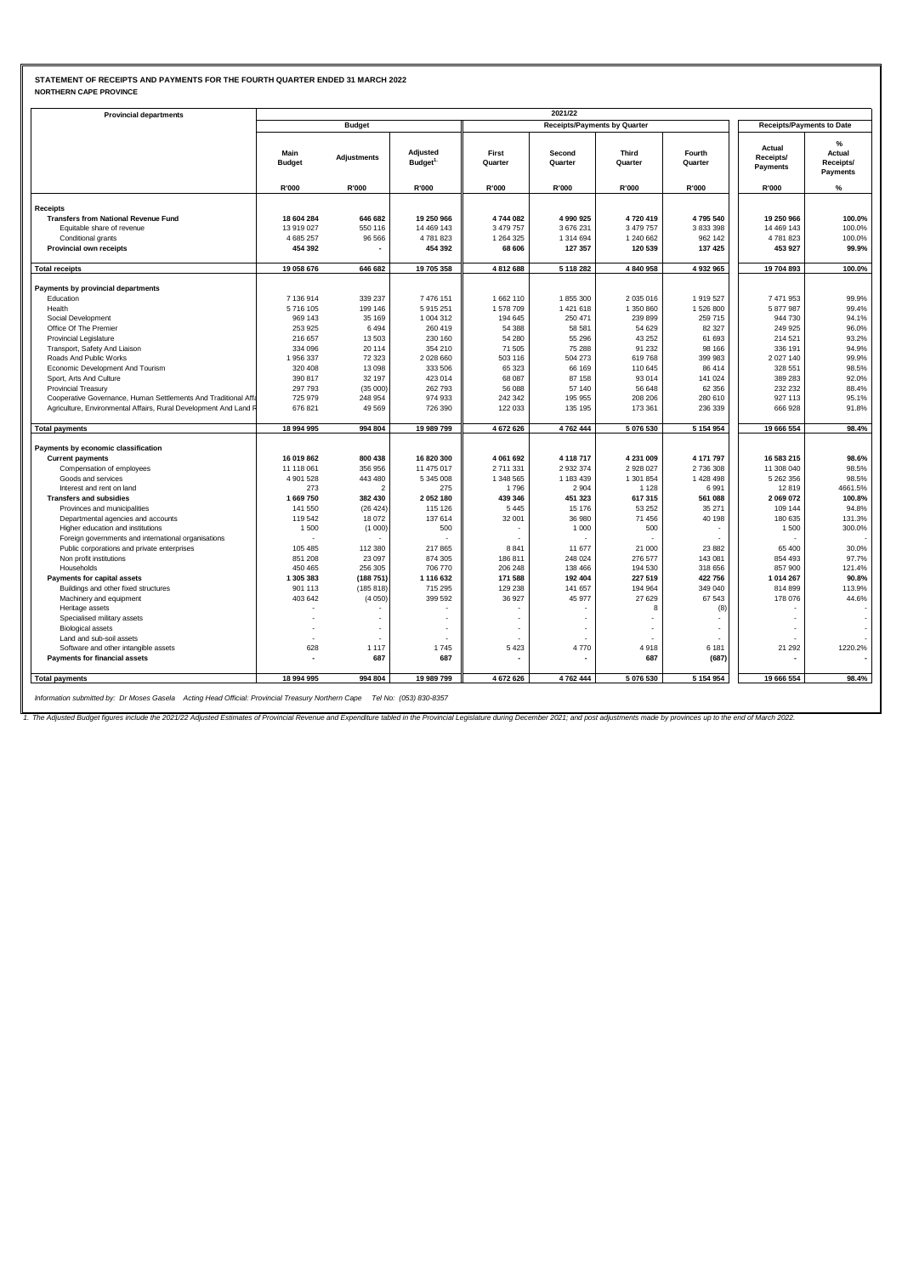# **STATEMENT OF RECEIPTS AND PAYMENTS FOR THE FOURTH QUARTER ENDED 31 MARCH 2022 NORTHERN CAPE PROVINCE**

| <b>Provincial departments</b>                                          |                       |                          |                                 |                     |                                     |                         |                          |                                  |                                      |  |
|------------------------------------------------------------------------|-----------------------|--------------------------|---------------------------------|---------------------|-------------------------------------|-------------------------|--------------------------|----------------------------------|--------------------------------------|--|
|                                                                        |                       | <b>Budget</b>            |                                 |                     | <b>Receipts/Payments by Quarter</b> |                         |                          | <b>Receipts/Payments to Date</b> |                                      |  |
|                                                                        | Main<br><b>Budget</b> | Adjustments              | Adjusted<br>Budget <sup>1</sup> | First<br>Quarter    | Second<br>Quarter                   | <b>Third</b><br>Quarter | Fourth<br>Quarter        | Actual<br>Receipts/<br>Payments  | %<br>Actual<br>Receipts/<br>Payments |  |
|                                                                        | R'000                 | R'000                    | R'000                           | R'000               | R'000                               | R'000                   | R'000                    | R'000                            | $\%$                                 |  |
|                                                                        |                       |                          |                                 |                     |                                     |                         |                          |                                  |                                      |  |
| <b>Receipts</b>                                                        |                       |                          |                                 |                     |                                     |                         |                          |                                  |                                      |  |
| <b>Transfers from National Revenue Fund</b>                            | 18 604 284            | 646 682                  | 19 250 966                      | 4744082             | 4 990 925                           | 4720419                 | 4795540                  | 19 250 966                       | 100.0%                               |  |
| Equitable share of revenue                                             | 13 919 027            | 550 116                  | 14 469 143                      | 3 479 757           | 3 676 231                           | 3 479 757               | 3 833 398                | 14 469 143                       | 100.0%                               |  |
| Conditional grants                                                     | 4 685 257<br>454 392  | 96 566                   | 4781823<br>454 392              | 1 264 325<br>68 606 | 1 314 694<br>127 357                | 1 240 662<br>120 539    | 962 142<br>137 425       | 4781823<br>453 927               | 100.0%<br>99.9%                      |  |
| Provincial own receipts                                                |                       |                          |                                 |                     |                                     |                         |                          |                                  |                                      |  |
| <b>Total receipts</b>                                                  | 19 058 676            | 646 682                  | 19 705 358                      | 4812688             | 5 118 282                           | 4 840 958               | 4 932 965                | 19 704 893                       | 100.0%                               |  |
|                                                                        |                       |                          |                                 |                     |                                     |                         |                          |                                  |                                      |  |
| Payments by provincial departments                                     |                       |                          |                                 |                     |                                     |                         |                          |                                  |                                      |  |
| Education                                                              | 7 136 914             | 339 237                  | 7 476 151                       | 1 662 110           | 1855 300                            | 2 035 016               | 1919527                  | 7 471 953                        | 99.9%                                |  |
| Health                                                                 | 5716105               | 199 146                  | 5 915 251                       | 1578709             | 1 421 618                           | 1 350 860               | 1 526 800                | 5 877 987                        | 99.4%                                |  |
| Social Development                                                     | 969 143               | 35 169                   | 1 004 312                       | 194 645             | 250 471                             | 239 899                 | 259 715                  | 944 730                          | 94.1%                                |  |
| Office Of The Premier                                                  | 253 925               | 6494                     | 260 419                         | 54 388              | 58 581                              | 54 629                  | 82 327                   | 249 925                          | 96.0%                                |  |
| <b>Provincial Legislature</b>                                          | 216 657               | 13503                    | 230 160                         | 54 280              | 55 296                              | 43 25 2                 | 61 693                   | 214 521                          | 93.2%                                |  |
| Transport, Safety And Liaison                                          | 334 096               | 20 114                   | 354 210                         | 71 505              | 75 288                              | 91 232                  | 98 166                   | 336 191                          | 94.9%                                |  |
| Roads And Public Works                                                 | 1 956 337             | 72 323                   | 2 028 660                       | 503 116             | 504 273                             | 619768                  | 399 983                  | 2 0 2 7 1 4 0                    | 99.9%                                |  |
| Economic Development And Tourism                                       | 320 408               | 13 098                   | 333 506                         | 65 323              | 66 169                              | 110 645                 | 86 414                   | 328 551                          | 98.5%                                |  |
| Sport, Arts And Culture                                                | 390 817               | 32 197                   | 423 014                         | 68 087              | 87 158                              | 93 014                  | 141 024                  | 389 283                          | 92.0%                                |  |
| <b>Provincial Treasury</b>                                             | 297 793               | (35000)                  | 262 793                         | 56 088              | 57 140                              | 56 648                  | 62 356                   | 232 232                          | 88.4%                                |  |
| Cooperative Governance, Human Settlements And Traditional Affa         | 725 979               | 248 954                  | 974 933                         | 242 342             | 195 955                             | 208 206                 | 280 610                  | 927 113                          | 95.1%                                |  |
| Agriculture, Environmental Affairs, Rural Development And Land F       | 676 821               | 49 5 69                  | 726 390                         | 122 033             | 135 195                             | 173 361                 | 236 339                  | 666 928                          | 91.8%                                |  |
| <b>Total payments</b>                                                  | 18 994 995            | 994 804                  | 19 989 799                      | 4 672 626           | 4 762 444                           | 5 076 530               | 5 154 954                | 19 666 554                       | 98.4%                                |  |
|                                                                        |                       |                          |                                 |                     |                                     |                         |                          |                                  |                                      |  |
| Payments by economic classification                                    |                       |                          |                                 |                     |                                     |                         |                          |                                  |                                      |  |
| <b>Current payments</b>                                                | 16 019 862            | 800 438                  | 16 820 300                      | 4 061 692           | 4 118 717                           | 4 231 009               | 4 171 797                | 16 583 215                       | 98.6%                                |  |
| Compensation of employees                                              | 11 118 061            | 356 956                  | 11 475 017                      | 2 711 331           | 2 932 374                           | 2 928 027               | 2 736 308                | 11 308 040                       | 98.5%                                |  |
| Goods and services                                                     | 4 901 528             | 443 480                  | 5 345 008                       | 1 348 565           | 1 183 439                           | 1 301 854               | 1 428 498                | 5 262 356                        | 98.5%                                |  |
| Interest and rent on land                                              | 273                   | $\overline{\phantom{0}}$ | 275                             | 1796                | 2 9 0 4                             | 1 1 2 8                 | 6991                     | 12819                            | 4661.5%                              |  |
| <b>Transfers and subsidies</b>                                         | 1 669 750             | 382 430                  | 2 052 180                       | 439 346             | 451 323                             | 617 315                 | 561 088                  | 2 069 072                        | 100.8%                               |  |
| Provinces and municipalities                                           | 141 550               | (26 424)                 | 115 126                         | 5 4 4 5             | 15 176                              | 53 252                  | 35 271                   | 109 144                          | 94.8%                                |  |
| Departmental agencies and accounts                                     | 119 542               | 18 072                   | 137 614                         | 32 001              | 36 980                              | 71 456                  | 40 198                   | 180 635                          | 131.3%                               |  |
| Higher education and institutions                                      | 1500                  | (1000)                   | 500                             |                     | 1 0 0 0                             | 500                     |                          | 1 500                            | 300.0%                               |  |
| Foreign governments and international organisations                    |                       |                          |                                 |                     |                                     |                         |                          |                                  |                                      |  |
| Public corporations and private enterprises<br>Non profit institutions | 105 485<br>851 208    | 112 380<br>23 097        | 217 865<br>874 305              | 8 8 4 1<br>186 811  | 11 677<br>248 024                   | 21 000<br>276 577       | 23 882<br>143 081        | 65 400<br>854 493                | 30.0%<br>97.7%                       |  |
|                                                                        |                       |                          |                                 |                     |                                     |                         |                          |                                  |                                      |  |
| Households                                                             | 450 465               | 256 305                  | 706 770                         | 206 248             | 138 466                             | 194 530                 | 318 656                  | 857 900                          | 121.4%<br>90.8%                      |  |
| Payments for capital assets<br>Buildings and other fixed structures    | 1 305 383<br>901 113  | (188751)<br>(185818)     | 1 116 632<br>715 295            | 171 588<br>129 238  | 192 404<br>141 657                  | 227 519<br>194 964      | 422 756<br>349 040       | 1 014 267<br>814 899             | 113.9%                               |  |
|                                                                        |                       |                          |                                 |                     |                                     |                         |                          |                                  |                                      |  |
| Machinery and equipment                                                | 403 642               | (4050)                   | 399 592                         | 36 927              | 45 977                              | 27 629<br>8             | 67 543<br>(8)            | 178 076                          | 44.6%                                |  |
| Heritage assets                                                        |                       |                          |                                 |                     |                                     |                         |                          |                                  |                                      |  |
| Specialised military assets                                            |                       |                          | ÷                               |                     |                                     |                         |                          |                                  |                                      |  |
| <b>Biological assets</b><br>Land and sub-soil assets                   |                       |                          |                                 |                     |                                     |                         | $\overline{\phantom{a}}$ |                                  |                                      |  |
| Software and other intangible assets                                   | 628                   | 1 1 1 7                  | 1745                            | 5 4 2 3             | 4770                                | 4918                    | 6 181                    | 21 29 2                          | 1220.2%                              |  |
| Payments for financial assets                                          | ٠                     | 687                      | 687                             |                     |                                     | 687                     | (687)                    |                                  |                                      |  |
|                                                                        |                       |                          |                                 |                     |                                     |                         |                          |                                  |                                      |  |
| <b>Total payments</b>                                                  | 18 994 995            | 994 804                  | 19 989 799                      | 4 672 626           | 4 762 444                           | 5 076 530               | 5 154 954                | 19 666 554                       | 98.4%                                |  |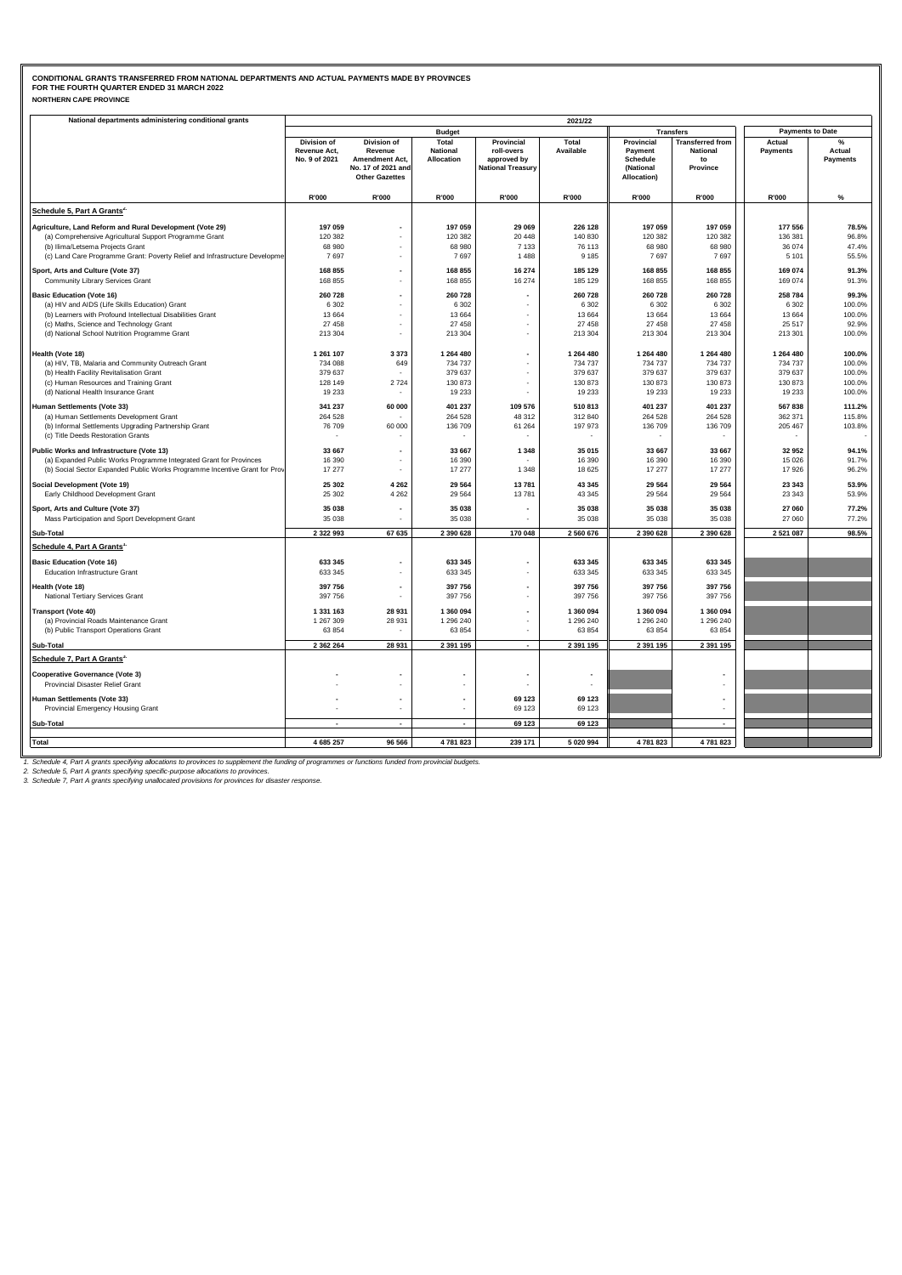### **NORTHERN CAPE PROVINCE CONDITIONAL GRANTS TRANSFERRED FROM NATIONAL DEPARTMENTS AND ACTUAL PAYMENTS MADE BY PROVINCES FOR THE FOURTH QUARTER ENDED 31 MARCH 2022**

| National departments administering conditional grants                                                              | 2021/22                     |                                                               |                          |                                         |                        |                                      |                                            |                         |                 |  |  |
|--------------------------------------------------------------------------------------------------------------------|-----------------------------|---------------------------------------------------------------|--------------------------|-----------------------------------------|------------------------|--------------------------------------|--------------------------------------------|-------------------------|-----------------|--|--|
|                                                                                                                    |                             |                                                               | <b>Budget</b>            |                                         |                        |                                      | <b>Transfers</b>                           | <b>Payments to Date</b> |                 |  |  |
|                                                                                                                    | Division of<br>Revenue Act, | Division of<br>Revenue                                        | Total<br><b>National</b> | Provincial<br>roll-overs                | Total<br>Available     | Provincial<br>Payment                | <b>Transferred from</b><br><b>National</b> | Actual<br>Payments      | Actual          |  |  |
|                                                                                                                    | No. 9 of 2021               | Amendment Act,<br>No. 17 of 2021 and<br><b>Other Gazettes</b> | Allocation               | approved by<br><b>National Treasury</b> |                        | Schedule<br>(National<br>Allocation) | to<br>Province                             |                         | <b>Payments</b> |  |  |
|                                                                                                                    | R'000                       | R'000                                                         | R'000                    | R'000                                   | R'000                  | R'000                                | <b>R'000</b>                               | R'000                   | $\%$            |  |  |
| Schedule 5, Part A Grants <sup>2.</sup>                                                                            |                             |                                                               |                          |                                         |                        |                                      |                                            |                         |                 |  |  |
|                                                                                                                    | 197 059                     |                                                               |                          |                                         |                        |                                      |                                            |                         |                 |  |  |
| Agriculture, Land Reform and Rural Development (Vote 29)<br>(a) Comprehensive Agricultural Support Programme Grant | 120 382                     |                                                               | 197 059<br>120 382       | 29 069<br>20 448                        | 226 128<br>140 830     | 197 059<br>120 382                   | 197 059<br>120 382                         | 177 556<br>136 381      | 78.5%<br>96.8%  |  |  |
| (b) Ilima/Letsema Projects Grant                                                                                   | 68 980                      | $\overline{\phantom{a}}$                                      | 68 980                   | 7 1 3 3                                 | 76 113                 | 68 980                               | 68 980                                     | 36 074                  | 47.4%           |  |  |
| (c) Land Care Programme Grant: Poverty Relief and Infrastructure Developme                                         | 7697                        |                                                               | 7697                     | 1 4 8 8                                 | 9 1 8 5                | 7697                                 | 7697                                       | 5 1 0 1                 | 55.5%           |  |  |
|                                                                                                                    |                             |                                                               |                          |                                         |                        |                                      |                                            |                         |                 |  |  |
| Sport, Arts and Culture (Vote 37)                                                                                  | 168 855                     |                                                               | 168 855                  | 16 274                                  | 185 129                | 168 855                              | 168 855                                    | 169 074                 | 91.3%           |  |  |
| Community Library Services Grant                                                                                   | 168 855                     |                                                               | 168 855                  | 16 274                                  | 185 129                | 168 855                              | 168 855                                    | 169 074                 | 91.3%           |  |  |
| <b>Basic Education (Vote 16)</b>                                                                                   | 260 728                     |                                                               | 260 728                  |                                         | 260 728                | 260 728                              | 260 728                                    | 258 784                 | 99.3%           |  |  |
| (a) HIV and AIDS (Life Skills Education) Grant                                                                     | 6 3 0 2                     | $\overline{\phantom{a}}$                                      | 6 3 0 2                  | ä,                                      | 6 3 0 2                | 6 3 0 2                              | 6 3 0 2                                    | 6 3 0 2                 | 100.0%          |  |  |
| (b) Learners with Profound Intellectual Disabilities Grant                                                         | 13 6 64                     |                                                               | 13 6 64                  |                                         | 13 6 64                | 13 664                               | 13 664                                     | 13 6 64                 | 100.0%          |  |  |
| (c) Maths, Science and Technology Grant                                                                            | 27 458                      | ÷.                                                            | 27 458                   | ÷.                                      | 27 458                 | 27 458                               | 27 458                                     | 25 517                  | 92.9%           |  |  |
| (d) National School Nutrition Programme Grant                                                                      | 213 304                     | ÷,                                                            | 213 304                  | ٠                                       | 213 304                | 213 304                              | 213 304                                    | 213 301                 | 100.0%          |  |  |
| Health (Vote 18)                                                                                                   | 1 261 107                   | 3 3 7 3                                                       | 1 264 480                | ÷                                       | 1 264 480              | 1 264 480                            | 1 264 480                                  | 1 264 480               | 100.0%          |  |  |
| (a) HIV, TB, Malaria and Community Outreach Grant                                                                  | 734 088                     | 649                                                           | 734 737                  |                                         | 734 737                | 734 737                              | 734 737                                    | 734 737                 | 100.0%          |  |  |
| (b) Health Facility Revitalisation Grant                                                                           | 379 637                     |                                                               | 379 637                  |                                         | 379 637                | 379 637                              | 379 637                                    | 379 637                 | 100.0%          |  |  |
| (c) Human Resources and Training Grant                                                                             | 128 149                     | 2724                                                          | 130 873                  |                                         | 130 873                | 130 873                              | 130 873                                    | 130 873                 | 100.0%          |  |  |
| (d) National Health Insurance Grant                                                                                | 19 233                      |                                                               | 19 2 33                  | ä,                                      | 19 233                 | 19 233                               | 19 233                                     | 19 233                  | 100.0%          |  |  |
| Human Settlements (Vote 33)                                                                                        | 341 237                     | 60 000                                                        | 401 237                  | 109 576                                 | 510 813                | 401 237                              | 401 237                                    | 567838                  | 111.2%          |  |  |
| (a) Human Settlements Development Grant                                                                            | 264 528                     |                                                               | 264 528                  | 48 312                                  | 312 840                | 264 528                              | 264 528                                    | 362 371                 | 115.8%          |  |  |
| (b) Informal Settlements Upgrading Partnership Grant                                                               | 76 709                      | 60 000                                                        | 136 709                  | 61 264                                  | 197 973                | 136 709                              | 136 709                                    | 205 467                 | 103.8%          |  |  |
| (c) Title Deeds Restoration Grants                                                                                 |                             |                                                               |                          |                                         |                        |                                      |                                            |                         |                 |  |  |
|                                                                                                                    | 33 667                      | $\overline{\phantom{a}}$                                      | 33 667                   | 1 3 4 8                                 | 35 015                 | 33 667                               | 33 667                                     | 32 952                  | 94.1%           |  |  |
| Public Works and Infrastructure (Vote 13)<br>(a) Expanded Public Works Programme Integrated Grant for Provinces    | 16 390                      |                                                               | 16 390                   |                                         | 16 390                 | 16 390                               | 16 390                                     | 15 0 26                 | 91.7%           |  |  |
| (b) Social Sector Expanded Public Works Programme Incentive Grant for Prov                                         | 17 277                      |                                                               | 17 277                   | 1 3 4 8                                 | 18 625                 | 17 277                               | 17 277                                     | 17926                   | 96.2%           |  |  |
|                                                                                                                    |                             |                                                               |                          |                                         |                        |                                      |                                            |                         |                 |  |  |
| Social Development (Vote 19)                                                                                       | 25 30 2                     | 4 2 6 2                                                       | 29 5 64                  | 13781                                   | 43 345                 | 29 5 64                              | 29 5 64                                    | 23 34 3                 | 53.9%           |  |  |
| Early Childhood Development Grant                                                                                  | 25 30 2                     | 4 2 6 2                                                       | 29 5 64                  | 13781                                   | 43 345                 | 29 5 64                              | 29 5 64                                    | 23 34 3                 | 53.9%           |  |  |
| Sport, Arts and Culture (Vote 37)                                                                                  | 35 038                      | $\overline{\phantom{a}}$                                      | 35 038                   | $\overline{\phantom{a}}$                | 35 038                 | 35 038                               | 35 038                                     | 27 060                  | 77.2%           |  |  |
| Mass Participation and Sport Development Grant                                                                     | 35 038                      |                                                               | 35 038                   |                                         | 35 038                 | 35 038                               | 35 038                                     | 27 060                  | 77.2%           |  |  |
| Sub-Total                                                                                                          | 2 3 2 9 9 3                 | 67 635                                                        | 2 390 628                | 170 048                                 | 2 560 676              | 2 390 628                            | 2 390 628                                  | 2 5 2 1 0 8 7           | 98.5%           |  |  |
| Schedule 4, Part A Grants'                                                                                         |                             |                                                               |                          |                                         |                        |                                      |                                            |                         |                 |  |  |
| <b>Basic Education (Vote 16)</b>                                                                                   | 633 345                     |                                                               | 633 345                  |                                         | 633 345                | 633 345                              | 633 345                                    |                         |                 |  |  |
| Education Infrastructure Grant                                                                                     | 633 345                     | ÷,                                                            | 633 345                  | ٠                                       | 633 345                | 633 345                              | 633 345                                    |                         |                 |  |  |
| Health (Vote 18)                                                                                                   | 397 756                     | $\overline{\phantom{a}}$                                      | 397 756                  | $\overline{\phantom{a}}$                | 397 756                | 397 756                              | 397 756                                    |                         |                 |  |  |
| National Tertiary Services Grant                                                                                   | 397 756                     |                                                               | 397 756                  |                                         | 397 756                | 397 756                              | 397 756                                    |                         |                 |  |  |
|                                                                                                                    |                             |                                                               |                          |                                         |                        |                                      |                                            |                         |                 |  |  |
| <b>Transport (Vote 40)</b><br>(a) Provincial Roads Maintenance Grant                                               | 1 331 163<br>1 267 309      | 28 931<br>28 9 31                                             | 1 360 094<br>1 296 240   | ٠                                       | 1 360 094<br>1 296 240 | 1 360 094<br>1 296 240               | 1 360 094<br>1 296 240                     |                         |                 |  |  |
| (b) Public Transport Operations Grant                                                                              | 63 854                      |                                                               | 63 854                   | $\blacksquare$                          | 63 854                 | 63 854                               | 63 854                                     |                         |                 |  |  |
|                                                                                                                    |                             |                                                               |                          |                                         |                        |                                      |                                            |                         |                 |  |  |
| Sub-Total                                                                                                          | 2 3 6 2 2 6 4               | 28 931                                                        | 2 391 195                | $\blacksquare$                          | 2 391 195              | 2 391 195                            | 2 391 195                                  |                         |                 |  |  |
| Schedule 7, Part A Grants <sup>3.</sup>                                                                            |                             |                                                               |                          |                                         |                        |                                      |                                            |                         |                 |  |  |
| <b>Cooperative Governance (Vote 3)</b>                                                                             |                             |                                                               |                          |                                         |                        |                                      |                                            |                         |                 |  |  |
| Provincial Disaster Relief Grant                                                                                   |                             |                                                               |                          |                                         |                        |                                      |                                            |                         |                 |  |  |
| Human Settlements (Vote 33)                                                                                        |                             | $\overline{\phantom{a}}$                                      |                          | 69 123                                  | 69 123                 |                                      |                                            |                         |                 |  |  |
| Provincial Emergency Housing Grant                                                                                 |                             | ٠                                                             |                          | 69 123                                  | 69 123                 |                                      |                                            |                         |                 |  |  |
|                                                                                                                    |                             |                                                               |                          |                                         |                        |                                      |                                            |                         |                 |  |  |
| Sub-Total                                                                                                          |                             | $\overline{a}$                                                | $\overline{\phantom{a}}$ | 69 123                                  | 69 123                 |                                      | $\overline{a}$                             |                         |                 |  |  |
| <b>Total</b>                                                                                                       | 4 685 257                   | 96 566                                                        | 4781823                  | 239 171                                 | 5 020 994              | 4781823                              | 4781823                                    |                         |                 |  |  |
|                                                                                                                    |                             |                                                               |                          |                                         |                        |                                      |                                            |                         |                 |  |  |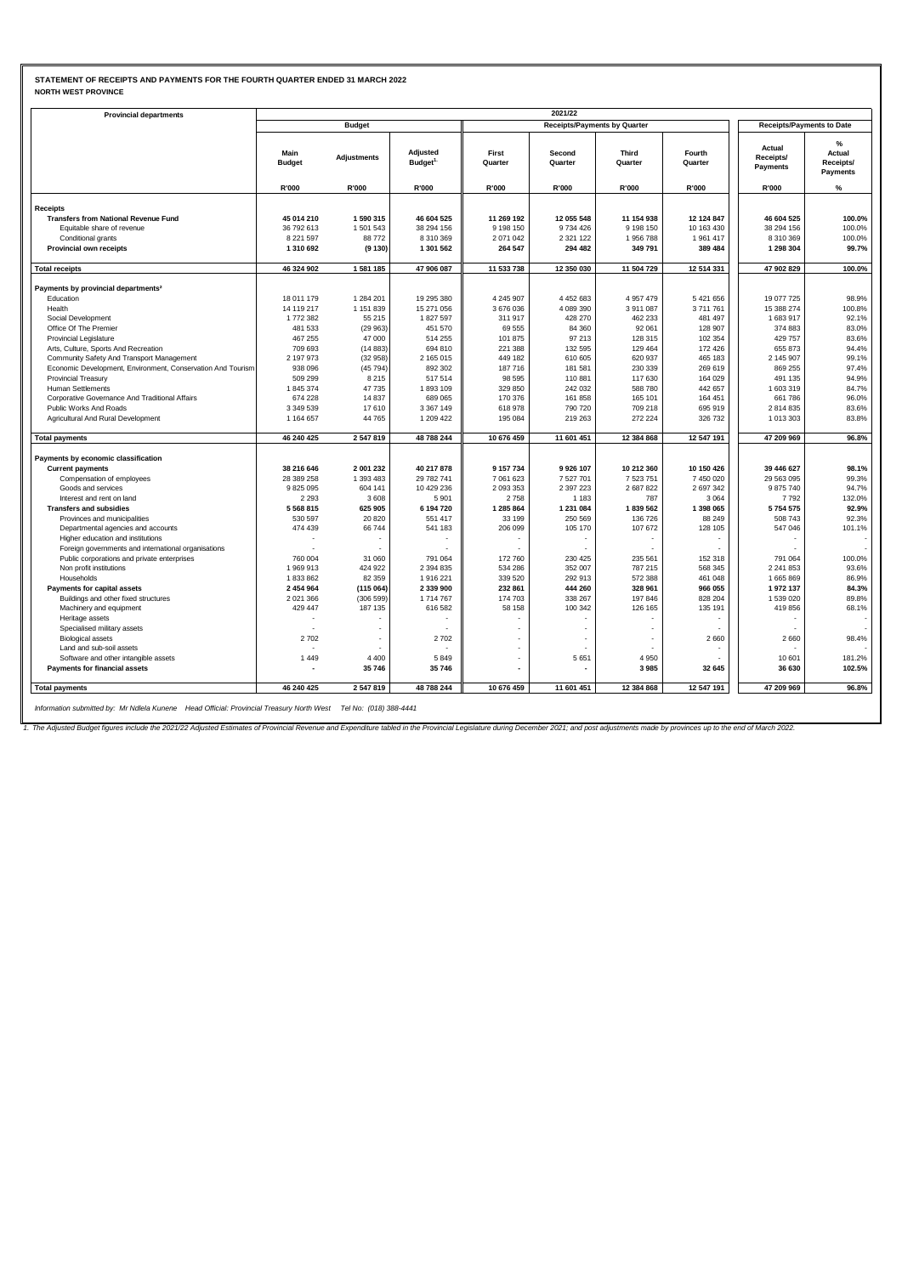#### **STATEMENT OF RECEIPTS AND PAYMENTS FOR THE FOURTH QUARTER ENDED 31 MARCH 2022 NORTH WEST PROVINCE**

| <b>Provincial departments</b>                               | 2021/22               |                    |                                  |                          |                                     |                         |                          |                                        |                                             |  |  |
|-------------------------------------------------------------|-----------------------|--------------------|----------------------------------|--------------------------|-------------------------------------|-------------------------|--------------------------|----------------------------------------|---------------------------------------------|--|--|
|                                                             |                       | <b>Budget</b>      |                                  |                          | <b>Receipts/Payments by Quarter</b> |                         |                          | <b>Receipts/Payments to Date</b>       |                                             |  |  |
|                                                             | Main<br><b>Budget</b> | <b>Adjustments</b> | Adjusted<br>Budget <sup>1.</sup> | First<br>Quarter         | Second<br>Quarter                   | <b>Third</b><br>Quarter | Fourth<br>Quarter        | Actual<br>Receipts/<br><b>Payments</b> | %<br>Actual<br>Receipts/<br><b>Payments</b> |  |  |
|                                                             | R'000                 | R'000              | R'000                            | R'000                    | R'000                               | R'000                   | R'000                    | R'000                                  | %                                           |  |  |
| Receipts                                                    |                       |                    |                                  |                          |                                     |                         |                          |                                        |                                             |  |  |
| <b>Transfers from National Revenue Fund</b>                 | 45 014 210            | 1590315            | 46 604 525                       | 11 269 192               | 12 055 548                          | 11 154 938              | 12 124 847               | 46 604 525                             | 100.0%                                      |  |  |
| Equitable share of revenue                                  | 36 792 613            | 1501543            | 38 294 156                       | 9 198 150                | 9734426                             | 9 198 150               | 10 163 430               | 38 294 156                             | 100.0%                                      |  |  |
| Conditional grants                                          | 8 2 2 1 5 9 7         | 88772              | 8 310 369                        | 2 071 042                | 2 3 2 1 1 2 2                       | 1 956 788               | 1 961 417                | 8 310 369                              | 100.0%                                      |  |  |
| Provincial own receipts                                     | 1 310 692             | (9130)             | 1 301 562                        | 264 547                  | 294 482                             | 349 791                 | 389 484                  | 1 298 304                              | 99.7%                                       |  |  |
| <b>Total receipts</b>                                       | 46 324 902            | 1581185            | 47 906 087                       | 11 533 738               | 12 350 030                          | 11 504 729              | 12 514 331               | 47 902 829                             | 100.0%                                      |  |  |
|                                                             |                       |                    |                                  |                          |                                     |                         |                          |                                        |                                             |  |  |
| Payments by provincial departments <sup>2</sup>             |                       |                    |                                  |                          |                                     |                         |                          |                                        |                                             |  |  |
| Education                                                   | 18 011 179            | 1 284 201          | 19 295 380                       | 4 245 907                | 4 452 683                           | 4 9 5 7 4 7 9           | 5 421 656                | 19 077 725                             | 98.9%                                       |  |  |
| Health                                                      | 14 119 217            | 1 151 839          | 15 271 056                       | 3 676 036                | 4 089 390                           | 3911087                 | 3711761                  | 15 388 274                             | 100.8%                                      |  |  |
| Social Development                                          | 1772382               | 55 215             | 1827597                          | 311 917                  | 428 270                             | 462 233                 | 481 497                  | 1683917                                | 92.1%                                       |  |  |
| Office Of The Premier                                       | 481 533               | (29963)            | 451 570                          | 69 555                   | 84 360                              | 92 061                  | 128 907                  | 374 883                                | 83.0%                                       |  |  |
| <b>Provincial Legislature</b>                               | 467 255               | 47 000             | 514 255                          | 101 875                  | 97 213                              | 128 315                 | 102 354                  | 429 757                                | 83.6%                                       |  |  |
| Arts, Culture, Sports And Recreation                        | 709 693               | (14883)            | 694 810                          | 221 388                  | 132 595                             | 129 464                 | 172 426                  | 655 873                                | 94.4%                                       |  |  |
| Community Safety And Transport Management                   | 2 197 973             | (32958)            | 2 165 015                        | 449 182                  | 610 605                             | 620 937                 | 465 183                  | 2 145 907                              | 99.1%                                       |  |  |
| Economic Development, Environment, Conservation And Tourism | 938 096               | (45794)            | 892 302                          | 187716                   | 181 581                             | 230 339                 | 269 619                  | 869 255                                | 97.4%                                       |  |  |
| <b>Provincial Treasury</b>                                  | 509 299               | 8215               | 517 514                          | 98 595                   | 110 881                             | 117630                  | 164 029                  | 491 135                                | 94.9%                                       |  |  |
| Human Settlements                                           | 1845374               | 47735              | 1893109                          | 329 850                  | 242 032                             | 588 780                 | 442 657                  | 1 603 319                              | 84.7%                                       |  |  |
| Corporative Governance And Traditional Affairs              | 674 228               | 14 8 37            | 689 065                          | 170 376                  | 161 858                             | 165 101                 | 164 451                  | 661 786                                | 96.0%                                       |  |  |
| Public Works And Roads                                      | 3 349 539             | 17610              | 3 3 6 7 1 4 9                    | 618 978<br>195 084       | 790 720                             | 709 218<br>272 224      | 695 919<br>326 732       | 2 814 835                              | 83.6%                                       |  |  |
| Agricultural And Rural Development                          | 1 164 657             | 44765              | 1 209 422                        |                          | 219 263                             |                         |                          | 1 013 303                              | 83.8%                                       |  |  |
| <b>Total payments</b>                                       | 46 240 425            | 2547819            | 48 788 244                       | 10 676 459               | 11 601 451                          | 12 384 868              | 12 547 191               | 47 209 969                             | 96.8%                                       |  |  |
| Payments by economic classification                         |                       |                    |                                  |                          |                                     |                         |                          |                                        |                                             |  |  |
| <b>Current payments</b>                                     | 38 216 646            | 2 001 232          | 40 217 878                       | 9 157 734                | 9 9 26 10 7                         | 10 212 360              | 10 150 426               | 39 446 627                             | 98.1%                                       |  |  |
| Compensation of employees                                   | 28 389 258            | 1 393 483          | 29 782 741                       | 7 061 623                | 7 527 701                           | 7 523 751               | 7 450 020                | 29 563 095                             | 99.3%                                       |  |  |
| Goods and services                                          | 9825095               | 604 141            | 10 429 236                       | 2 093 353                | 2 397 223                           | 2 687 822               | 2 697 342                | 9875740                                | 94.7%                                       |  |  |
| Interest and rent on land                                   | 2 2 9 3               | 3608               | 5 9 0 1                          | 2758                     | 1 1 8 3                             | 787                     | 3 0 6 4                  | 7792                                   | 132.0%                                      |  |  |
| <b>Transfers and subsidies</b>                              | 5 5 6 8 8 1 5         | 625 905            | 6 194 720                        | 1 285 864                | 1 231 084                           | 1839 562                | 1 398 065                | 5754575                                | 92.9%                                       |  |  |
| Provinces and municipalities                                | 530 597               | 20 8 20            | 551 417                          | 33 199                   | 250 569                             | 136 726                 | 88 249                   | 508 743                                | 92.3%                                       |  |  |
| Departmental agencies and accounts                          | 474 439               | 66744              | 541 183                          | 206 099                  | 105 170                             | 107 672                 | 128 105                  | 547 046                                | 101.1%                                      |  |  |
| Higher education and institutions                           |                       |                    |                                  |                          |                                     |                         | $\overline{\phantom{0}}$ |                                        |                                             |  |  |
| Foreign governments and international organisations         |                       |                    |                                  |                          |                                     |                         |                          |                                        |                                             |  |  |
| Public corporations and private enterprises                 | 760 004               | 31 060             | 791 064                          | 172 760                  | 230 425                             | 235 561                 | 152 318                  | 791 064                                | 100.0%                                      |  |  |
| Non profit institutions                                     | 1 969 913             | 424 922            | 2 394 835                        | 534 286                  | 352 007                             | 787 215                 | 568 345                  | 2 241 853                              | 93.6%                                       |  |  |
| Households                                                  | 1833862               | 82 359             | 1 916 221                        | 339 520                  | 292 913                             | 572 388                 | 461 048                  | 1 665 869                              | 86.9%                                       |  |  |
| Payments for capital assets                                 | 2 454 964             | (115064)           | 2 339 900                        | 232 861                  | 444 260                             | 328 961                 | 966 055                  | 1972137                                | 84.3%                                       |  |  |
| Buildings and other fixed structures                        | 2 0 21 3 66           | (306 599)          | 1714767                          | 174 703                  | 338 267                             | 197 846                 | 828 204                  | 1 539 020                              | 89.8%                                       |  |  |
| Machinery and equipment                                     | 429 447               | 187 135            | 616 582                          | 58 158                   | 100 342                             | 126 165                 | 135 191                  | 419 856                                | 68.1%                                       |  |  |
| Heritage assets                                             |                       |                    |                                  |                          |                                     |                         | ٠                        |                                        |                                             |  |  |
| Specialised military assets                                 |                       |                    |                                  |                          |                                     |                         |                          |                                        |                                             |  |  |
| <b>Biological assets</b>                                    | 2702                  | ÷                  | 2702                             |                          |                                     | ÷                       | 2660                     | 2 6 6 0                                | 98.4%                                       |  |  |
| Land and sub-soil assets                                    |                       |                    |                                  |                          |                                     |                         |                          |                                        |                                             |  |  |
| Software and other intangible assets                        | 1449                  | 4 4 0 0            | 5849                             | $\overline{\phantom{a}}$ | 5 6 5 1                             | 4 9 5 0                 |                          | 10 601                                 | 181.2%                                      |  |  |
| Payments for financial assets                               |                       | 35746              | 35 746                           | $\blacksquare$           |                                     | 3985                    | 32 645                   | 36 630                                 | 102.5%                                      |  |  |
| <b>Total payments</b>                                       | 46 240 425            | 2547819            | 48 788 244                       | 10 676 459               | 11 601 451                          | 12 384 868              | 12 547 191               | 47 209 969                             | 96.8%                                       |  |  |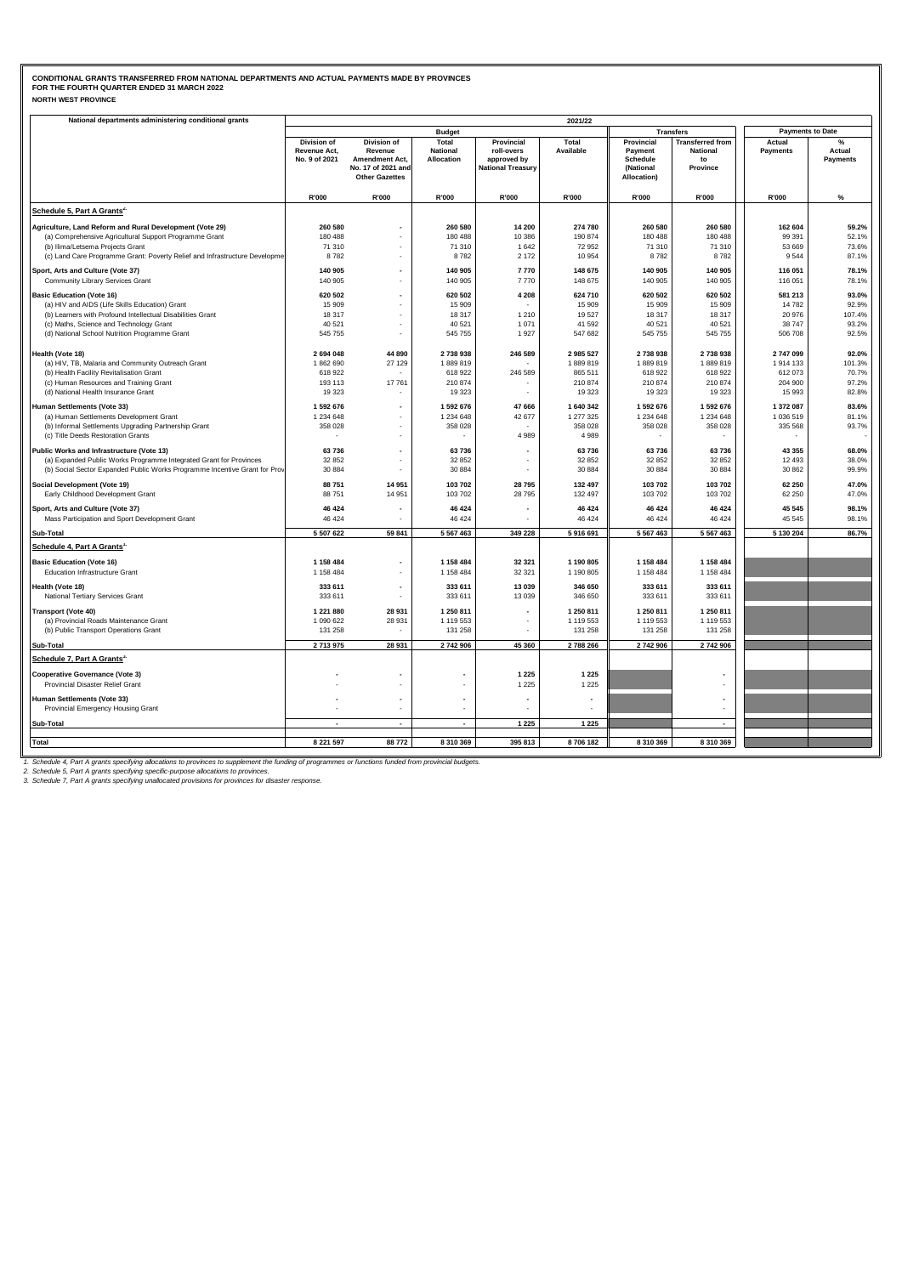### **NORTH WEST PROVINCE CONDITIONAL GRANTS TRANSFERRED FROM NATIONAL DEPARTMENTS AND ACTUAL PAYMENTS MADE BY PROVINCES FOR THE FOURTH QUARTER ENDED 31 MARCH 2022**

| National departments administering conditional grants                      |                                              |                                                                                                |                                        |                                                                     | 2021/22            |                                                               |                                                              |                           |                           |
|----------------------------------------------------------------------------|----------------------------------------------|------------------------------------------------------------------------------------------------|----------------------------------------|---------------------------------------------------------------------|--------------------|---------------------------------------------------------------|--------------------------------------------------------------|---------------------------|---------------------------|
|                                                                            |                                              |                                                                                                | <b>Budget</b>                          |                                                                     |                    | <b>Transfers</b>                                              |                                                              | <b>Payments to Date</b>   |                           |
|                                                                            | Division of<br>Revenue Act,<br>No. 9 of 2021 | Division of<br>Revenue<br><b>Amendment Act,</b><br>No. 17 of 2021 and<br><b>Other Gazettes</b> | Total<br><b>National</b><br>Allocation | Provincial<br>roll-overs<br>approved by<br><b>National Treasury</b> | Total<br>Available | Provincial<br>Payment<br>Schedule<br>(National<br>Allocation) | <b>Transferred from</b><br><b>National</b><br>to<br>Province | Actual<br><b>Payments</b> | Actual<br><b>Payments</b> |
|                                                                            | R'000                                        | R'000                                                                                          | R'000                                  | R'000                                                               | R'000              | R'000                                                         | R'000                                                        | R'000                     | $\%$                      |
| Schedule 5, Part A Grants <sup>2</sup>                                     |                                              |                                                                                                |                                        |                                                                     |                    |                                                               |                                                              |                           |                           |
| Agriculture, Land Reform and Rural Development (Vote 29)                   | 260 580                                      |                                                                                                | 260 580                                | 14 200                                                              | 274 780            | 260 580                                                       | 260 580                                                      | 162 604                   | 59.2%                     |
| (a) Comprehensive Agricultural Support Programme Grant                     | 180 488                                      |                                                                                                | 180 488                                | 10 386                                                              | 190 874            | 180 488                                                       | 180 488                                                      | 99 391                    | 52.1%                     |
| (b) Ilima/Letsema Projects Grant                                           | 71 310                                       |                                                                                                | 71 310                                 | 1 642                                                               | 72 952             | 71 310                                                        | 71 310                                                       | 53 669                    | 73.6%                     |
| (c) Land Care Programme Grant: Poverty Relief and Infrastructure Developme | 8782                                         |                                                                                                | 8782                                   | 2 172                                                               | 10 954             | 8782                                                          | 8782                                                         | 9544                      | 87.1%                     |
| Sport, Arts and Culture (Vote 37)                                          | 140 905                                      |                                                                                                | 140 905                                | 7770                                                                | 148 675            | 140 905                                                       | 140 905                                                      | 116 051                   | 78.1%                     |
| Community Library Services Grant                                           | 140 905                                      | ٠                                                                                              | 140 905                                | 7770                                                                | 148 675            | 140 905                                                       | 140 905                                                      | 116 051                   | 78.1%                     |
| <b>Basic Education (Vote 16)</b>                                           | 620 502                                      | $\overline{\phantom{a}}$                                                                       | 620 502                                | 4 2 0 8                                                             | 624 710            | 620 502                                                       | 620 502                                                      | 581 213                   | 93.0%                     |
| (a) HIV and AIDS (Life Skills Education) Grant                             | 15 909                                       |                                                                                                | 15 909                                 |                                                                     | 15 909             | 15 909                                                        | 15 909                                                       | 14782                     | 92.9%                     |
| (b) Learners with Profound Intellectual Disabilities Grant                 | 18 3 17                                      |                                                                                                | 18 3 17                                | 1 2 1 0                                                             | 19 5 27            | 18 317                                                        | 18 3 17                                                      | 20 976                    | 107.4%                    |
| (c) Maths, Science and Technology Grant                                    | 40 521<br>545 755                            | ٠                                                                                              | 40 5 21<br>545 755                     | 1 0 7 1<br>1927                                                     | 41 592<br>547 682  | 40 521<br>545 755                                             | 40 521<br>545 755                                            | 38747<br>506 708          | 93.2%<br>92.5%            |
| (d) National School Nutrition Programme Grant                              |                                              |                                                                                                |                                        |                                                                     |                    |                                                               |                                                              |                           |                           |
| Health (Vote 18)                                                           | 2 694 048                                    | 44 890                                                                                         | 2738938                                | 246 589                                                             | 2 985 527          | 2 738 938                                                     | 2 738 938                                                    | 2747099                   | 92.0%                     |
| (a) HIV, TB, Malaria and Community Outreach Grant                          | 1862690                                      | 27 129                                                                                         | 1889819                                |                                                                     | 1889819            | 1889819                                                       | 1889819                                                      | 1914133                   | 101.3%                    |
| (b) Health Facility Revitalisation Grant                                   | 618 922                                      |                                                                                                | 618 922                                | 246 589                                                             | 865 511            | 618 922                                                       | 618 922                                                      | 612073                    | 70.7%                     |
| (c) Human Resources and Training Grant                                     | 193 113                                      | 17761                                                                                          | 210 874                                |                                                                     | 210 874            | 210 874                                                       | 210 874                                                      | 204 900                   | 97.2%                     |
| (d) National Health Insurance Grant                                        | 19 3 23                                      |                                                                                                | 19 3 23                                | $\mathbf{r}$                                                        | 19 323             | 19 323                                                        | 19 323                                                       | 15993                     | 82.8%                     |
| Human Settlements (Vote 33)                                                | 1 592 676                                    | $\overline{\phantom{a}}$                                                                       | 1 592 676                              | 47 666                                                              | 1 640 342          | 1 592 676                                                     | 1 592 676                                                    | 1 372 087                 | 83.6%                     |
| (a) Human Settlements Development Grant                                    | 1 234 648                                    |                                                                                                | 1 234 648                              | 42 677                                                              | 1 277 325          | 1 234 648                                                     | 1 234 648                                                    | 1 036 519                 | 81.1%                     |
| (b) Informal Settlements Upgrading Partnership Grant                       | 358 028                                      | ٠                                                                                              | 358 028                                |                                                                     | 358 028            | 358 028                                                       | 358 028                                                      | 335 568                   | 93.7%                     |
| (c) Title Deeds Restoration Grants                                         |                                              |                                                                                                |                                        | 4 9 8 9                                                             | 4 9 8 9            |                                                               |                                                              |                           |                           |
| Public Works and Infrastructure (Vote 13)                                  | 63736                                        | $\overline{\phantom{a}}$                                                                       | 63736                                  |                                                                     | 63 736             | 63 736                                                        | 63 736                                                       | 43 355                    | 68.0%                     |
| (a) Expanded Public Works Programme Integrated Grant for Provinces         | 32 852                                       |                                                                                                | 32 852                                 |                                                                     | 32 852             | 32 852                                                        | 32 852                                                       | 12 493                    | 38.0%                     |
| (b) Social Sector Expanded Public Works Programme Incentive Grant for Prov | 30 884                                       |                                                                                                | 30 884                                 | $\mathbf{r}$                                                        | 30 884             | 30 884                                                        | 30 884                                                       | 30 862                    | 99.9%                     |
| Social Development (Vote 19)                                               | 88751                                        | 14 951                                                                                         | 103 702                                | 28 795                                                              | 132 497            | 103 702                                                       | 103 702                                                      | 62 250                    | 47.0%                     |
| Early Childhood Development Grant                                          | 88751                                        | 14 951                                                                                         | 103 702                                | 28 7 95                                                             | 132 497            | 103 702                                                       | 103 702                                                      | 62 250                    | 47.0%                     |
| Sport, Arts and Culture (Vote 37)                                          | 46 424                                       | $\overline{\phantom{a}}$                                                                       | 46 4 24                                |                                                                     | 46 424             | 46 424                                                        | 46 424                                                       | 45 545                    | 98.1%                     |
| Mass Participation and Sport Development Grant                             | 46 424                                       |                                                                                                | 46 4 24                                |                                                                     | 46 424             | 46 424                                                        | 46 424                                                       | 45 545                    | 98.1%                     |
| Sub-Total                                                                  | 5 507 622                                    | 59 841                                                                                         | 5 5 6 7 4 6 3                          | 349 228                                                             | 5 916 691          | 5 567 463                                                     | 5 567 463                                                    | 5 130 204                 | 86.7%                     |
| Schedule 4, Part A Grants'                                                 |                                              |                                                                                                |                                        |                                                                     |                    |                                                               |                                                              |                           |                           |
| <b>Basic Education (Vote 16)</b>                                           | 1 158 484                                    | $\overline{\phantom{a}}$                                                                       | 1 1 58 4 84                            | 32 321                                                              | 1 190 805          | 1 158 484                                                     | 1 158 484                                                    |                           |                           |
| <b>Education Infrastructure Grant</b>                                      | 1 158 484                                    | ÷                                                                                              | 1 158 484                              | 32 321                                                              | 1 190 805          | 1 158 484                                                     | 1 158 484                                                    |                           |                           |
| Health (Vote 18)                                                           | 333 611                                      | $\overline{a}$                                                                                 | 333 611                                | 13 039                                                              | 346 650            | 333 611                                                       | 333 611                                                      |                           |                           |
| National Tertiary Services Grant                                           | 333 611                                      |                                                                                                | 333 611                                | 13 039                                                              | 346 650            | 333 611                                                       | 333 611                                                      |                           |                           |
| <b>Transport (Vote 40)</b>                                                 | 1 221 880                                    | 28 931                                                                                         | 1 250 811                              |                                                                     | 1 250 811          | 1 250 811                                                     | 1 250 811                                                    |                           |                           |
| (a) Provincial Roads Maintenance Grant                                     | 1 090 622                                    | 28 9 31                                                                                        | 1 1 1 9 5 5 3                          | $\blacksquare$                                                      | 1 119 553          | 1 119 553                                                     | 1 119 553                                                    |                           |                           |
| (b) Public Transport Operations Grant                                      | 131 258                                      |                                                                                                | 131 258                                |                                                                     | 131 258            | 131 258                                                       | 131 258                                                      |                           |                           |
| Sub-Total                                                                  | 2713975                                      | 28 931                                                                                         | 2742906                                | 45 360                                                              | 2 788 266          | 2742906                                                       | 2742906                                                      |                           |                           |
| Schedule 7, Part A Grants <sup>3.</sup>                                    |                                              |                                                                                                |                                        |                                                                     |                    |                                                               |                                                              |                           |                           |
|                                                                            |                                              |                                                                                                |                                        | 1 2 2 5                                                             | 1 2 2 5            |                                                               |                                                              |                           |                           |
| <b>Cooperative Governance (Vote 3)</b><br>Provincial Disaster Relief Grant |                                              | ٠                                                                                              |                                        | 1 2 2 5                                                             | 1 2 2 5            |                                                               |                                                              |                           |                           |
|                                                                            |                                              |                                                                                                |                                        |                                                                     |                    |                                                               |                                                              |                           |                           |
| Human Settlements (Vote 33)                                                |                                              | $\overline{\phantom{a}}$<br>٠                                                                  |                                        |                                                                     |                    |                                                               |                                                              |                           |                           |
| Provincial Emergency Housing Grant                                         |                                              |                                                                                                |                                        |                                                                     |                    |                                                               |                                                              |                           |                           |
| Sub-Total                                                                  |                                              | $\sim$                                                                                         | $\blacksquare$                         | 1 2 2 5                                                             | 1 2 2 5            |                                                               | ٠                                                            |                           |                           |
| <b>Total</b>                                                               | 8 221 597                                    | 88772                                                                                          | 8 3 1 0 3 6 9                          | 395 813                                                             | 8706182            | 8 310 369                                                     | 8 310 369                                                    |                           |                           |
|                                                                            |                                              |                                                                                                |                                        |                                                                     |                    |                                                               |                                                              |                           |                           |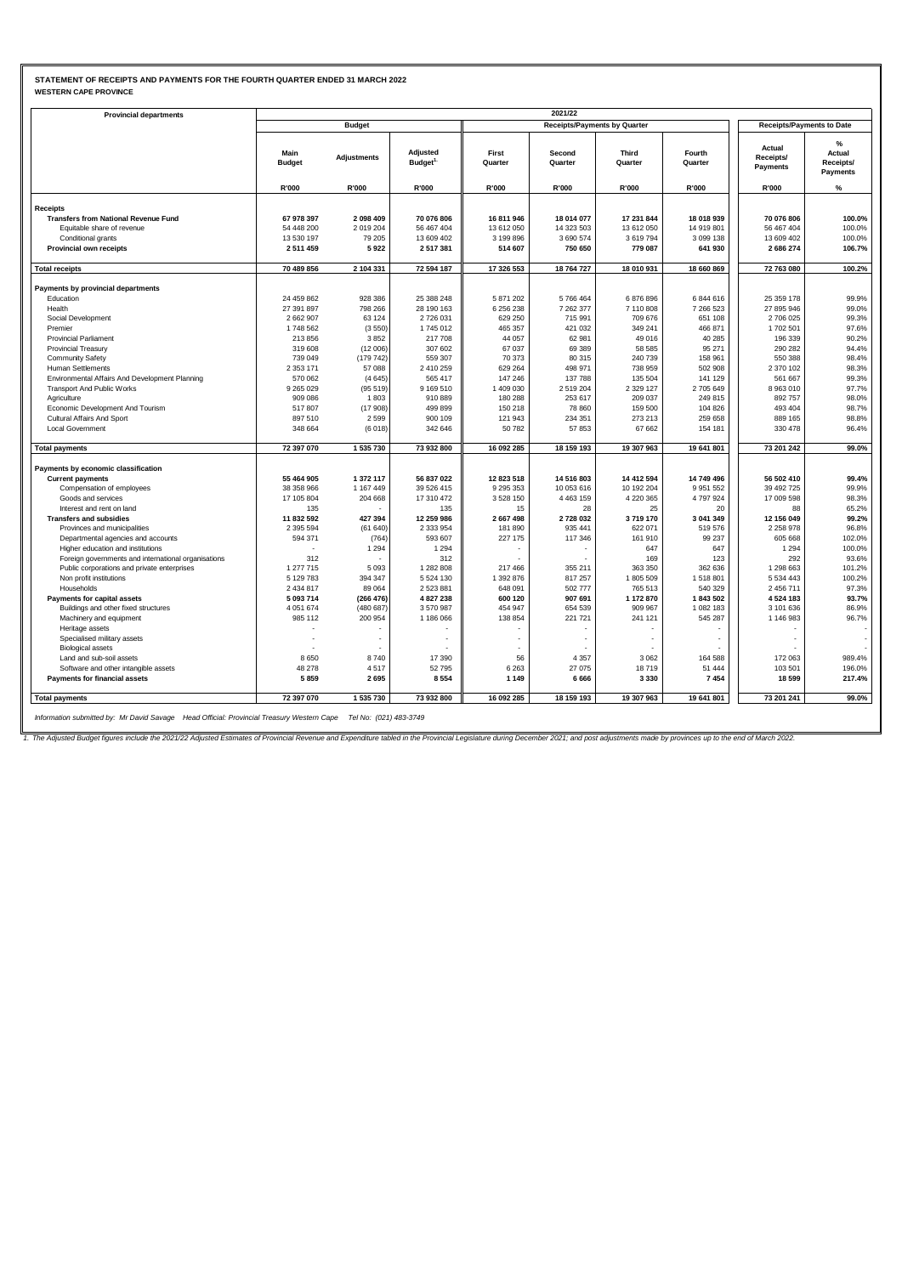# **STATEMENT OF RECEIPTS AND PAYMENTS FOR THE FOURTH QUARTER ENDED 31 MARCH 2022 WESTERN CAPE PROVINCE**

| <b>Provincial departments</b>                       |                          |                      |                                 |                              |                                     |                         |                                  |                                 |                                      |
|-----------------------------------------------------|--------------------------|----------------------|---------------------------------|------------------------------|-------------------------------------|-------------------------|----------------------------------|---------------------------------|--------------------------------------|
|                                                     |                          | <b>Budget</b>        |                                 |                              | <b>Receipts/Payments by Quarter</b> |                         | <b>Receipts/Payments to Date</b> |                                 |                                      |
|                                                     | Main<br><b>Budget</b>    | <b>Adjustments</b>   | Adjusted<br>Budget <sup>1</sup> | First<br>Quarter             | Second<br>Quarter                   | <b>Third</b><br>Quarter | Fourth<br>Quarter                | Actual<br>Receipts/<br>Payments | %<br>Actual<br>Receipts/<br>Payments |
|                                                     | R'000                    | R'000                | R'000                           | R'000                        | R'000                               | R'000                   | R'000                            | R'000                           | $\%$                                 |
| <b>Receipts</b>                                     |                          |                      |                                 |                              |                                     |                         |                                  |                                 |                                      |
| <b>Transfers from National Revenue Fund</b>         | 67 978 397               | 2098409              | 70 076 806                      | 16 811 946                   | 18 014 077                          | 17 231 844              | 18 018 939                       | 70 076 806                      | 100.0%                               |
| Equitable share of revenue                          | 54 448 200               | 2019204              | 56 467 404                      | 13 612 050                   | 14 323 503                          | 13 612 050              | 14 919 801                       | 56 467 404                      | 100.0%                               |
| Conditional grants                                  | 13 530 197               | 79 205               | 13 609 402                      | 3 199 896                    | 3 690 574                           | 3619794                 | 3 099 138                        | 13 609 402                      | 100.0%                               |
| Provincial own receipts                             | 2 511 459                | 5922                 | 2 517 381                       | 514 607                      | 750 650                             | 779 087                 | 641 930                          | 2 686 274                       | 106.7%                               |
| <b>Total receipts</b>                               | 70 489 856               | 2 104 331            | 72 594 187                      | 17 326 553                   | 18 764 727                          | 18 010 931              | 18 660 869                       | 72 763 080                      | 100.2%                               |
|                                                     |                          |                      |                                 |                              |                                     |                         |                                  |                                 |                                      |
| Payments by provincial departments                  |                          |                      |                                 |                              |                                     |                         |                                  |                                 |                                      |
| Education                                           | 24 459 862               | 928 386              | 25 388 248                      | 5 871 202                    | 5766464                             | 6876896                 | 6844616                          | 25 359 178                      | 99.9%                                |
| Health                                              | 27 391 897               | 798 266              | 28 190 163                      | 6 256 238                    | 7 262 377                           | 7 110 808               | 7 266 523                        | 27 895 946                      | 99.0%                                |
| Social Development                                  | 2 662 907                | 63 124               | 2 726 031                       | 629 250                      | 715 991                             | 709 676                 | 651 108                          | 2 706 025                       | 99.3%                                |
| Premier                                             | 1748 562                 | (3550)               | 1745 012                        | 465 357                      | 421 032                             | 349 241                 | 466 871                          | 1702 501                        | 97.6%<br>90.2%                       |
| <b>Provincial Parliament</b>                        | 213 856                  | 3852                 | 217 708                         | 44 057                       | 62 981                              | 49 016                  | 40 285                           | 196 339                         | 94.4%                                |
| <b>Provincial Treasury</b>                          | 319 608<br>739 049       | (12006)<br>(179742)  | 307 602<br>559 307              | 67 037<br>70 373             | 69 389<br>80 315                    | 58 585<br>240 739       | 95 271<br>158 961                | 290 282<br>550 388              | 98.4%                                |
| <b>Community Safety</b><br>Human Settlements        | 2 3 5 3 1 7 1            | 57 088               | 2 410 259                       | 629 264                      | 498 971                             | 738 959                 | 502 908                          | 2 370 102                       | 98.3%                                |
| Environmental Affairs And Development Planning      | 570 062                  | (4645)               | 565 417                         | 147 246                      | 137 788                             | 135 504                 | 141 129                          | 561 667                         | 99.3%                                |
| <b>Transport And Public Works</b>                   | 9 265 0 29               | (95519)              | 9 169 510                       | 1 409 030                    | 2 519 204                           | 2 3 2 9 1 2 7           | 2 705 649                        | 8963010                         | 97.7%                                |
| Agriculture                                         | 909 086                  | 1803                 | 910 889                         | 180 288                      | 253 617                             | 209 037                 | 249 815                          | 892 757                         | 98.0%                                |
| Economic Development And Tourism                    | 517807                   | (17908)              | 499 899                         | 150 218                      | 78 860                              | 159 500                 | 104 826                          | 493 404                         | 98.7%                                |
| Cultural Affairs And Sport                          | 897 510                  | 2599                 | 900 109                         | 121 943                      | 234 351                             | 273 213                 | 259 658                          | 889 165                         | 98.8%                                |
| <b>Local Government</b>                             | 348 664                  | (6018)               | 342 646                         | 50 782                       | 57853                               | 67 662                  | 154 181                          | 330 478                         | 96.4%                                |
| <b>Total payments</b>                               | 72 397 070               | 1 535 730            | 73 932 800                      | 16 092 285                   | 18 159 193                          | 19 307 963              | 19 641 801                       | 73 201 242                      | 99.0%                                |
|                                                     |                          |                      |                                 |                              |                                     |                         |                                  |                                 |                                      |
| Payments by economic classification                 |                          |                      |                                 |                              |                                     |                         |                                  |                                 |                                      |
| <b>Current payments</b>                             | 55 464 905               | 1372117<br>1 167 449 | 56 837 022                      | 12 823 518                   | 14 516 803                          | 14 412 594              | 14 749 496                       | 56 502 410                      | 99.4%<br>99.9%                       |
| Compensation of employees                           | 38 358 966<br>17 105 804 | 204 668              | 39 526 415<br>17 310 472        | 9 2 9 5 3 5 3<br>3 5 28 1 50 | 10 053 616<br>4 4 6 3 1 5 9         | 10 192 204<br>4 220 365 | 9 9 5 1 5 5 2<br>4797924         | 39 492 725<br>17 009 598        | 98.3%                                |
| Goods and services<br>Interest and rent on land     | 135                      |                      | 135                             | 15                           | 28                                  | 25                      | 20                               | 88                              | 65.2%                                |
| <b>Transfers and subsidies</b>                      | 11 832 592               | 427 394              | 12 259 986                      | 2 667 498                    | 2728032                             | 3719170                 | 3 041 349                        | 12 156 049                      | 99.2%                                |
| Provinces and municipalities                        | 2 3 9 5 5 9 4            | (61640)              | 2 333 954                       | 181 890                      | 935 441                             | 622 071                 | 519 576                          | 2 2 5 8 9 7 8                   | 96.8%                                |
| Departmental agencies and accounts                  | 594 371                  | (764)                | 593 607                         | 227 175                      | 117 346                             | 161 910                 | 99 237                           | 605 668                         | 102.0%                               |
| Higher education and institutions                   |                          | 1 2 9 4              | 1 2 9 4                         |                              |                                     | 647                     | 647                              | 1 2 9 4                         | 100.0%                               |
| Foreign governments and international organisations | 312                      |                      | 312                             |                              |                                     | 169                     | 123                              | 292                             | 93.6%                                |
| Public corporations and private enterprises         | 1 277 715                | 5093                 | 1 282 808                       | 217 466                      | 355 211                             | 363 350                 | 362 636                          | 1 298 663                       | 101.2%                               |
| Non profit institutions                             | 5 129 783                | 394 347              | 5 5 24 1 30                     | 1 392 876                    | 817 257                             | 1805 509                | 1 518 801                        | 5 534 443                       | 100.2%                               |
| Households                                          | 2 434 817                | 89 064               | 2 523 881                       | 648 091                      | 502 777                             | 765 513                 | 540 329                          | 2 456 711                       | 97.3%                                |
| Payments for capital assets                         | 5 093 714                | (266 476)            | 4 827 238                       | 600 120                      | 907 691                             | 1 172 870               | 1843502                          | 4 524 183                       | 93.7%                                |
| Buildings and other fixed structures                | 4 0 51 6 74              | (480687)             | 3 570 987                       | 454 947                      | 654 539                             | 909 967                 | 1 082 183                        | 3 101 636                       | 86.9%                                |
| Machinery and equipment                             | 985 112                  | 200 954              | 1 186 066                       | 138 854                      | 221 721                             | 241 121                 | 545 287                          | 1 146 983                       | 96.7%                                |
| Heritage assets                                     |                          |                      |                                 |                              |                                     |                         |                                  |                                 |                                      |
| Specialised military assets                         |                          |                      |                                 |                              |                                     |                         |                                  |                                 |                                      |
| <b>Biological assets</b>                            |                          |                      |                                 |                              |                                     |                         |                                  |                                 |                                      |
| Land and sub-soil assets                            | 8650                     | 8740                 | 17 390                          | 56                           | 4 3 5 7                             | 3 0 6 2                 | 164 588                          | 172 063                         | 989.4%                               |
| Software and other intangible assets                | 48 278                   | 4517                 | 52 795                          | 6 2 6 3                      | 27 075                              | 18719                   | 51 444                           | 103 501                         | 196.0%                               |
| Payments for financial assets                       | 5859                     | 2695                 | 8 5 5 4                         | 1 1 4 9                      | 6666                                | 3 3 3 0                 | 7454                             | 18 599                          | 217.4%                               |
| <b>Total payments</b>                               | 72 397 070               | 1535730              | 73 932 800                      | 16 092 285                   | 18 159 193                          | 19 307 963              | 19 641 801                       | 73 201 241                      | 99.0%                                |

*Information submitted by: Mr David Savage Head Official: Provincial Treasury Western Cape Tel No: (021) 483-3749*